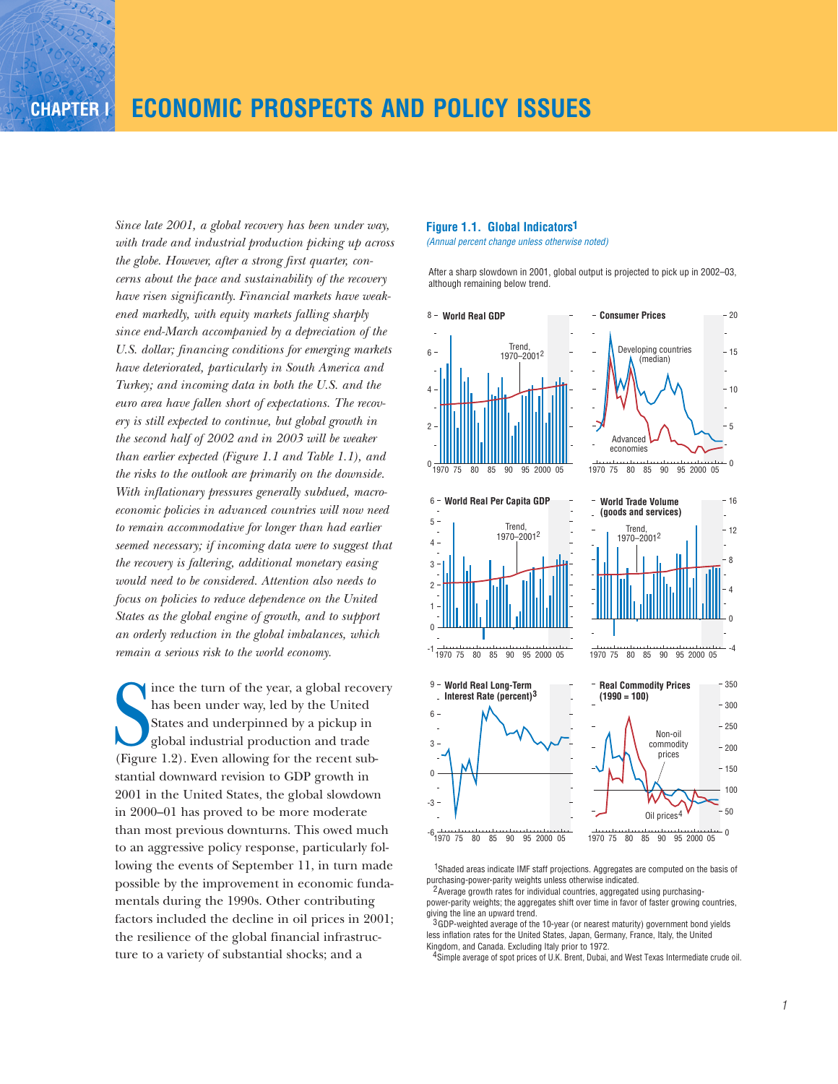*Since late 2001, a global recovery has been under way, with trade and industrial production picking up across the globe. However, after a strong first quarter, concerns about the pace and sustainability of the recovery have risen significantly. Financial markets have weakened markedly, with equity markets falling sharply since end-March accompanied by a depreciation of the U.S. dollar; financing conditions for emerging markets have deteriorated, particularly in South America and Turkey; and incoming data in both the U.S. and the euro area have fallen short of expectations. The recovery is still expected to continue, but global growth in the second half of 2002 and in 2003 will be weaker than earlier expected (Figure 1.1 and Table 1.1), and the risks to the outlook are primarily on the downside. With inflationary pressures generally subdued, macroeconomic policies in advanced countries will now need to remain accommodative for longer than had earlier seemed necessary; if incoming data were to suggest that the recovery is faltering, additional monetary easing would need to be considered. Attention also needs to focus on policies to reduce dependence on the United States as the global engine of growth, and to support an orderly reduction in the global imbalances, which remain a serious risk to the world economy.*

has been under way, led by the United<br>States and underpinned by a pickup in<br>global industrial production and trade<br>(Figure 1.2). Even allowing for the recent subince the turn of the year, a global recovery has been under way, led by the United States and underpinned by a pickup in global industrial production and trade stantial downward revision to GDP growth in 2001 in the United States, the global slowdown in 2000–01 has proved to be more moderate than most previous downturns. This owed much to an aggressive policy response, particularly following the events of September 11, in turn made possible by the improvement in economic fundamentals during the 1990s. Other contributing factors included the decline in oil prices in 2001; the resilience of the global financial infrastructure to a variety of substantial shocks; and a

### **Figure 1.1. Global Indicators 1**

*(Annual percent change unless otherwise noted)*

After a sharp slowdown in 2001, global output is projected to pick up in 2002–03, although remaining below trend.



<sup>1</sup>Shaded areas indicate IMF staff projections. Aggregates are computed on the basis of purchasing-power-parity weights unless otherwise indicated.

<sup>2</sup> Average growth rates for individual countries, aggregated using purchasingpower-parity weights; the aggregates shift over time in favor of faster growing countries, giving the line an upward trend.

 $3$  GDP-weighted average of the 10-year (or nearest maturity) government bond yields less inflation rates for the United States, Japan, Germany, France, Italy, the United Kingdom, and Canada. Excluding Italy prior to 1972.

4 Simple average of spot prices of U.K. Brent, Dubai, and West Texas Intermediate crude oil.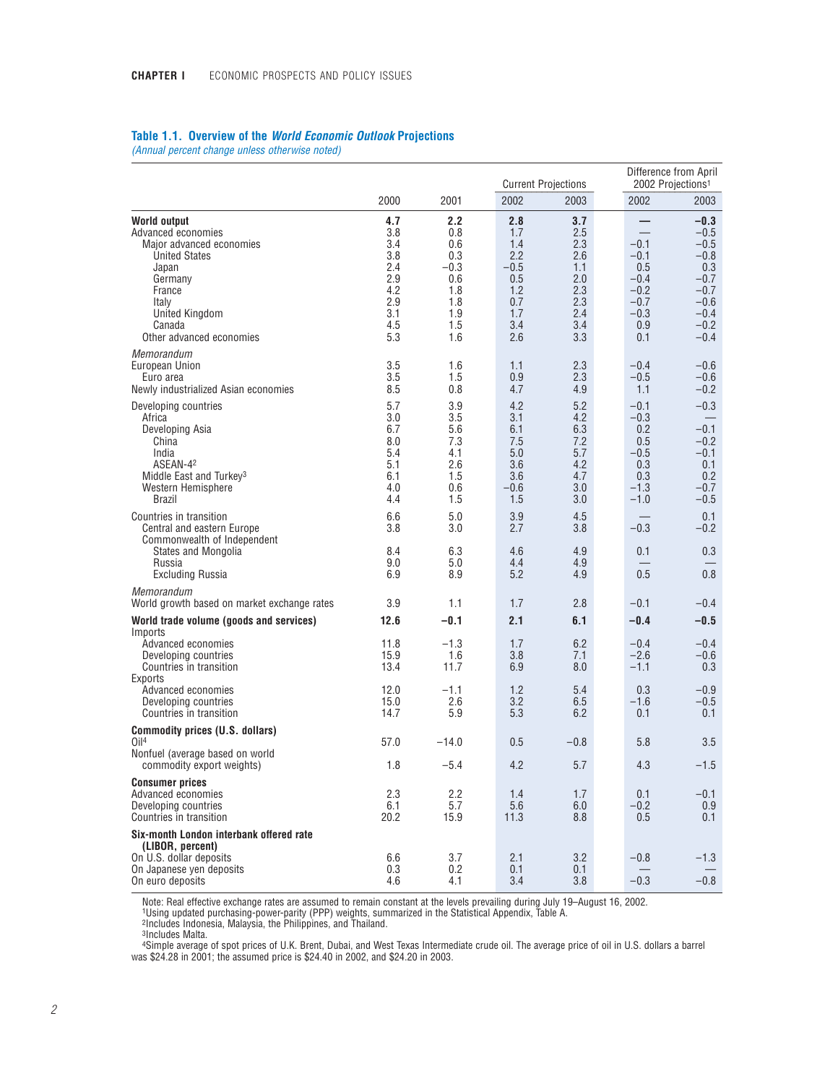|  |  |  |  |  | Table 1.1. Overview of the World Economic Outlook Projections |  |
|--|--|--|--|--|---------------------------------------------------------------|--|
|--|--|--|--|--|---------------------------------------------------------------|--|

*(Annual percent change unless otherwise noted)*

|                                                                                                                                                                                       |                                                                           |                                                                              |                                                                              | <b>Current Projections</b>                                                | Difference from April<br>2002 Projections <sup>1</sup>                        |                                                                                                         |  |
|---------------------------------------------------------------------------------------------------------------------------------------------------------------------------------------|---------------------------------------------------------------------------|------------------------------------------------------------------------------|------------------------------------------------------------------------------|---------------------------------------------------------------------------|-------------------------------------------------------------------------------|---------------------------------------------------------------------------------------------------------|--|
|                                                                                                                                                                                       | 2000                                                                      | 2001                                                                         | 2002                                                                         | 2003                                                                      | 2002                                                                          | 2003                                                                                                    |  |
| World output<br>Advanced economies<br>Major advanced economies<br><b>United States</b><br>Japan<br>Germany<br>France<br>Italy<br>United Kingdom<br>Canada<br>Other advanced economies | 4.7<br>3.8<br>3.4<br>3.8<br>2.4<br>2.9<br>4.2<br>2.9<br>3.1<br>4.5<br>5.3 | 2.2<br>0.8<br>0.6<br>0.3<br>$-0.3$<br>0.6<br>1.8<br>1.8<br>1.9<br>1.5<br>1.6 | 2.8<br>1.7<br>1.4<br>2.2<br>$-0.5$<br>0.5<br>1.2<br>0.7<br>1.7<br>3.4<br>2.6 | 3.7<br>2.5<br>2.3<br>2.6<br>1.1<br>2.0<br>2.3<br>2.3<br>2.4<br>3.4<br>3.3 | $-0.1$<br>$-0.1$<br>0.5<br>$-0.4$<br>$-0.2$<br>$-0.7$<br>$-0.3$<br>0.9<br>0.1 | $-0.3$<br>$-0.5$<br>$-0.5$<br>$-0.8$<br>0.3<br>$-0.7$<br>$-0.7$<br>$-0.6$<br>$-0.4$<br>$-0.2$<br>$-0.4$ |  |
| Memorandum<br>European Union<br>Euro area<br>Newly industrialized Asian economies                                                                                                     | 3.5<br>3.5<br>8.5                                                         | 1.6<br>1.5<br>0.8                                                            | 1.1<br>0.9<br>4.7                                                            | 2.3<br>2.3<br>4.9                                                         | $-0.4$<br>$-0.5$<br>1.1                                                       | $-0.6$<br>$-0.6$<br>$-0.2$                                                                              |  |
| Developing countries<br>Africa<br>Developing Asia<br>China<br>India<br>ASEAN-42<br>Middle East and Turkey <sup>3</sup><br>Western Hemisphere<br><b>Brazil</b>                         | 5.7<br>3.0<br>6.7<br>8.0<br>5.4<br>5.1<br>6.1<br>4.0<br>4.4               | 3.9<br>3.5<br>5.6<br>7.3<br>4.1<br>2.6<br>1.5<br>0.6<br>1.5                  | 4.2<br>3.1<br>6.1<br>7.5<br>5.0<br>3.6<br>3.6<br>$-0.6$<br>1.5               | 5.2<br>4.2<br>6.3<br>7.2<br>5.7<br>4.2<br>4.7<br>3.0<br>3.0               | $-0.1$<br>$-0.3$<br>0.2<br>0.5<br>$-0.5$<br>0.3<br>0.3<br>$-1.3$<br>$-1.0$    | $-0.3$<br>$-0.1$<br>$-0.2$<br>$-0.1$<br>0.1<br>0.2<br>$-0.7$<br>$-0.5$                                  |  |
| Countries in transition<br>Central and eastern Europe<br>Commonwealth of Independent<br><b>States and Mongolia</b><br>Russia<br><b>Excluding Russia</b>                               | 6.6<br>3.8<br>8.4<br>9.0<br>6.9                                           | 5.0<br>3.0<br>6.3<br>5.0<br>8.9                                              | 3.9<br>2.7<br>4.6<br>4.4<br>5.2                                              | 4.5<br>3.8<br>4.9<br>4.9<br>4.9                                           | $-0.3$<br>0.1<br>0.5                                                          | 0.1<br>$-0.2$<br>0.3<br>0.8                                                                             |  |
| Memorandum<br>World growth based on market exchange rates                                                                                                                             | 3.9                                                                       | 1.1                                                                          | 1.7                                                                          | 2.8                                                                       | $-0.1$                                                                        | $-0.4$                                                                                                  |  |
| World trade volume (goods and services)                                                                                                                                               | 12.6                                                                      | $-0.1$                                                                       | 2.1                                                                          | 6.1                                                                       | $-0.4$                                                                        | $-0.5$                                                                                                  |  |
| Imports<br>Advanced economies<br>Developing countries<br>Countries in transition<br>Exports                                                                                           | 11.8<br>15.9<br>13.4                                                      | $-1.3$<br>1.6<br>11.7                                                        | 1.7<br>3.8<br>6.9                                                            | 6.2<br>7.1<br>8.0                                                         | $-0.4$<br>$-2.6$<br>$-1.1$                                                    | $-0.4$<br>$-0.6$<br>0.3                                                                                 |  |
| Advanced economies<br>Developing countries<br>Countries in transition                                                                                                                 | 12.0<br>15.0<br>14.7                                                      | $-1.1$<br>2.6<br>5.9                                                         | 1.2<br>3.2<br>5.3                                                            | 5.4<br>6.5<br>6.2                                                         | 0.3<br>$-1.6$<br>0.1                                                          | $-0.9$<br>$-0.5$<br>0.1                                                                                 |  |
| <b>Commodity prices (U.S. dollars)</b><br>O <sub>14</sub>                                                                                                                             | 57.0                                                                      | $-14.0$                                                                      | 0.5                                                                          | $-0.8$                                                                    | 5.8                                                                           | 3.5                                                                                                     |  |
| Nonfuel (average based on world<br>commodity export weights)                                                                                                                          | 1.8                                                                       | $-5.4$                                                                       | 4.2                                                                          | 5.7                                                                       | 4.3                                                                           | $-1.5$                                                                                                  |  |
| <b>Consumer prices</b><br>Advanced economies<br>Developing countries<br>Countries in transition                                                                                       | 2.3<br>6.1<br>20.2                                                        | 2.2<br>5.7<br>15.9                                                           | 1.4<br>5.6<br>11.3                                                           | 1.7<br>6.0<br>8.8                                                         | 0.1<br>$-0.2$<br>0.5                                                          | $-0.1$<br>0.9<br>0.1                                                                                    |  |
| Six-month London interbank offered rate<br>(LIBOR, percent)<br>On U.S. dollar deposits<br>On Japanese yen deposits<br>On euro deposits                                                | 6.6<br>0.3<br>4.6                                                         | 3.7<br>0.2<br>4.1                                                            | 2.1<br>0.1<br>3.4                                                            | 3.2<br>0.1<br>3.8                                                         | $-0.8$<br>$-0.3$                                                              | $-1.3$<br>$-0.8$                                                                                        |  |

Note: Real effective exchange rates are assumed to remain constant at the levels prevailing during July 19–August 16, 2002.<br>1Using updated purchasing-power-parity (PPP) weights, summarized in the Statistical Appendix, Tabl

2Includes Indonesia, Malaysia, the Philippines, and Thailand.

3Includes Malta.

4Simple average of spot prices of U.K. Brent, Dubai, and West Texas Intermediate crude oil. The average price of oil in U.S. dollars a barrel was \$24.28 in 2001; the assumed price is \$24.40 in 2002, and \$24.20 in 2003.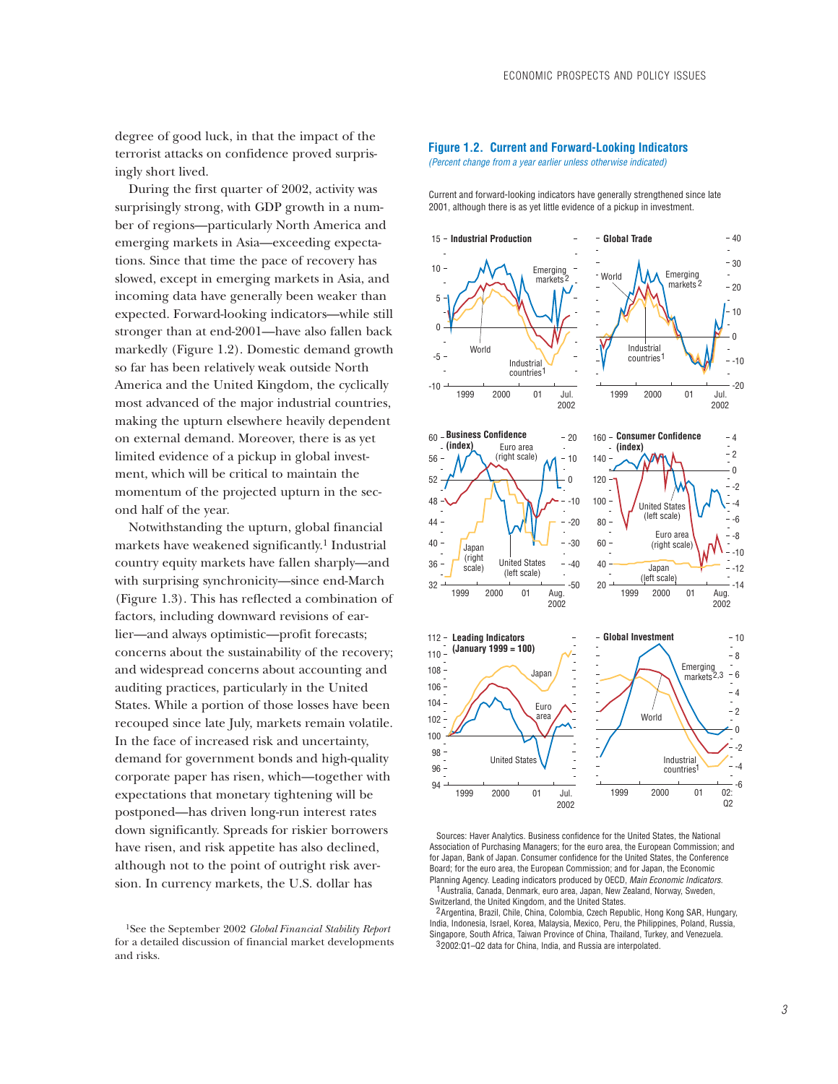degree of good luck, in that the impact of the terrorist attacks on confidence proved surprisingly short lived.

During the first quarter of 2002, activity was surprisingly strong, with GDP growth in a number of regions—particularly North America and emerging markets in Asia—exceeding expectations. Since that time the pace of recovery has slowed, except in emerging markets in Asia, and incoming data have generally been weaker than expected. Forward-looking indicators—while still stronger than at end-2001—have also fallen back markedly (Figure 1.2). Domestic demand growth so far has been relatively weak outside North America and the United Kingdom, the cyclically most advanced of the major industrial countries, making the upturn elsewhere heavily dependent on external demand. Moreover, there is as yet limited evidence of a pickup in global investment, which will be critical to maintain the momentum of the projected upturn in the second half of the year.

Notwithstanding the upturn, global financial markets have weakened significantly.1 Industrial country equity markets have fallen sharply—and with surprising synchronicity—since end-March (Figure 1.3). This has reflected a combination of factors, including downward revisions of earlier—and always optimistic—profit forecasts; concerns about the sustainability of the recovery; and widespread concerns about accounting and auditing practices, particularly in the United States. While a portion of those losses have been recouped since late July, markets remain volatile. In the face of increased risk and uncertainty, demand for government bonds and high-quality corporate paper has risen, which—together with expectations that monetary tightening will be postponed—has driven long-run interest rates down significantly. Spreads for riskier borrowers have risen, and risk appetite has also declined, although not to the point of outright risk aversion. In currency markets, the U.S. dollar has

#### **Figure 1.2. Current and Forward-Looking Indicators** *(Percent change from a year earlier unless otherwise indicated)*

Current and forward-looking indicators have generally strengthened since late 2001, although there is as yet little evidence of a pickup in investment.



Sources: Haver Analytics. Business confidence for the United States, the National Association of Purchasing Managers; for the euro area, the European Commission; and for Japan, Bank of Japan. Consumer confidence for the United States, the Conference Board; for the euro area, the European Commission; and for Japan, the Economic Planning Agency. Leading indicators produced by OECD, *Main Economic Indicators.* 1 Australia, Canada, Denmark, euro area, Japan, New Zealand, Norway, Sweden, Switzerland, the United Kingdom, and the United States.

<sup>2</sup> Argentina, Brazil, Chile, China, Colombia, Czech Republic, Hong Kong SAR, Hungary, India, Indonesia, Israel, Korea, Malaysia, Mexico, Peru, the Philippines, Poland, Russia, Singapore, South Africa, Taiwan Province of China, Thailand, Turkey, and Venezuela. 32002:01-02 data for China, India, and Russia are interpolated.

<sup>1</sup>See the September 2002 *Global Financial Stability Report* for a detailed discussion of financial market developments and risks.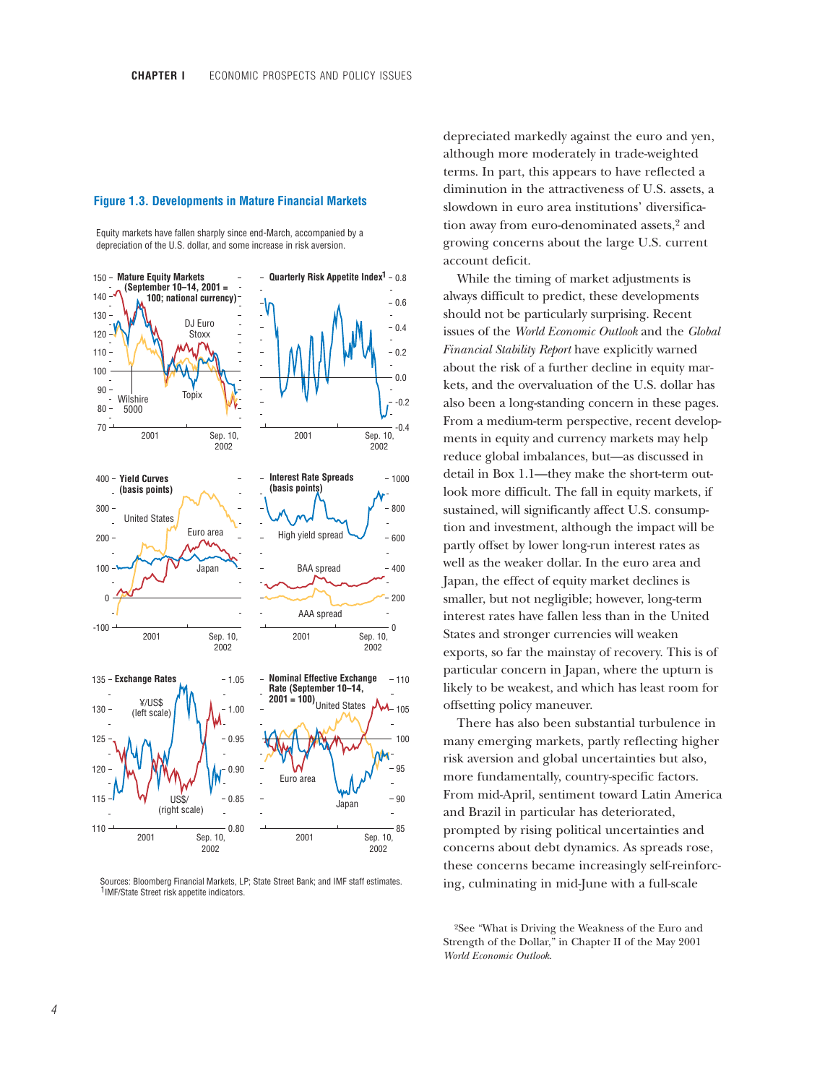### **Figure 1.3. Developments in Mature Financial Markets**

Equity markets have fallen sharply since end-March, accompanied by a depreciation of the U.S. dollar, and some increase in risk aversion.



 Sources: Bloomberg Financial Markets, LP; State Street Bank; and IMF staff estimates. <sup>1</sup>IMF/State Street risk appetite indicators.

depreciated markedly against the euro and yen, although more moderately in trade-weighted terms. In part, this appears to have reflected a diminution in the attractiveness of U.S. assets, a slowdown in euro area institutions' diversification away from euro-denominated assets,2 and growing concerns about the large U.S. current account deficit.

While the timing of market adjustments is always difficult to predict, these developments should not be particularly surprising. Recent issues of the *World Economic Outlook* and the *Global Financial Stability Report* have explicitly warned about the risk of a further decline in equity markets, and the overvaluation of the U.S. dollar has also been a long-standing concern in these pages. From a medium-term perspective, recent developments in equity and currency markets may help reduce global imbalances, but—as discussed in detail in Box 1.1—they make the short-term outlook more difficult. The fall in equity markets, if sustained, will significantly affect U.S. consumption and investment, although the impact will be partly offset by lower long-run interest rates as well as the weaker dollar. In the euro area and Japan, the effect of equity market declines is smaller, but not negligible; however, long-term interest rates have fallen less than in the United States and stronger currencies will weaken exports, so far the mainstay of recovery. This is of particular concern in Japan, where the upturn is likely to be weakest, and which has least room for offsetting policy maneuver.

There has also been substantial turbulence in many emerging markets, partly reflecting higher risk aversion and global uncertainties but also, more fundamentally, country-specific factors. From mid-April, sentiment toward Latin America and Brazil in particular has deteriorated, prompted by rising political uncertainties and concerns about debt dynamics. As spreads rose, these concerns became increasingly self-reinforcing, culminating in mid-June with a full-scale

2See "What is Driving the Weakness of the Euro and Strength of the Dollar," in Chapter II of the May 2001 *World Economic Outlook*.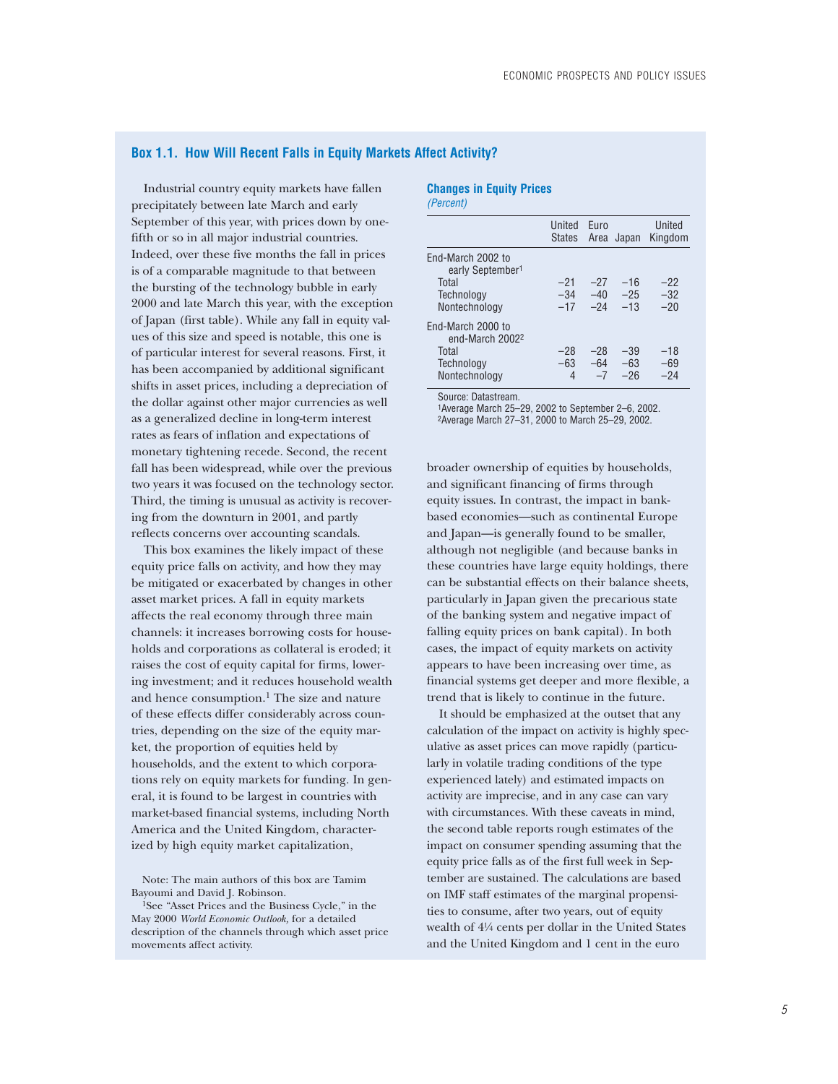## **Box 1.1. How Will Recent Falls in Equity Markets Affect Activity?**

Industrial country equity markets have fallen precipitately between late March and early September of this year, with prices down by onefifth or so in all major industrial countries. Indeed, over these five months the fall in prices is of a comparable magnitude to that between the bursting of the technology bubble in early 2000 and late March this year, with the exception of Japan (first table). While any fall in equity values of this size and speed is notable, this one is of particular interest for several reasons. First, it has been accompanied by additional significant shifts in asset prices, including a depreciation of the dollar against other major currencies as well as a generalized decline in long-term interest rates as fears of inflation and expectations of monetary tightening recede. Second, the recent fall has been widespread, while over the previous two years it was focused on the technology sector. Third, the timing is unusual as activity is recovering from the downturn in 2001, and partly reflects concerns over accounting scandals.

This box examines the likely impact of these equity price falls on activity, and how they may be mitigated or exacerbated by changes in other asset market prices. A fall in equity markets affects the real economy through three main channels: it increases borrowing costs for households and corporations as collateral is eroded; it raises the cost of equity capital for firms, lowering investment; and it reduces household wealth and hence consumption.<sup>1</sup> The size and nature of these effects differ considerably across countries, depending on the size of the equity market, the proportion of equities held by households, and the extent to which corporations rely on equity markets for funding. In general, it is found to be largest in countries with market-based financial systems, including North America and the United Kingdom, characterized by high equity market capitalization,

Note: The main authors of this box are Tamim Bayoumi and David J. Robinson.

#### **Changes in Equity Prices** *(Percent)*

|                                                                                           | United<br><b>States</b> | Furo                    | Area Japan              | United<br>Kingdom       |
|-------------------------------------------------------------------------------------------|-------------------------|-------------------------|-------------------------|-------------------------|
| End-March 2002 to<br>early September <sup>1</sup><br>Total<br>Technology<br>Nontechnology | $-21$<br>$-34$<br>$-17$ | $-27$<br>$-40$<br>$-24$ | $-16$<br>$-25$<br>$-13$ | $-22$<br>$-32$<br>$-20$ |
| Fnd-March 2000 to<br>end-March 2002<br>Total<br>Technology<br>Nontechnology               | $-28$<br>$-63$<br>4     | $-28$<br>$-64$<br>$-7$  | $-39$<br>$-63$<br>$-26$ | $-18$<br>-69<br>$-24$   |

Source: Datastream.

1Average March 25–29, 2002 to September 2–6, 2002. 2Average March 27–31, 2000 to March 25–29, 2002.

broader ownership of equities by households, and significant financing of firms through equity issues. In contrast, the impact in bankbased economies—such as continental Europe and Japan—is generally found to be smaller, although not negligible (and because banks in these countries have large equity holdings, there can be substantial effects on their balance sheets, particularly in Japan given the precarious state of the banking system and negative impact of falling equity prices on bank capital). In both cases, the impact of equity markets on activity appears to have been increasing over time, as financial systems get deeper and more flexible, a trend that is likely to continue in the future.

It should be emphasized at the outset that any calculation of the impact on activity is highly speculative as asset prices can move rapidly (particularly in volatile trading conditions of the type experienced lately) and estimated impacts on activity are imprecise, and in any case can vary with circumstances. With these caveats in mind, the second table reports rough estimates of the impact on consumer spending assuming that the equity price falls as of the first full week in September are sustained. The calculations are based on IMF staff estimates of the marginal propensities to consume, after two years, out of equity wealth of 4!/4 cents per dollar in the United States and the United Kingdom and 1 cent in the euro

<sup>1</sup>See "Asset Prices and the Business Cycle," in the May 2000 *World Economic Outlook,* for a detailed description of the channels through which asset price movements affect activity.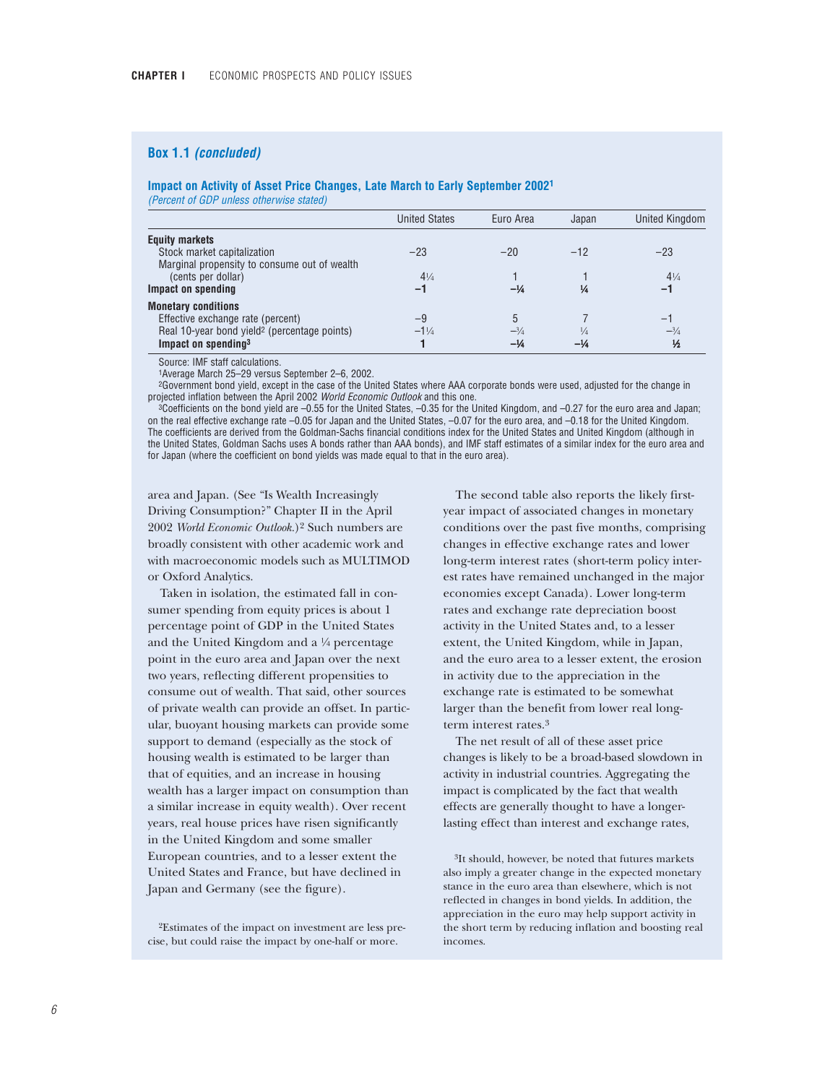## **Box 1.1** *(concluded)*

### **Impact on Activity of Asset Price Changes, Late March to Early September 20021**

*(Percent of GDP unless otherwise stated)*

|                                                                 | <b>United States</b> | Euro Area      | Japan         | <b>United Kingdom</b> |
|-----------------------------------------------------------------|----------------------|----------------|---------------|-----------------------|
| <b>Equity markets</b>                                           |                      |                |               |                       |
| Stock market capitalization                                     | $-23$                | $-20$          | $-12$         | $-23$                 |
| Marginal propensity to consume out of wealth                    |                      |                |               |                       |
| (cents per dollar)<br>Impact on spending                        | $4\frac{1}{4}$<br>-1 | $-\frac{1}{4}$ | ¼             | $4\frac{1}{4}$<br>-1  |
|                                                                 |                      |                |               |                       |
| <b>Monetary conditions</b><br>Effective exchange rate (percent) | -9                   |                |               | —                     |
| Real 10-year bond yield <sup>2</sup> (percentage points)        | $-1\frac{1}{4}$      |                | $\frac{1}{4}$ | $-3/4$                |
| Impact on spending <sup>3</sup>                                 |                      | $-\frac{1}{4}$ | $-1/4$        | $\frac{1}{2}$         |

Source: IMF staff calculations.

1Average March 25–29 versus September 2–6, 2002.

2Government bond yield, except in the case of the United States where AAA corporate bonds were used, adjusted for the change in projected inflation between the April 2002 *World Economic Outlook* and this one.

3Coefficients on the bond yield are –0.55 for the United States, –0.35 for the United Kingdom, and –0.27 for the euro area and Japan; on the real effective exchange rate –0.05 for Japan and the United States, –0.07 for the euro area, and –0.18 for the United Kingdom. The coefficients are derived from the Goldman-Sachs financial conditions index for the United States and United Kingdom (although in the United States, Goldman Sachs uses A bonds rather than AAA bonds), and IMF staff estimates of a similar index for the euro area and for Japan (where the coefficient on bond yields was made equal to that in the euro area).

area and Japan. (See "Is Wealth Increasingly Driving Consumption?" Chapter II in the April 2002 *World Economic Outlook.*)2 Such numbers are broadly consistent with other academic work and with macroeconomic models such as MULTIMOD or Oxford Analytics.

Taken in isolation, the estimated fall in consumer spending from equity prices is about 1 percentage point of GDP in the United States and the United Kingdom and a  $\frac{1}{4}$  percentage point in the euro area and Japan over the next two years, reflecting different propensities to consume out of wealth. That said, other sources of private wealth can provide an offset. In particular, buoyant housing markets can provide some support to demand (especially as the stock of housing wealth is estimated to be larger than that of equities, and an increase in housing wealth has a larger impact on consumption than a similar increase in equity wealth). Over recent years, real house prices have risen significantly in the United Kingdom and some smaller European countries, and to a lesser extent the United States and France, but have declined in Japan and Germany (see the figure).

2Estimates of the impact on investment are less precise, but could raise the impact by one-half or more.

The second table also reports the likely firstyear impact of associated changes in monetary conditions over the past five months, comprising changes in effective exchange rates and lower long-term interest rates (short-term policy interest rates have remained unchanged in the major economies except Canada). Lower long-term rates and exchange rate depreciation boost activity in the United States and, to a lesser extent, the United Kingdom, while in Japan, and the euro area to a lesser extent, the erosion in activity due to the appreciation in the exchange rate is estimated to be somewhat larger than the benefit from lower real longterm interest rates.3

The net result of all of these asset price changes is likely to be a broad-based slowdown in activity in industrial countries. Aggregating the impact is complicated by the fact that wealth effects are generally thought to have a longerlasting effect than interest and exchange rates,

3It should, however, be noted that futures markets also imply a greater change in the expected monetary stance in the euro area than elsewhere, which is not reflected in changes in bond yields. In addition, the appreciation in the euro may help support activity in the short term by reducing inflation and boosting real incomes.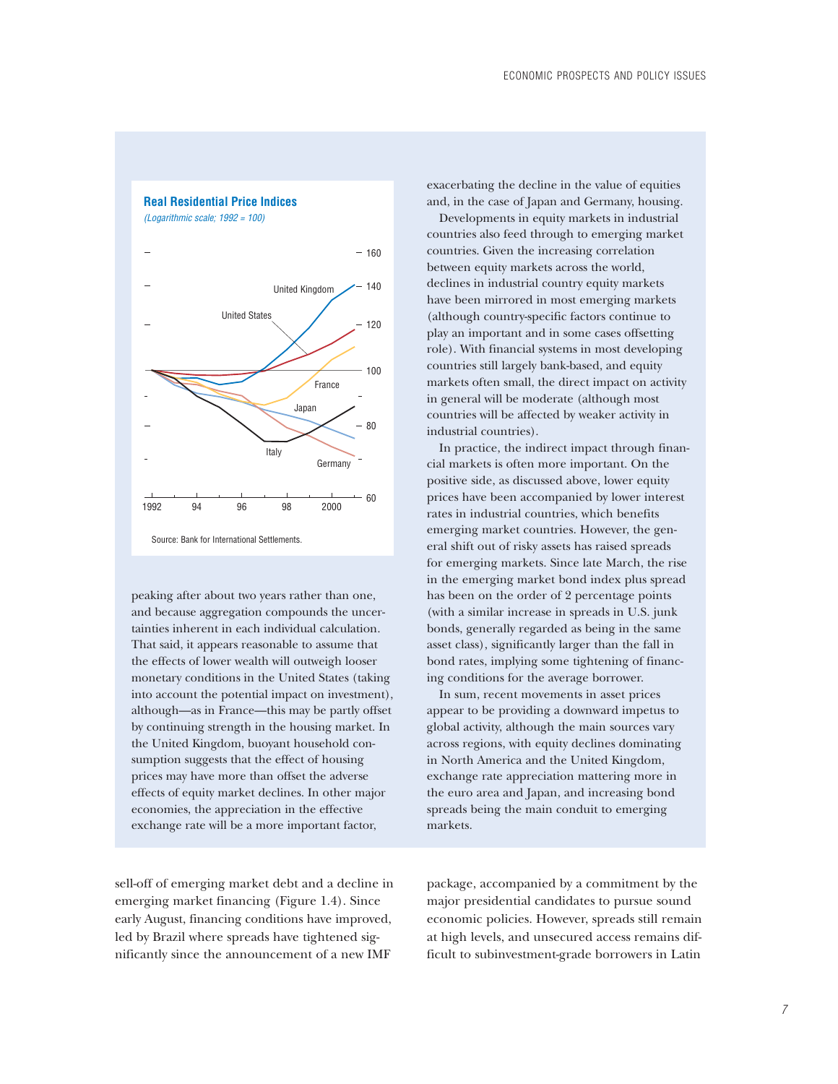## **Real Residential Price Indices**





Source: Bank for International Settlements.

peaking after about two years rather than one, and because aggregation compounds the uncertainties inherent in each individual calculation. That said, it appears reasonable to assume that the effects of lower wealth will outweigh looser monetary conditions in the United States (taking into account the potential impact on investment), although—as in France—this may be partly offset by continuing strength in the housing market. In the United Kingdom, buoyant household consumption suggests that the effect of housing prices may have more than offset the adverse effects of equity market declines. In other major economies, the appreciation in the effective exchange rate will be a more important factor,

sell-off of emerging market debt and a decline in emerging market financing (Figure 1.4). Since early August, financing conditions have improved, led by Brazil where spreads have tightened significantly since the announcement of a new IMF

exacerbating the decline in the value of equities and, in the case of Japan and Germany, housing.

Developments in equity markets in industrial countries also feed through to emerging market countries. Given the increasing correlation between equity markets across the world, declines in industrial country equity markets have been mirrored in most emerging markets (although country-specific factors continue to play an important and in some cases offsetting role). With financial systems in most developing countries still largely bank-based, and equity markets often small, the direct impact on activity in general will be moderate (although most countries will be affected by weaker activity in industrial countries).

In practice, the indirect impact through financial markets is often more important. On the positive side, as discussed above, lower equity prices have been accompanied by lower interest rates in industrial countries, which benefits emerging market countries. However, the general shift out of risky assets has raised spreads for emerging markets. Since late March, the rise in the emerging market bond index plus spread has been on the order of 2 percentage points (with a similar increase in spreads in U.S. junk bonds, generally regarded as being in the same asset class), significantly larger than the fall in bond rates, implying some tightening of financing conditions for the average borrower.

In sum, recent movements in asset prices appear to be providing a downward impetus to global activity, although the main sources vary across regions, with equity declines dominating in North America and the United Kingdom, exchange rate appreciation mattering more in the euro area and Japan, and increasing bond spreads being the main conduit to emerging markets.

package, accompanied by a commitment by the major presidential candidates to pursue sound economic policies. However, spreads still remain at high levels, and unsecured access remains difficult to subinvestment-grade borrowers in Latin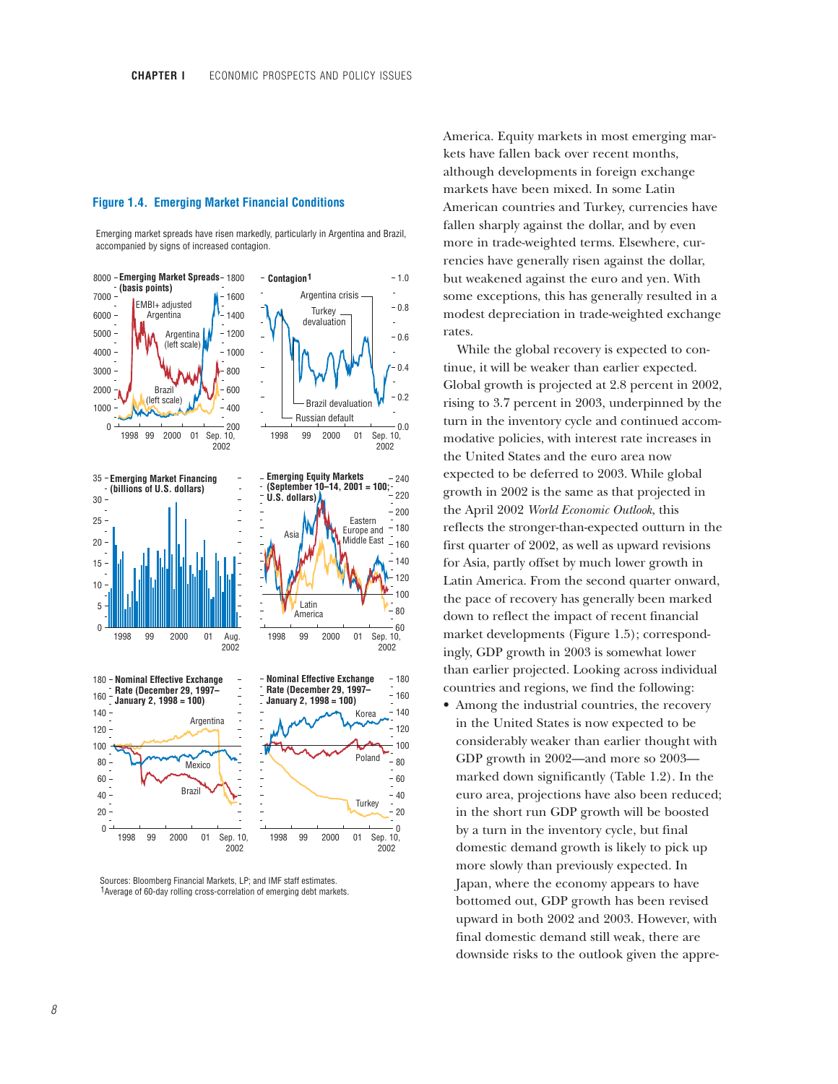### **Figure 1.4. Emerging Market Financial Conditions**

Emerging market spreads have risen markedly, particularly in Argentina and Brazil, accompanied by signs of increased contagion.



Sources: Bloomberg Financial Markets, LP; and IMF staff estimates. <sup>1</sup> Average of 60-day rolling cross-correlation of emerging debt markets.

America. Equity markets in most emerging markets have fallen back over recent months, although developments in foreign exchange markets have been mixed. In some Latin American countries and Turkey, currencies have fallen sharply against the dollar, and by even more in trade-weighted terms. Elsewhere, currencies have generally risen against the dollar, but weakened against the euro and yen. With some exceptions, this has generally resulted in a modest depreciation in trade-weighted exchange rates.

While the global recovery is expected to continue, it will be weaker than earlier expected. Global growth is projected at 2.8 percent in 2002, rising to 3.7 percent in 2003, underpinned by the turn in the inventory cycle and continued accommodative policies, with interest rate increases in the United States and the euro area now expected to be deferred to 2003. While global growth in 2002 is the same as that projected in the April 2002 *World Economic Outlook*, this reflects the stronger-than-expected outturn in the first quarter of 2002, as well as upward revisions for Asia, partly offset by much lower growth in Latin America. From the second quarter onward, the pace of recovery has generally been marked down to reflect the impact of recent financial market developments (Figure 1.5); correspondingly, GDP growth in 2003 is somewhat lower than earlier projected. Looking across individual countries and regions, we find the following:

• Among the industrial countries, the recovery in the United States is now expected to be considerably weaker than earlier thought with GDP growth in 2002—and more so 2003 marked down significantly (Table 1.2). In the euro area, projections have also been reduced; in the short run GDP growth will be boosted by a turn in the inventory cycle, but final domestic demand growth is likely to pick up more slowly than previously expected. In Japan, where the economy appears to have bottomed out, GDP growth has been revised upward in both 2002 and 2003. However, with final domestic demand still weak, there are downside risks to the outlook given the appre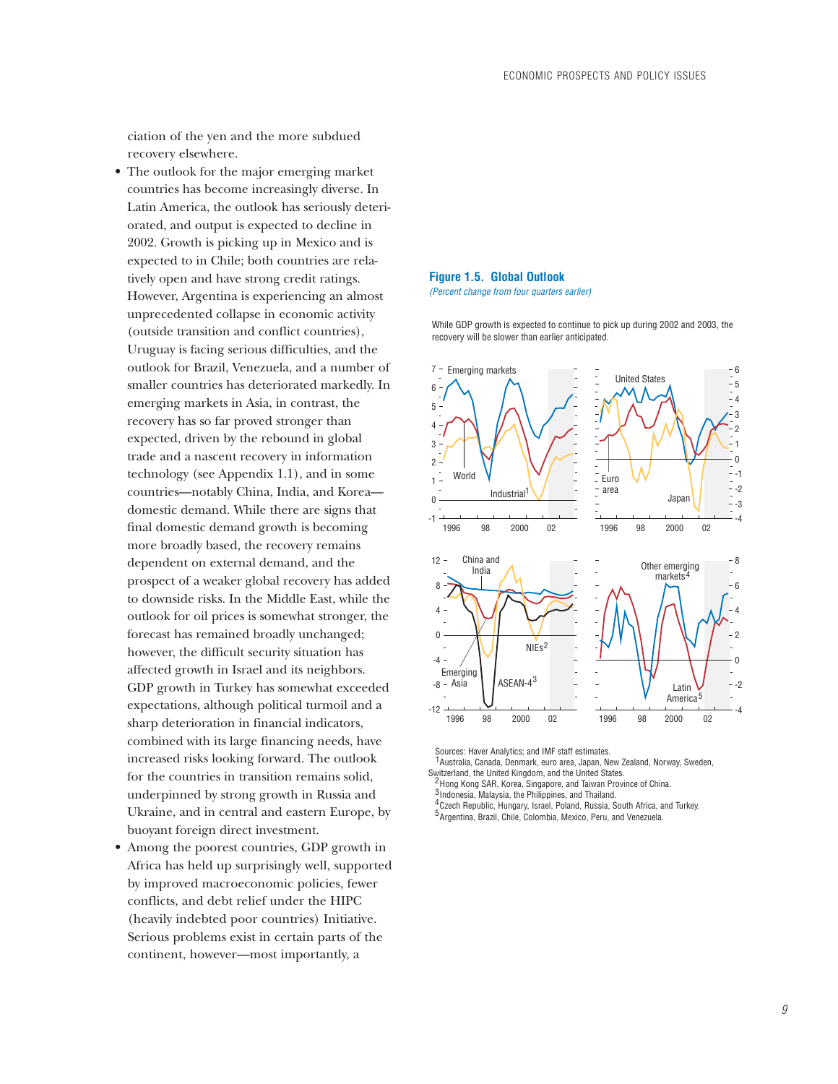ciation of the yen and the more subdued recovery elsewhere.

- The outlook for the major emerging market countries has become increasingly diverse. In Latin America, the outlook has seriously deteriorated, and output is expected to decline in 2002. Growth is picking up in Mexico and is expected to in Chile; both countries are relatively open and have strong credit ratings. However, Argentina is experiencing an almost unprecedented collapse in economic activity (outside transition and conflict countries), Uruguay is facing serious difficulties, and the outlook for Brazil, Venezuela, and a number of smaller countries has deteriorated markedly. In emerging markets in Asia, in contrast, the recovery has so far proved stronger than expected, driven by the rebound in global trade and a nascent recovery in information technology (see Appendix 1.1), and in some countries—notably China, India, and Korea domestic demand. While there are signs that final domestic demand growth is becoming more broadly based, the recovery remains dependent on external demand, and the prospect of a weaker global recovery has added to downside risks. In the Middle East, while the outlook for oil prices is somewhat stronger, the forecast has remained broadly unchanged; however, the difficult security situation has affected growth in Israel and its neighbors. GDP growth in Turkey has somewhat exceeded expectations, although political turmoil and a sharp deterioration in financial indicators, combined with its large financing needs, have increased risks looking forward. The outlook for the countries in transition remains solid, underpinned by strong growth in Russia and Ukraine, and in central and eastern Europe, by buoyant foreign direct investment.
- Among the poorest countries, GDP growth in Africa has held up surprisingly well, supported by improved macroeconomic policies, fewer conflicts, and debt relief under the HIPC (heavily indebted poor countries) Initiative. Serious problems exist in certain parts of the continent, however—most importantly, a

## **Figure 1.5. Global Outlook**

*(Percent change from four quarters earlier)*

While GDP growth is expected to continue to pick up during 2002 and 2003, the recovery will be slower than earlier anticipated.



Sources: Haver Analytics; and IMF staff estimates.

<sup>1</sup> Australia, Canada, Denmark, euro area, Japan, New Zealand, Norway, Sweden, Switzerland, the United Kingdom, and the United States.

<sup>2</sup> Hong Kong SAR, Korea, Singapore, and Taiwan Province of China.

3 Indonesia, Malaysia, the Philippines, and Thailand.

- Czech Republic, Hungary, Israel, Poland, Russia, South Africa, and Turkey. 4
- 5 Argentina, Brazil, Chile, Colombia, Mexico, Peru, and Venezuela.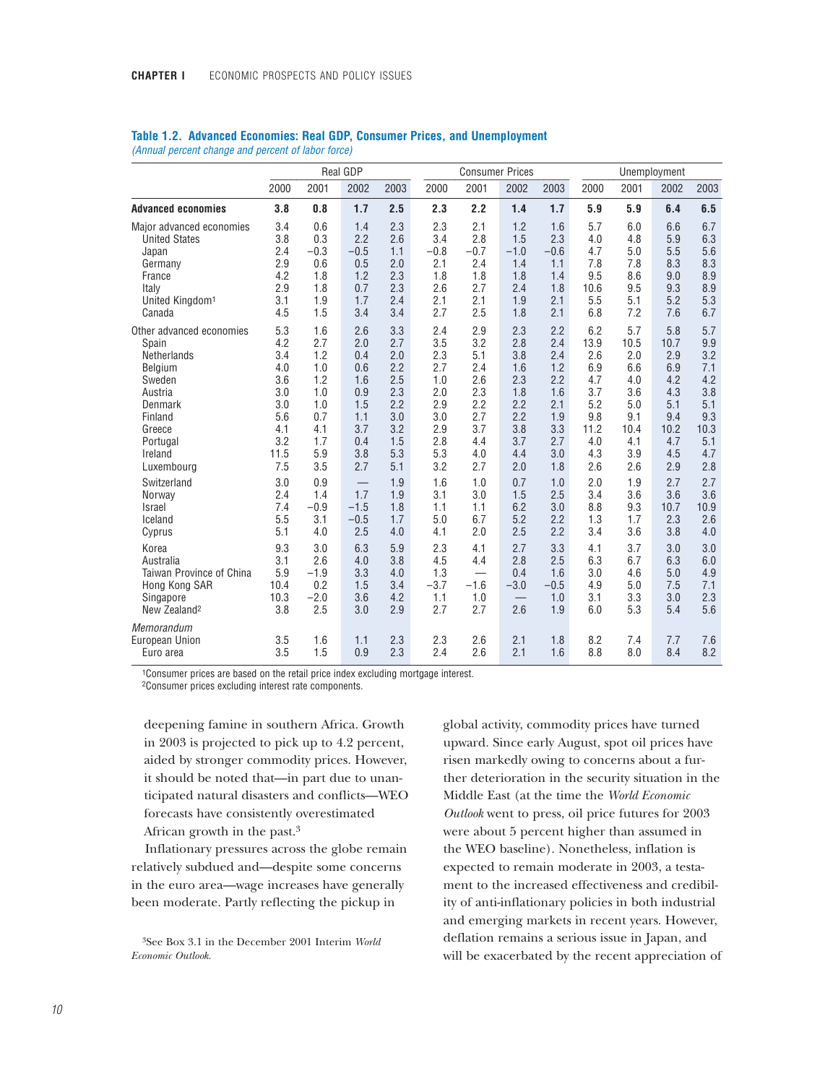|                                                                                                                                                                         |                                                                                   |                                                                                    | Real GDP                                                                                      |                                                                                  |                                                                                  | <b>Consumer Prices</b>                                                           |                                                                                  |                                                                                  | Unemployment                                                                       |                                                                                    |                                                                                    |                                                                                   |
|-------------------------------------------------------------------------------------------------------------------------------------------------------------------------|-----------------------------------------------------------------------------------|------------------------------------------------------------------------------------|-----------------------------------------------------------------------------------------------|----------------------------------------------------------------------------------|----------------------------------------------------------------------------------|----------------------------------------------------------------------------------|----------------------------------------------------------------------------------|----------------------------------------------------------------------------------|------------------------------------------------------------------------------------|------------------------------------------------------------------------------------|------------------------------------------------------------------------------------|-----------------------------------------------------------------------------------|
|                                                                                                                                                                         | 2000                                                                              | 2001                                                                               | 2002                                                                                          | 2003                                                                             | 2000                                                                             | 2001                                                                             | 2002                                                                             | 2003                                                                             | 2000                                                                               | 2001                                                                               | 2002                                                                               | 2003                                                                              |
| <b>Advanced economies</b>                                                                                                                                               | 3.8                                                                               | 0.8                                                                                | 1.7                                                                                           | 2.5                                                                              | 2.3                                                                              | 2.2                                                                              | 1.4                                                                              | 1.7                                                                              | 5.9                                                                                | 5.9                                                                                | 6.4                                                                                | 6.5                                                                               |
| Major advanced economies<br><b>United States</b><br>Japan<br>Germany<br>France<br>Italy<br>United Kingdom <sup>1</sup><br>Canada                                        | 3.4<br>3.8<br>2.4<br>2.9<br>4.2<br>2.9<br>3.1<br>4.5                              | 0.6<br>0.3<br>$-0.3$<br>0.6<br>1.8<br>1.8<br>1.9<br>1.5                            | 1.4<br>2.2<br>$-0.5$<br>0.5<br>1.2<br>0.7<br>1.7<br>3.4                                       | 2.3<br>2.6<br>1.1<br>2.0<br>2.3<br>2.3<br>2.4<br>3.4                             | 2.3<br>3.4<br>$-0.8$<br>2.1<br>1.8<br>2.6<br>2.1<br>2.7                          | 2.1<br>2.8<br>$-0.7$<br>2.4<br>1.8<br>2.7<br>2.1<br>2.5                          | 1.2<br>1.5<br>$-1.0$<br>1.4<br>1.8<br>2.4<br>1.9<br>1.8                          | 1.6<br>2.3<br>$-0.6$<br>1.1<br>1.4<br>1.8<br>2.1<br>2.1                          | 5.7<br>4.0<br>4.7<br>7.8<br>9.5<br>10.6<br>5.5<br>6.8                              | 6.0<br>4.8<br>5.0<br>7.8<br>8.6<br>9.5<br>5.1<br>7.2                               | 6.6<br>5.9<br>5.5<br>8.3<br>9.0<br>9.3<br>5.2<br>7.6                               | 6.7<br>6.3<br>5.6<br>8.3<br>8.9<br>8.9<br>5.3<br>6.7                              |
| Other advanced economies<br>Spain<br>Netherlands<br><b>Belgium</b><br>Sweden<br>Austria<br>Denmark<br>Finland<br>Greece<br>Portugal<br>Ireland<br>Luxembourg            | 5.3<br>4.2<br>3.4<br>4.0<br>3.6<br>3.0<br>3.0<br>5.6<br>4.1<br>3.2<br>11.5<br>7.5 | 1.6<br>2.7<br>1.2<br>1.0<br>1.2<br>1.0<br>1.0<br>0.7<br>4.1<br>1.7<br>5.9<br>3.5   | 2.6<br>2.0<br>0.4<br>0.6<br>1.6<br>0.9<br>1.5<br>1.1<br>3.7<br>0.4<br>3.8<br>2.7              | 3.3<br>2.7<br>2.0<br>2.2<br>2.5<br>2.3<br>2.2<br>3.0<br>3.2<br>1.5<br>5.3<br>5.1 | 2.4<br>3.5<br>2.3<br>2.7<br>1.0<br>2.0<br>2.9<br>3.0<br>2.9<br>2.8<br>5.3<br>3.2 | 2.9<br>3.2<br>5.1<br>2.4<br>2.6<br>2.3<br>2.2<br>2.7<br>3.7<br>4.4<br>4.0<br>2.7 | 2.3<br>2.8<br>3.8<br>1.6<br>2.3<br>1.8<br>2.2<br>2.2<br>3.8<br>3.7<br>4.4<br>2.0 | 2.2<br>2.4<br>2.4<br>1.2<br>2.2<br>1.6<br>2.1<br>1.9<br>3.3<br>2.7<br>3.0<br>1.8 | 6.2<br>13.9<br>2.6<br>6.9<br>4.7<br>3.7<br>5.2<br>9.8<br>11.2<br>4.0<br>4.3<br>2.6 | 5.7<br>10.5<br>2.0<br>6.6<br>4.0<br>3.6<br>5.0<br>9.1<br>10.4<br>4.1<br>3.9<br>2.6 | 5.8<br>10.7<br>2.9<br>6.9<br>4.2<br>4.3<br>5.1<br>9.4<br>10.2<br>4.7<br>4.5<br>2.9 | 5.7<br>9.9<br>3.2<br>7.1<br>4.2<br>3.8<br>5.1<br>9.3<br>10.3<br>5.1<br>4.7<br>2.8 |
| Switzerland<br>Norway<br><b>Israel</b><br>Iceland<br>Cyprus<br>Korea<br>Australia<br>Taiwan Province of China<br>Hong Kong SAR<br>Singapore<br>New Zealand <sup>2</sup> | 3.0<br>2.4<br>7.4<br>5.5<br>5.1<br>9.3<br>3.1<br>5.9<br>10.4<br>10.3<br>3.8       | 0.9<br>1.4<br>$-0.9$<br>3.1<br>4.0<br>3.0<br>2.6<br>$-1.9$<br>0.2<br>$-2.0$<br>2.5 | $\qquad \qquad -$<br>1.7<br>$-1.5$<br>$-0.5$<br>2.5<br>6.3<br>4.0<br>3.3<br>1.5<br>3.6<br>3.0 | 1.9<br>1.9<br>1.8<br>1.7<br>4.0<br>5.9<br>3.8<br>4.0<br>3.4<br>4.2<br>2.9        | 1.6<br>3.1<br>1.1<br>5.0<br>4.1<br>2.3<br>4.5<br>1.3<br>$-3.7$<br>1.1<br>2.7     | 1.0<br>3.0<br>1.1<br>6.7<br>2.0<br>4.1<br>4.4<br>$-1.6$<br>1.0<br>2.7            | 0.7<br>1.5<br>6.2<br>5.2<br>2.5<br>2.7<br>2.8<br>0.4<br>$-3.0$<br>2.6            | 1.0<br>2.5<br>3.0<br>2.2<br>2.2<br>3.3<br>2.5<br>1.6<br>$-0.5$<br>1.0<br>1.9     | 2.0<br>3.4<br>8.8<br>1.3<br>3.4<br>4.1<br>6.3<br>3.0<br>4.9<br>3.1<br>6.0          | 1.9<br>3.6<br>9.3<br>1.7<br>3.6<br>3.7<br>6.7<br>4.6<br>5.0<br>3.3<br>5.3          | 2.7<br>3.6<br>10.7<br>2.3<br>3.8<br>3.0<br>6.3<br>5.0<br>7.5<br>3.0<br>5.4         | 2.7<br>3.6<br>10.9<br>2.6<br>4.0<br>3.0<br>6.0<br>4.9<br>7.1<br>2.3<br>5.6        |
| Memorandum<br>European Union<br>Euro area                                                                                                                               | 3.5<br>3.5                                                                        | 1.6<br>1.5                                                                         | 1.1<br>0.9                                                                                    | 2.3<br>2.3                                                                       | 2.3<br>2.4                                                                       | 2.6<br>2.6                                                                       | 2.1<br>2.1                                                                       | 1.8<br>1.6                                                                       | 8.2<br>8.8                                                                         | 7.4<br>8.0                                                                         | 7.7<br>8.4                                                                         | 7.6<br>8.2                                                                        |

### **Table 1.2. Advanced Economies: Real GDP, Consumer Prices, and Unemployment** *(Annual percent change and percent of labor force)*

1Consumer prices are based on the retail price index excluding mortgage interest.

2Consumer prices excluding interest rate components.

deepening famine in southern Africa. Growth in 2003 is projected to pick up to 4.2 percent, aided by stronger commodity prices. However, it should be noted that—in part due to unanticipated natural disasters and conflicts—WEO forecasts have consistently overestimated African growth in the past.3

Inflationary pressures across the globe remain relatively subdued and—despite some concerns in the euro area—wage increases have generally been moderate. Partly reflecting the pickup in

global activity, commodity prices have turned upward. Since early August, spot oil prices have risen markedly owing to concerns about a further deterioration in the security situation in the Middle East (at the time the *World Economic Outlook* went to press, oil price futures for 2003 were about 5 percent higher than assumed in the WEO baseline). Nonetheless, inflation is expected to remain moderate in 2003, a testament to the increased effectiveness and credibility of anti-inflationary policies in both industrial and emerging markets in recent years. However, deflation remains a serious issue in Japan, and will be exacerbated by the recent appreciation of

<sup>3</sup>See Box 3.1 in the December 2001 Interim *World Economic Outlook*.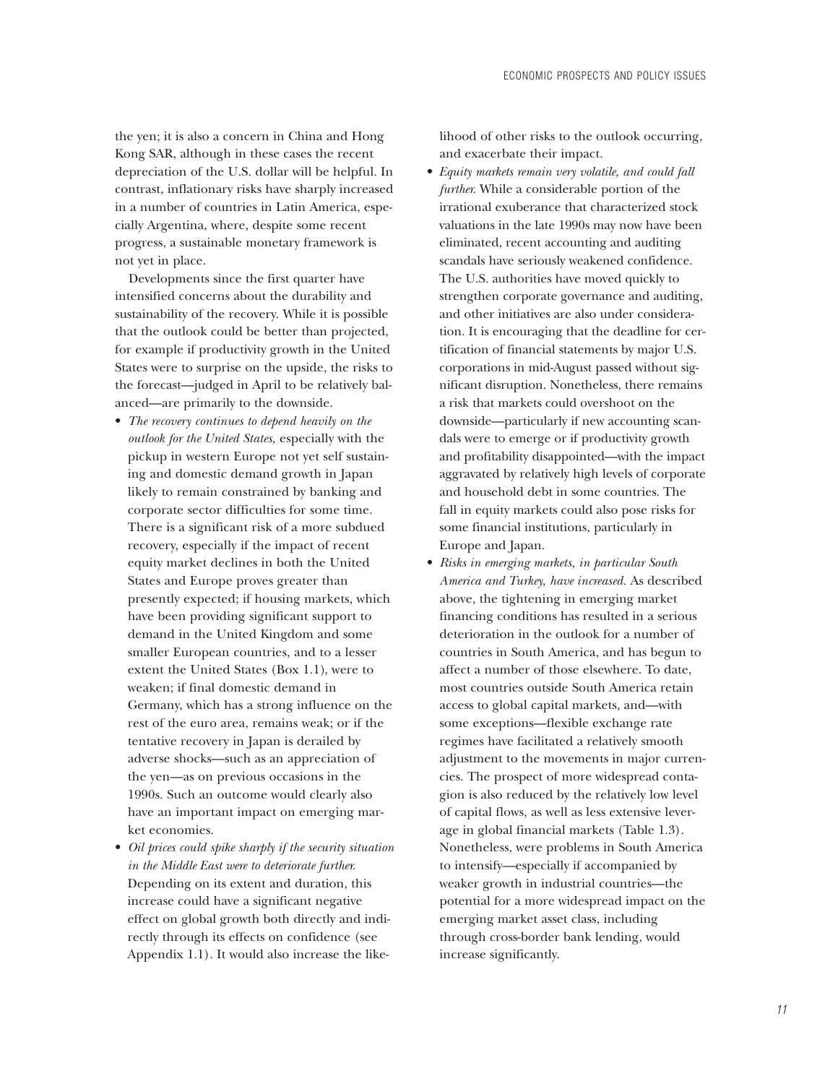the yen; it is also a concern in China and Hong Kong SAR, although in these cases the recent depreciation of the U.S. dollar will be helpful. In contrast, inflationary risks have sharply increased in a number of countries in Latin America, especially Argentina, where, despite some recent progress, a sustainable monetary framework is not yet in place.

Developments since the first quarter have intensified concerns about the durability and sustainability of the recovery. While it is possible that the outlook could be better than projected, for example if productivity growth in the United States were to surprise on the upside, the risks to the forecast—judged in April to be relatively balanced—are primarily to the downside.

- *The recovery continues to depend heavily on the outlook for the United States,* especially with the pickup in western Europe not yet self sustaining and domestic demand growth in Japan likely to remain constrained by banking and corporate sector difficulties for some time. There is a significant risk of a more subdued recovery, especially if the impact of recent equity market declines in both the United States and Europe proves greater than presently expected; if housing markets, which have been providing significant support to demand in the United Kingdom and some smaller European countries, and to a lesser extent the United States (Box 1.1), were to weaken; if final domestic demand in Germany, which has a strong influence on the rest of the euro area, remains weak; or if the tentative recovery in Japan is derailed by adverse shocks—such as an appreciation of the yen—as on previous occasions in the 1990s. Such an outcome would clearly also have an important impact on emerging market economies.
- *Oil prices could spike sharply if the security situation in the Middle East were to deteriorate further.* Depending on its extent and duration, this increase could have a significant negative effect on global growth both directly and indirectly through its effects on confidence (see Appendix 1.1). It would also increase the like-

lihood of other risks to the outlook occurring, and exacerbate their impact.

- *Equity markets remain very volatile, and could fall further.* While a considerable portion of the irrational exuberance that characterized stock valuations in the late 1990s may now have been eliminated, recent accounting and auditing scandals have seriously weakened confidence. The U.S. authorities have moved quickly to strengthen corporate governance and auditing, and other initiatives are also under consideration. It is encouraging that the deadline for certification of financial statements by major U.S. corporations in mid-August passed without significant disruption. Nonetheless, there remains a risk that markets could overshoot on the downside—particularly if new accounting scandals were to emerge or if productivity growth and profitability disappointed—with the impact aggravated by relatively high levels of corporate and household debt in some countries. The fall in equity markets could also pose risks for some financial institutions, particularly in Europe and Japan.
- *Risks in emerging markets, in particular South America and Turkey, have increased.* As described above, the tightening in emerging market financing conditions has resulted in a serious deterioration in the outlook for a number of countries in South America, and has begun to affect a number of those elsewhere. To date, most countries outside South America retain access to global capital markets, and—with some exceptions—flexible exchange rate regimes have facilitated a relatively smooth adjustment to the movements in major currencies. The prospect of more widespread contagion is also reduced by the relatively low level of capital flows, as well as less extensive leverage in global financial markets (Table 1.3). Nonetheless, were problems in South America to intensify—especially if accompanied by weaker growth in industrial countries—the potential for a more widespread impact on the emerging market asset class, including through cross-border bank lending, would increase significantly.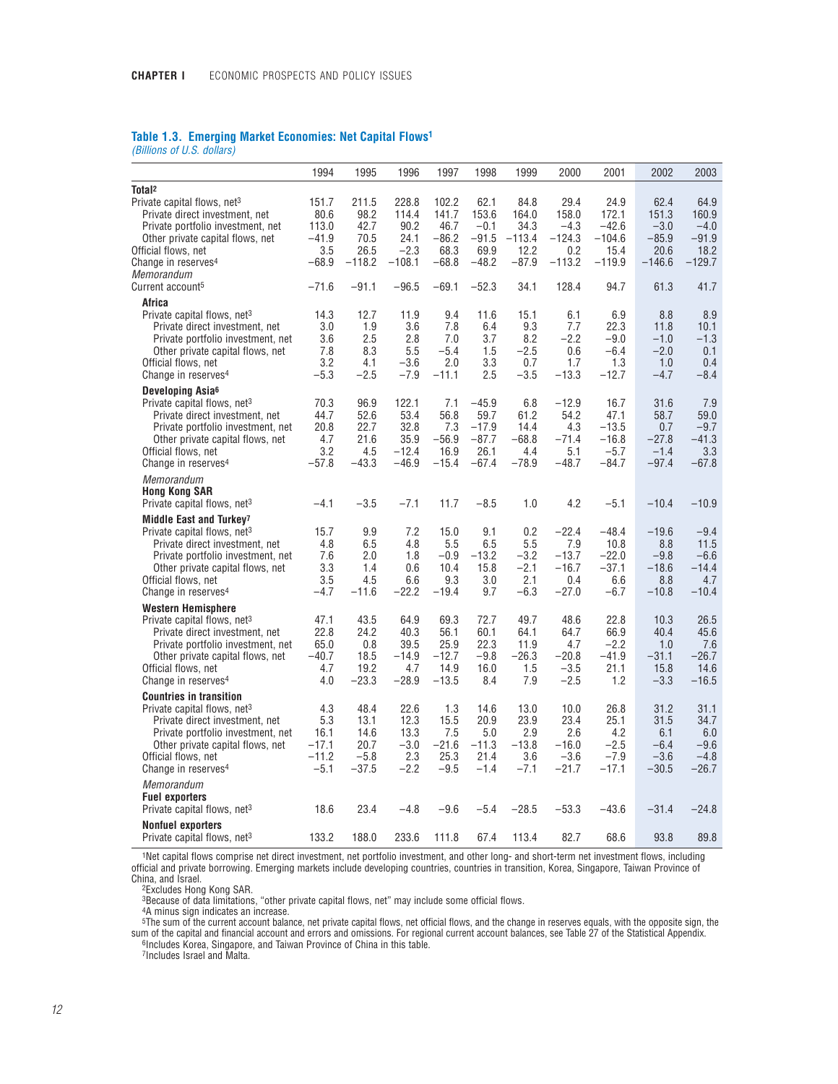## **Table 1.3. Emerging Market Economies: Net Capital Flows1**

*(Billions of U.S. dollars)*

|                                                                                                                                                                                                                                                     | 1994                                               | 1995                                              | 1996                                                | 1997                                               | 1998                                                     | 1999                                             | 2000                                                   | 2001                                                    | 2002                                                  | 2003                                                  |
|-----------------------------------------------------------------------------------------------------------------------------------------------------------------------------------------------------------------------------------------------------|----------------------------------------------------|---------------------------------------------------|-----------------------------------------------------|----------------------------------------------------|----------------------------------------------------------|--------------------------------------------------|--------------------------------------------------------|---------------------------------------------------------|-------------------------------------------------------|-------------------------------------------------------|
| Total <sup>2</sup><br>Private capital flows, net <sup>3</sup>                                                                                                                                                                                       | 151.7                                              | 211.5                                             | 228.8                                               | 102.2                                              | 62.1                                                     | 84.8                                             | 29.4                                                   | 24.9                                                    | 62.4                                                  | 64.9                                                  |
| Private direct investment, net<br>Private portfolio investment, net<br>Other private capital flows, net<br>Official flows, net<br>Change in reserves <sup>4</sup>                                                                                   | 80.6<br>113.0<br>$-41.9$<br>3.5<br>$-68.9$         | 98.2<br>42.7<br>70.5<br>26.5<br>$-118.2$          | 114.4<br>90.2<br>24.1<br>$-2.3$<br>$-108.1$         | 141.7<br>46.7<br>$-86.2$<br>68.3<br>$-68.8$        | 153.6<br>$-0.1$<br>$-91.5$<br>69.9<br>$-48.2$            | 164.0<br>34.3<br>$-113.4$<br>12.2<br>$-87.9$     | 158.0<br>$-4.3$<br>$-124.3$<br>0.2<br>$-113.2$         | 172.1<br>$-42.6$<br>$-104.6$<br>15.4<br>$-119.9$        | 151.3<br>$-3.0$<br>$-85.9$<br>20.6<br>$-146.6$        | 160.9<br>$-4.0$<br>$-91.9$<br>18.2<br>$-129.7$        |
| Memorandum<br>Current account <sup>5</sup>                                                                                                                                                                                                          | $-71.6$                                            | $-91.1$                                           | $-96.5$                                             | $-69.1$                                            | $-52.3$                                                  | 34.1                                             | 128.4                                                  | 94.7                                                    | 61.3                                                  | 41.7                                                  |
| Africa                                                                                                                                                                                                                                              |                                                    |                                                   |                                                     |                                                    |                                                          |                                                  |                                                        |                                                         |                                                       |                                                       |
| Private capital flows, net <sup>3</sup><br>Private direct investment, net<br>Private portfolio investment, net<br>Other private capital flows, net<br>Official flows, net<br>Change in reserves <sup>4</sup>                                        | 14.3<br>3.0<br>3.6<br>7.8<br>3.2<br>$-5.3$         | 12.7<br>1.9<br>2.5<br>8.3<br>4.1<br>$-2.5$        | 11.9<br>3.6<br>2.8<br>5.5<br>$-3.6$<br>$-7.9$       | 9.4<br>7.8<br>7.0<br>$-5.4$<br>2.0<br>$-11.1$      | 11.6<br>6.4<br>3.7<br>1.5<br>3.3<br>2.5                  | 15.1<br>9.3<br>8.2<br>$-2.5$<br>0.7<br>$-3.5$    | 6.1<br>7.7<br>$-2.2$<br>0.6<br>1.7<br>$-13.3$          | 6.9<br>22.3<br>$-9.0$<br>$-6.4$<br>1.3<br>$-12.7$       | 8.8<br>11.8<br>$-1.0$<br>$-2.0$<br>1.0<br>$-4.7$      | 8.9<br>10.1<br>$-1.3$<br>0.1<br>0.4<br>$-8.4$         |
| Developing Asia <sup>6</sup><br>Private capital flows, net <sup>3</sup><br>Private direct investment, net<br>Private portfolio investment, net<br>Other private capital flows, net<br>Official flows, net<br>Change in reserves <sup>4</sup>        | 70.3<br>44.7<br>20.8<br>4.7<br>3.2<br>$-57.8$      | 96.9<br>52.6<br>22.7<br>21.6<br>4.5<br>$-43.3$    | 122.1<br>53.4<br>32.8<br>35.9<br>$-12.4$<br>$-46.9$ | 7.1<br>56.8<br>7.3<br>$-56.9$<br>16.9<br>$-15.4$   | $-45.9$<br>59.7<br>$-17.9$<br>$-87.7$<br>26.1<br>$-67.4$ | 6.8<br>61.2<br>14.4<br>$-68.8$<br>4.4<br>$-78.9$ | $-12.9$<br>54.2<br>4.3<br>$-71.4$<br>5.1<br>$-48.7$    | 16.7<br>47.1<br>$-13.5$<br>$-16.8$<br>$-5.7$<br>$-84.7$ | 31.6<br>58.7<br>0.7<br>$-27.8$<br>$-1.4$<br>$-97.4$   | 7.9<br>59.0<br>$-9.7$<br>$-41.3$<br>3.3<br>$-67.8$    |
| Memorandum<br><b>Hong Kong SAR</b><br>Private capital flows, net <sup>3</sup>                                                                                                                                                                       | $-4.1$                                             | $-3.5$                                            | $-7.1$                                              | 11.7                                               | $-8.5$                                                   | 1.0                                              | 4.2                                                    | $-5.1$                                                  | $-10.4$                                               | $-10.9$                                               |
| Middle East and Turkey <sup>7</sup><br>Private capital flows, net <sup>3</sup><br>Private direct investment, net<br>Private portfolio investment, net<br>Other private capital flows, net<br>Official flows, net<br>Change in reserves <sup>4</sup> | 15.7<br>4.8<br>7.6<br>3.3<br>3.5<br>$-4.7$         | 9.9<br>6.5<br>2.0<br>1.4<br>4.5<br>$-11.6$        | 7.2<br>4.8<br>1.8<br>0.6<br>6.6<br>$-22.2$          | 15.0<br>5.5<br>$-0.9$<br>10.4<br>9.3<br>$-19.4$    | 9.1<br>6.5<br>$-13.2$<br>15.8<br>3.0<br>9.7              | 0.2<br>5.5<br>$-3.2$<br>$-2.1$<br>2.1<br>$-6.3$  | $-22.4$<br>7.9<br>$-13.7$<br>$-16.7$<br>0.4<br>$-27.0$ | $-48.4$<br>10.8<br>$-22.0$<br>$-37.1$<br>6.6<br>$-6.7$  | $-19.6$<br>8.8<br>$-9.8$<br>$-18.6$<br>8.8<br>$-10.8$ | $-9.4$<br>11.5<br>$-6.6$<br>$-14.4$<br>4.7<br>$-10.4$ |
| <b>Western Hemisphere</b><br>Private capital flows, net <sup>3</sup><br>Private direct investment, net<br>Private portfolio investment, net<br>Other private capital flows, net<br>Official flows, net<br>Change in reserves <sup>4</sup>           | 47.1<br>22.8<br>65.0<br>$-40.7$<br>4.7<br>4.0      | 43.5<br>24.2<br>0.8<br>18.5<br>19.2<br>$-23.3$    | 64.9<br>40.3<br>39.5<br>$-14.9$<br>4.7<br>$-28.9$   | 69.3<br>56.1<br>25.9<br>$-12.7$<br>14.9<br>$-13.5$ | 72.7<br>60.1<br>22.3<br>$-9.8$<br>16.0<br>8.4            | 49.7<br>64.1<br>11.9<br>$-26.3$<br>1.5<br>7.9    | 48.6<br>64.7<br>4.7<br>$-20.8$<br>$-3.5$<br>$-2.5$     | 22.8<br>66.9<br>$-2.2$<br>$-41.9$<br>21.1<br>1.2        | 10.3<br>40.4<br>1.0<br>$-31.1$<br>15.8<br>$-3.3$      | 26.5<br>45.6<br>7.6<br>$-26.7$<br>14.6<br>$-16.5$     |
| <b>Countries in transition</b><br>Private capital flows, net <sup>3</sup><br>Private direct investment, net<br>Private portfolio investment, net<br>Other private capital flows, net<br>Official flows, net<br>Change in reserves <sup>4</sup>      | 4.3<br>5.3<br>16.1<br>$-17.1$<br>$-11.2$<br>$-5.1$ | 48.4<br>13.1<br>14.6<br>20.7<br>$-5.8$<br>$-37.5$ | 22.6<br>12.3<br>13.3<br>$-3.0$<br>2.3<br>$-2.2$     | 1.3<br>15.5<br>7.5<br>$-21.6$<br>25.3<br>$-9.5$    | 14.6<br>20.9<br>5.0<br>$-11.3$<br>21.4<br>$-1.4$         | 13.0<br>23.9<br>2.9<br>$-13.8$<br>3.6<br>$-7.1$  | 10.0<br>23.4<br>2.6<br>$-16.0$<br>$-3.6$<br>$-21.7$    | 26.8<br>25.1<br>4.2<br>$-2.5$<br>$-7.9$<br>$-17.1$      | 31.2<br>31.5<br>6.1<br>$-6.4$<br>$-3.6$<br>$-30.5$    | 31.1<br>34.7<br>6.0<br>$-9.6$<br>$-4.8$<br>$-26.7$    |
| Memorandum<br><b>Fuel exporters</b><br>Private capital flows, net <sup>3</sup>                                                                                                                                                                      | 18.6                                               | 23.4                                              | $-4.8$                                              | $-9.6$                                             | $-5.4$                                                   | $-28.5$                                          | $-53.3$                                                | $-43.6$                                                 | $-31.4$                                               | $-24.8$                                               |
| <b>Nonfuel exporters</b><br>Private capital flows, net <sup>3</sup>                                                                                                                                                                                 | 133.2                                              | 188.0                                             | 233.6                                               | 111.8                                              | 67.4                                                     | 113.4                                            | 82.7                                                   | 68.6                                                    | 93.8                                                  | 89.8                                                  |

1Net capital flows comprise net direct investment, net portfolio investment, and other long- and short-term net investment flows, including official and private borrowing. Emerging markets include developing countries, countries in transition, Korea, Singapore, Taiwan Province of China, and Israel.

2Excludes Hong Kong SAR.

3Because of data limitations, "other private capital flows, net" may include some official flows.

4A minus sign indicates an increase. 5The sum of the current account balance, net private capital flows, net official flows, and the change in reserves equals, with the opposite sign, the sum of the capital and financial account and errors and omissions. For regional current account balances, see Table 27 of the Statistical Appendix.<br><sup>6</sup>Includes Korea, Singapore, and Taiwan Province of China in this table.

7Includes Israel and Malta.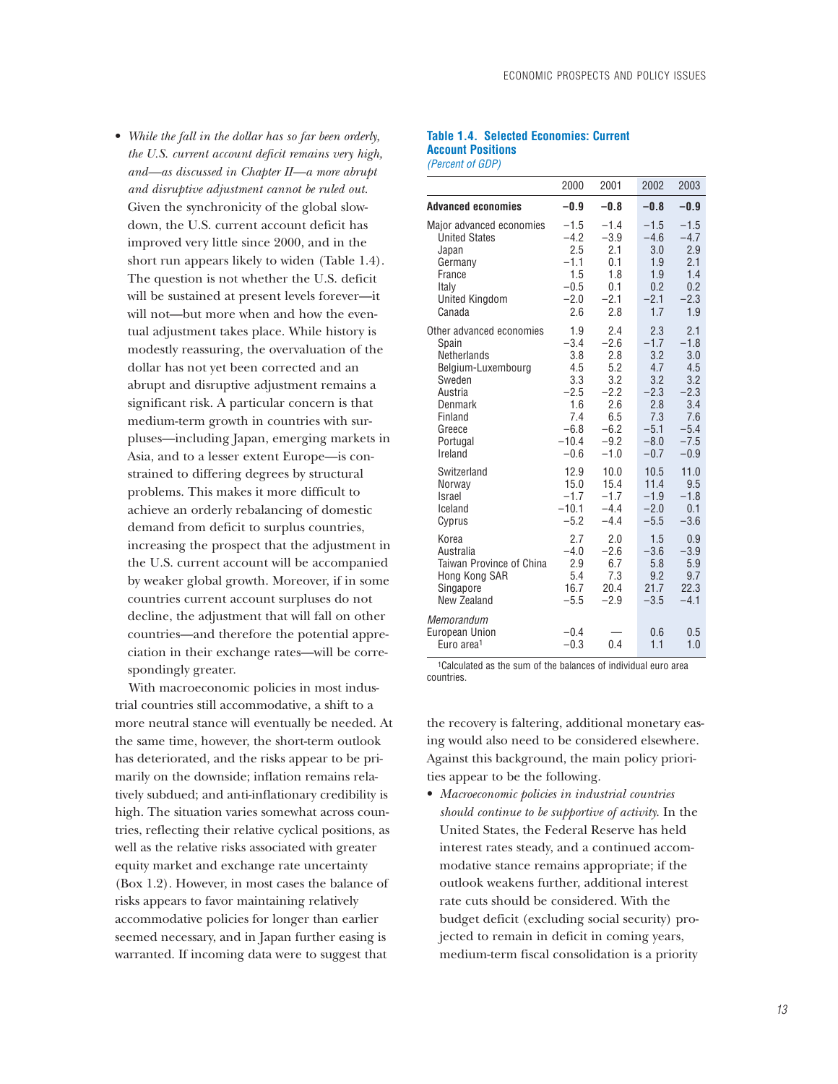• *While the fall in the dollar has so far been orderly, the U.S. current account deficit remains very high, and—as discussed in Chapter II—a more abrupt and disruptive adjustment cannot be ruled out.* Given the synchronicity of the global slowdown, the U.S. current account deficit has improved very little since 2000, and in the short run appears likely to widen (Table 1.4). The question is not whether the U.S. deficit will be sustained at present levels forever—it will not—but more when and how the eventual adjustment takes place. While history is modestly reassuring, the overvaluation of the dollar has not yet been corrected and an abrupt and disruptive adjustment remains a significant risk. A particular concern is that medium-term growth in countries with surpluses—including Japan, emerging markets in Asia, and to a lesser extent Europe—is constrained to differing degrees by structural problems. This makes it more difficult to achieve an orderly rebalancing of domestic demand from deficit to surplus countries, increasing the prospect that the adjustment in the U.S. current account will be accompanied by weaker global growth. Moreover, if in some countries current account surpluses do not decline, the adjustment that will fall on other countries—and therefore the potential appreciation in their exchange rates—will be correspondingly greater.

With macroeconomic policies in most industrial countries still accommodative, a shift to a more neutral stance will eventually be needed. At the same time, however, the short-term outlook has deteriorated, and the risks appear to be primarily on the downside; inflation remains relatively subdued; and anti-inflationary credibility is high. The situation varies somewhat across countries, reflecting their relative cyclical positions, as well as the relative risks associated with greater equity market and exchange rate uncertainty (Box 1.2). However, in most cases the balance of risks appears to favor maintaining relatively accommodative policies for longer than earlier seemed necessary, and in Japan further easing is warranted. If incoming data were to suggest that

### **Table 1.4. Selected Economies: Current Account Positions** *(Percent of GDP)*

|                                                                                                                                                    | 2000                                                                                      | 2001                                                                                     | 2002                                                                                     | 2003                                                                                     |
|----------------------------------------------------------------------------------------------------------------------------------------------------|-------------------------------------------------------------------------------------------|------------------------------------------------------------------------------------------|------------------------------------------------------------------------------------------|------------------------------------------------------------------------------------------|
| <b>Advanced economies</b>                                                                                                                          | $-0.9$                                                                                    | $-0.8$                                                                                   | $-0.8$                                                                                   | $-0.9$                                                                                   |
| Major advanced economies<br><b>United States</b><br>Japan<br>Germany<br>France<br>Italy<br><b>United Kingdom</b><br>Canada                         | $-1.5$<br>$-4.2$<br>2.5<br>$-1.1$<br>1.5<br>$-0.5$<br>$-2.0$<br>2.6                       | $-1.4$<br>$-3.9$<br>2.1<br>0.1<br>1.8<br>0.1<br>$-2.1$<br>2.8                            | $-1.5$<br>$-4.6$<br>3.0<br>1.9<br>1.9<br>0.2<br>$-2.1$<br>1.7                            | $-1.5$<br>$-4.7$<br>2.9<br>2.1<br>1.4<br>0.2<br>$-2.3$<br>1.9                            |
| Other advanced economies<br>Spain<br>Netherlands<br>Belgium-Luxembourg<br>Sweden<br>Austria<br>Denmark<br>Finland<br>Greece<br>Portugal<br>Ireland | 1.9<br>$-3.4$<br>3.8<br>4.5<br>3.3<br>$-2.5$<br>1.6<br>7.4<br>$-6.8$<br>$-10.4$<br>$-0.6$ | 2.4<br>$-2.6$<br>2.8<br>5.2<br>3.2<br>$-2.2$<br>2.6<br>6.5<br>$-6.2$<br>$-9.2$<br>$-1.0$ | 2.3<br>$-1.7$<br>3.2<br>4.7<br>3.2<br>$-2.3$<br>2.8<br>7.3<br>$-5.1$<br>$-8.0$<br>$-0.7$ | 2.1<br>$-1.8$<br>3.0<br>4.5<br>3.2<br>$-2.3$<br>3.4<br>7.6<br>$-5.4$<br>$-7.5$<br>$-0.9$ |
| Switzerland<br>Norway<br><b>Israel</b><br>Iceland<br>Cyprus                                                                                        | 12.9<br>15.0<br>$-1.7$<br>$-10.1$<br>$-5.2$                                               | 10.0<br>15.4<br>$-1.7$<br>$-4.4$<br>$-4.4$                                               | 10.5<br>11.4<br>$-1.9$<br>$-2.0$<br>$-5.5$                                               | 11.0<br>9.5<br>$-1.8$<br>0.1<br>$-3.6$                                                   |
| Korea<br>Australia<br>Taiwan Province of China<br>Hong Kong SAR<br>Singapore<br>New Zealand                                                        | 2.7<br>$-4.0$<br>2.9<br>5.4<br>16.7<br>$-5.5$                                             | 2.0<br>$-2.6$<br>6.7<br>7.3<br>20.4<br>$-2.9$                                            | 1.5<br>$-3.6$<br>5.8<br>9.2<br>21.7<br>$-3.5$                                            | 0.9<br>$-3.9$<br>5.9<br>9.7<br>22.3<br>$-4.1$                                            |
| Memorandum<br><b>European Union</b><br>Euro area <sup>1</sup>                                                                                      | $-0.4$<br>$-0.3$                                                                          | 0.4                                                                                      | 0.6<br>1.1                                                                               | 0.5<br>1.0                                                                               |
|                                                                                                                                                    |                                                                                           |                                                                                          |                                                                                          |                                                                                          |

1Calculated as the sum of the balances of individual euro area countries.

the recovery is faltering, additional monetary easing would also need to be considered elsewhere. Against this background, the main policy priorities appear to be the following.

• *Macroeconomic policies in industrial countries should continue to be supportive of activity.* In the United States, the Federal Reserve has held interest rates steady, and a continued accommodative stance remains appropriate; if the outlook weakens further, additional interest rate cuts should be considered. With the budget deficit (excluding social security) projected to remain in deficit in coming years, medium-term fiscal consolidation is a priority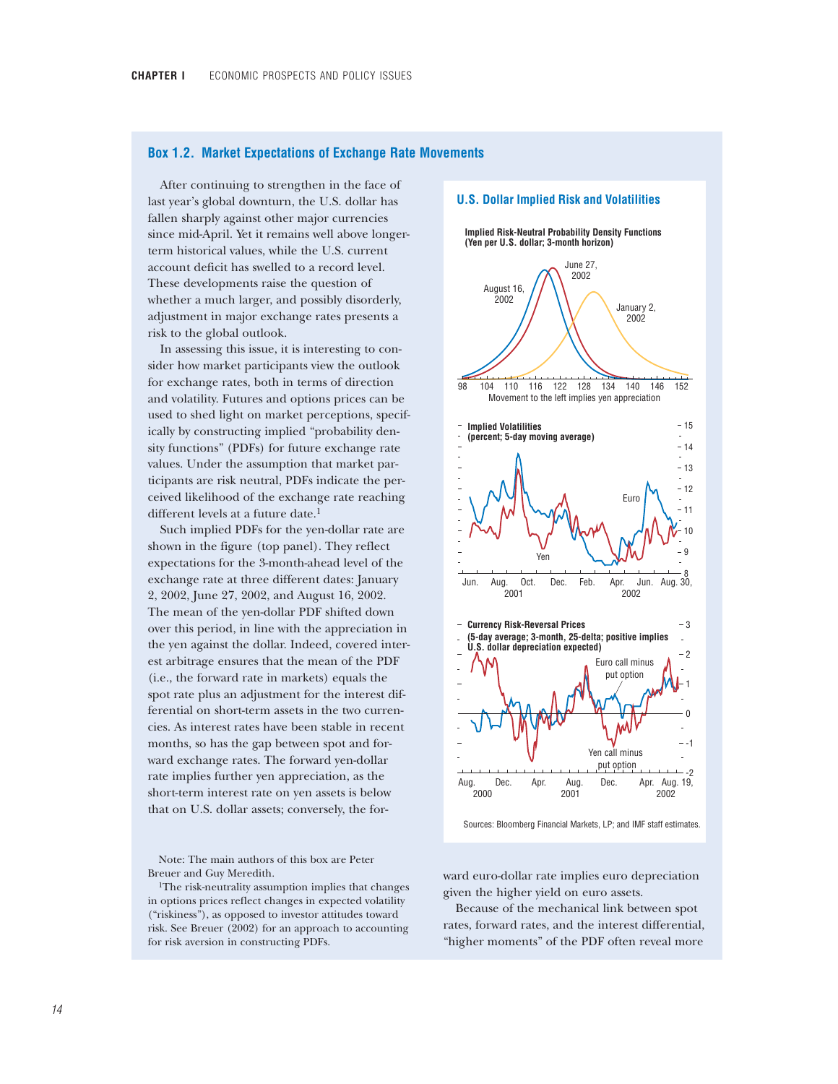## **Box 1.2. Market Expectations of Exchange Rate Movements**

After continuing to strengthen in the face of last year's global downturn, the U.S. dollar has fallen sharply against other major currencies since mid-April. Yet it remains well above longerterm historical values, while the U.S. current account deficit has swelled to a record level. These developments raise the question of whether a much larger, and possibly disorderly, adjustment in major exchange rates presents a risk to the global outlook.

In assessing this issue, it is interesting to consider how market participants view the outlook for exchange rates, both in terms of direction and volatility. Futures and options prices can be used to shed light on market perceptions, specifically by constructing implied "probability density functions" (PDFs) for future exchange rate values. Under the assumption that market participants are risk neutral, PDFs indicate the perceived likelihood of the exchange rate reaching different levels at a future date.<sup>1</sup>

Such implied PDFs for the yen-dollar rate are shown in the figure (top panel). They reflect expectations for the 3-month-ahead level of the exchange rate at three different dates: January 2, 2002, June 27, 2002, and August 16, 2002. The mean of the yen-dollar PDF shifted down over this period, in line with the appreciation in the yen against the dollar. Indeed, covered interest arbitrage ensures that the mean of the PDF (i.e., the forward rate in markets) equals the spot rate plus an adjustment for the interest differential on short-term assets in the two currencies. As interest rates have been stable in recent months, so has the gap between spot and forward exchange rates. The forward yen-dollar rate implies further yen appreciation, as the short-term interest rate on yen assets is below that on U.S. dollar assets; conversely, the for-

Note: The main authors of this box are Peter Breuer and Guy Meredith.

1The risk-neutrality assumption implies that changes in options prices reflect changes in expected volatility ("riskiness"), as opposed to investor attitudes toward risk. See Breuer (2002) for an approach to accounting for risk aversion in constructing PDFs.



Sources: Bloomberg Financial Markets, LP; and IMF staff estimates.

ward euro-dollar rate implies euro depreciation given the higher yield on euro assets.

Because of the mechanical link between spot rates, forward rates, and the interest differential, "higher moments" of the PDF often reveal more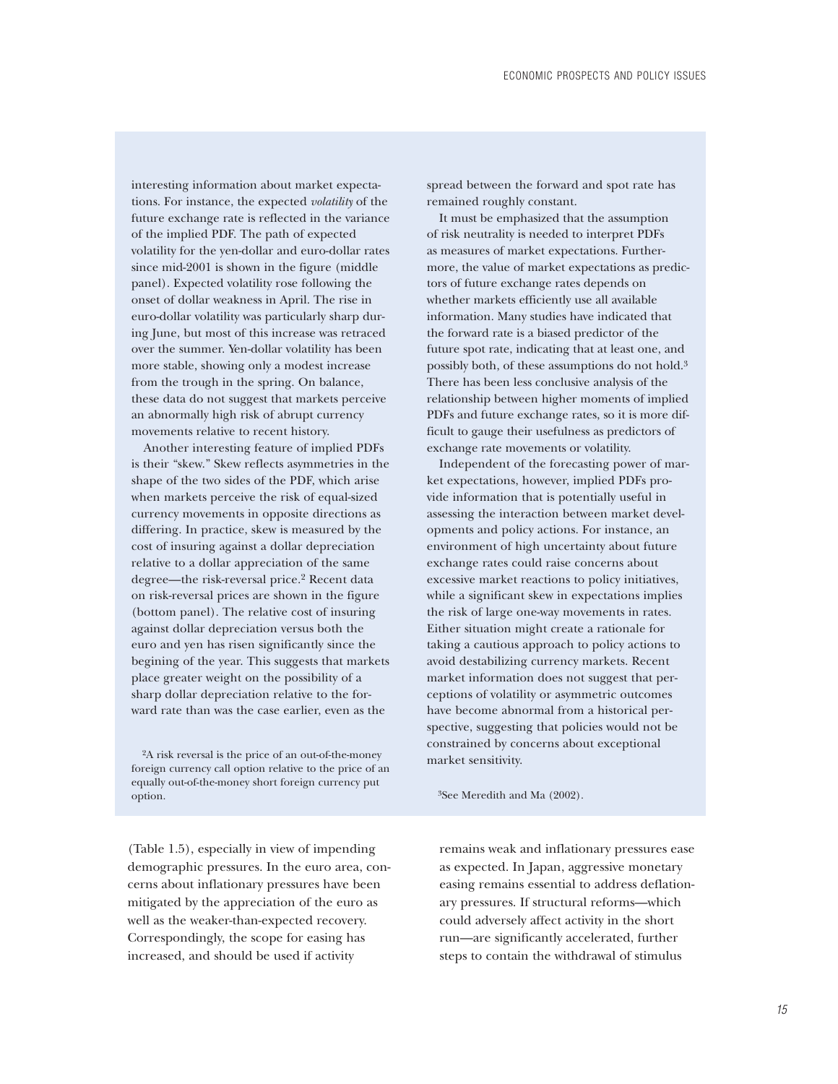interesting information about market expectations. For instance, the expected *volatility* of the future exchange rate is reflected in the variance of the implied PDF. The path of expected volatility for the yen-dollar and euro-dollar rates since mid-2001 is shown in the figure (middle panel). Expected volatility rose following the onset of dollar weakness in April. The rise in euro-dollar volatility was particularly sharp during June, but most of this increase was retraced over the summer. Yen-dollar volatility has been more stable, showing only a modest increase from the trough in the spring. On balance, these data do not suggest that markets perceive an abnormally high risk of abrupt currency movements relative to recent history.

Another interesting feature of implied PDFs is their "skew." Skew reflects asymmetries in the shape of the two sides of the PDF, which arise when markets perceive the risk of equal-sized currency movements in opposite directions as differing. In practice, skew is measured by the cost of insuring against a dollar depreciation relative to a dollar appreciation of the same degree—the risk-reversal price.2 Recent data on risk-reversal prices are shown in the figure (bottom panel). The relative cost of insuring against dollar depreciation versus both the euro and yen has risen significantly since the begining of the year. This suggests that markets place greater weight on the possibility of a sharp dollar depreciation relative to the forward rate than was the case earlier, even as the

<sup>2</sup>A risk reversal is the price of an out-of-the-money market sensitivity. foreign currency call option relative to the price of an equally out-of-the-money short foreign currency put option. <sup>3</sup>See Meredith and Ma (2002).

spread between the forward and spot rate has remained roughly constant.

It must be emphasized that the assumption of risk neutrality is needed to interpret PDFs as measures of market expectations. Furthermore, the value of market expectations as predictors of future exchange rates depends on whether markets efficiently use all available information. Many studies have indicated that the forward rate is a biased predictor of the future spot rate, indicating that at least one, and possibly both, of these assumptions do not hold.3 There has been less conclusive analysis of the relationship between higher moments of implied PDFs and future exchange rates, so it is more difficult to gauge their usefulness as predictors of exchange rate movements or volatility.

Independent of the forecasting power of market expectations, however, implied PDFs provide information that is potentially useful in assessing the interaction between market developments and policy actions. For instance, an environment of high uncertainty about future exchange rates could raise concerns about excessive market reactions to policy initiatives, while a significant skew in expectations implies the risk of large one-way movements in rates. Either situation might create a rationale for taking a cautious approach to policy actions to avoid destabilizing currency markets. Recent market information does not suggest that perceptions of volatility or asymmetric outcomes have become abnormal from a historical perspective, suggesting that policies would not be constrained by concerns about exceptional

(Table 1.5), especially in view of impending demographic pressures. In the euro area, concerns about inflationary pressures have been mitigated by the appreciation of the euro as well as the weaker-than-expected recovery. Correspondingly, the scope for easing has increased, and should be used if activity

remains weak and inflationary pressures ease as expected. In Japan, aggressive monetary easing remains essential to address deflationary pressures. If structural reforms—which could adversely affect activity in the short run—are significantly accelerated, further steps to contain the withdrawal of stimulus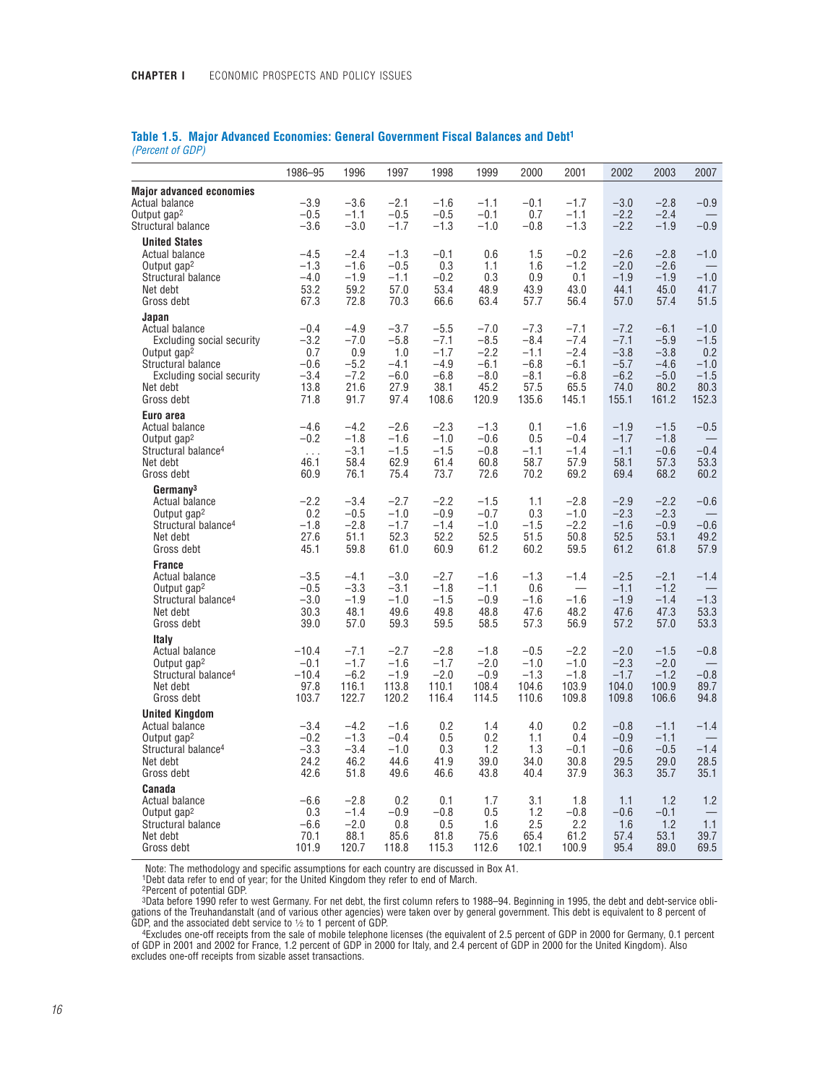# **Table 1.5. Major Advanced Economies: General Government Fiscal Balances and Debt1**

*(Percent of GDP)*

|                                                                                                                                                              | 1986-95                                                     | 1996                                                        | 1997                                                        | 1998                                                            | 1999                                                            | 2000                                                            | 2001                                                            | 2002                                                            | 2003                                                            | 2007                                                         |
|--------------------------------------------------------------------------------------------------------------------------------------------------------------|-------------------------------------------------------------|-------------------------------------------------------------|-------------------------------------------------------------|-----------------------------------------------------------------|-----------------------------------------------------------------|-----------------------------------------------------------------|-----------------------------------------------------------------|-----------------------------------------------------------------|-----------------------------------------------------------------|--------------------------------------------------------------|
| <b>Major advanced economies</b><br>Actual balance<br>Output gap <sup>2</sup><br>Structural balance                                                           | $-3.9$<br>$-0.5$<br>$-3.6$                                  | $-3.6$<br>$-1.1$<br>$-3.0$                                  | $-2.1$<br>$-0.5$<br>$-1.7$                                  | $-1.6$<br>$-0.5$<br>$-1.3$                                      | $-1.1$<br>$-0.1$<br>$-1.0$                                      | $-0.1$<br>0.7<br>$-0.8$                                         | $-1.7$<br>$-1.1$<br>$-1.3$                                      | $-3.0$<br>$-2.2$<br>$-2.2$                                      | $-2.8$<br>$-2.4$<br>$-1.9$                                      | $-0.9$<br>$-0.9$                                             |
| <b>United States</b><br>Actual balance<br>Output gap <sup>2</sup><br>Structural balance<br>Net debt<br>Gross debt                                            | $-4.5$<br>$-1.3$<br>$-4.0$<br>53.2<br>67.3                  | $-2.4$<br>$-1.6$<br>$-1.9$<br>59.2<br>72.8                  | $-1.3$<br>$-0.5$<br>$-1.1$<br>57.0<br>70.3                  | $-0.1$<br>0.3<br>$-0.2$<br>53.4<br>66.6                         | 0.6<br>1.1<br>0.3<br>48.9<br>63.4                               | 1.5<br>1.6<br>0.9<br>43.9<br>57.7                               | $-0.2$<br>$-1.2$<br>0.1<br>43.0<br>56.4                         | $-2.6$<br>$-2.0$<br>$-1.9$<br>44.1<br>57.0                      | $-2.8$<br>$-2.6$<br>$-1.9$<br>45.0<br>57.4                      | $-1.0$<br>$-1.0$<br>41.7<br>51.5                             |
| Japan<br>Actual balance<br>Excluding social security<br>Output gap <sup>2</sup><br>Structural balance<br>Excluding social security<br>Net debt<br>Gross debt | $-0.4$<br>$-3.2$<br>0.7<br>$-0.6$<br>$-3.4$<br>13.8<br>71.8 | $-4.9$<br>$-7.0$<br>0.9<br>$-5.2$<br>$-7.2$<br>21.6<br>91.7 | $-3.7$<br>$-5.8$<br>1.0<br>$-4.1$<br>$-6.0$<br>27.9<br>97.4 | $-5.5$<br>$-7.1$<br>$-1.7$<br>$-4.9$<br>$-6.8$<br>38.1<br>108.6 | $-7.0$<br>$-8.5$<br>$-2.2$<br>$-6.1$<br>$-8.0$<br>45.2<br>120.9 | $-7.3$<br>$-8.4$<br>$-1.1$<br>$-6.8$<br>$-8.1$<br>57.5<br>135.6 | $-7.1$<br>$-7.4$<br>$-2.4$<br>$-6.1$<br>$-6.8$<br>65.5<br>145.1 | $-7.2$<br>$-7.1$<br>$-3.8$<br>$-5.7$<br>$-6.2$<br>74.0<br>155.1 | $-6.1$<br>$-5.9$<br>$-3.8$<br>$-4.6$<br>$-5.0$<br>80.2<br>161.2 | $-1.0$<br>$-1.5$<br>0.2<br>$-1.0$<br>$-1.5$<br>80.3<br>152.3 |
| Euro area<br>Actual balance<br>Output gap <sup>2</sup><br>Structural balance <sup>4</sup><br>Net debt<br>Gross debt                                          | $-4.6$<br>$-0.2$<br>$\ldots$<br>46.1<br>60.9                | $-4.2$<br>$-1.8$<br>$-3.1$<br>58.4<br>76.1                  | $-2.6$<br>$-1.6$<br>$-1.5$<br>62.9<br>75.4                  | $-2.3$<br>$-1.0$<br>$-1.5$<br>61.4<br>73.7                      | $-1.3$<br>$-0.6$<br>$-0.8$<br>60.8<br>72.6                      | 0.1<br>0.5<br>$-1.1$<br>58.7<br>70.2                            | $-1.6$<br>$-0.4$<br>$-1.4$<br>57.9<br>69.2                      | $-1.9$<br>$-1.7$<br>$-1.1$<br>58.1<br>69.4                      | $-1.5$<br>$-1.8$<br>$-0.6$<br>57.3<br>68.2                      | $-0.5$<br>$-0.4$<br>53.3<br>60.2                             |
| Germany <sup>3</sup><br><b>Actual balance</b><br>Output gap <sup>2</sup><br>Structural balance <sup>4</sup><br>Net debt<br>Gross debt                        | $-2.2$<br>0.2<br>$-1.8$<br>27.6<br>45.1                     | $-3.4$<br>$-0.5$<br>$-2.8$<br>51.1<br>59.8                  | $-2.7$<br>$-1.0$<br>$-1.7$<br>52.3<br>61.0                  | $-2.2$<br>$-0.9$<br>$-1.4$<br>52.2<br>60.9                      | $-1.5$<br>$-0.7$<br>$-1.0$<br>52.5<br>61.2                      | 1.1<br>0.3<br>$-1.5$<br>51.5<br>60.2                            | $-2.8$<br>$-1.0$<br>$-2.2$<br>50.8<br>59.5                      | $-2.9$<br>$-2.3$<br>$-1.6$<br>52.5<br>61.2                      | $-2.2$<br>$-2.3$<br>$-0.9$<br>53.1<br>61.8                      | $-0.6$<br>$-0.6$<br>49.2<br>57.9                             |
| <b>France</b><br>Actual balance<br>Output gap <sup>2</sup><br>Structural balance <sup>4</sup><br>Net debt<br>Gross debt                                      | $-3.5$<br>$-0.5$<br>$-3.0$<br>30.3<br>39.0                  | $-4.1$<br>$-3.3$<br>$-1.9$<br>48.1<br>57.0                  | $-3.0$<br>$-3.1$<br>$-1.0$<br>49.6<br>59.3                  | $-2.7$<br>$-1.8$<br>$-1.5$<br>49.8<br>59.5                      | $-1.6$<br>$-1.1$<br>$-0.9$<br>48.8<br>58.5                      | $-1.3$<br>0.6<br>$-1.6$<br>47.6<br>57.3                         | $-1.4$<br>$\overline{\phantom{0}}$<br>$-1.6$<br>48.2<br>56.9    | $-2.5$<br>$-1.1$<br>$-1.9$<br>47.6<br>57.2                      | $-2.1$<br>$-1.2$<br>$-1.4$<br>47.3<br>57.0                      | $-1.4$<br>$-1.3$<br>53.3<br>53.3                             |
| <b>Italy</b><br>Actual balance<br>Output gap <sup>2</sup><br>Structural balance <sup>4</sup><br>Net debt<br>Gross debt                                       | $-10.4$<br>$-0.1$<br>$-10.4$<br>97.8<br>103.7               | $-7.1$<br>$-1.7$<br>$-6.2$<br>116.1<br>122.7                | $-2.7$<br>$-1.6$<br>$-1.9$<br>113.8<br>120.2                | $-2.8$<br>$-1.7$<br>$-2.0$<br>110.1<br>116.4                    | $-1.8$<br>$-2.0$<br>$-0.9$<br>108.4<br>114.5                    | $-0.5$<br>$-1.0$<br>$-1.3$<br>104.6<br>110.6                    | $-2.2$<br>$-1.0$<br>$-1.8$<br>103.9<br>109.8                    | $-2.0$<br>$-2.3$<br>$-1.7$<br>104.0<br>109.8                    | $-1.5$<br>$-2.0$<br>$-1.2$<br>100.9<br>106.6                    | $-0.8$<br>$-0.8$<br>89.7<br>94.8                             |
| <b>United Kingdom</b><br><b>Actual balance</b><br>Output gap <sup>2</sup><br>Structural balance <sup>4</sup><br>Net debt<br>Gross debt                       | $-3.4$<br>$-0.2$<br>$-3.3$<br>24.2<br>42.6                  | $-4.2$<br>$-1.3$<br>$-3.4$<br>46.2<br>51.8                  | $-1.6$<br>$-0.4$<br>$-1.0$<br>44.6<br>49.6                  | 0.2<br>0.5<br>0.3<br>41.9<br>46.6                               | 1.4<br>0.2<br>1.2<br>39.0<br>43.8                               | 4.0<br>1.1<br>1.3<br>34.0<br>40.4                               | 0.2<br>0.4<br>$-0.1$<br>30.8<br>37.9                            | $-0.8$<br>$-0.9$<br>$-0.6$<br>29.5<br>36.3                      | $-1.1$<br>$-1.1$<br>$-0.5$<br>29.0<br>35.7                      | $-1.4$<br>$-1.4$<br>28.5<br>35.1                             |
| Canada<br>Actual balance<br>Output gap <sup>2</sup><br>Structural balance<br>Net debt<br>Gross debt                                                          | $-6.6$<br>0.3<br>$-6.6$<br>70.1<br>101.9                    | $-2.8$<br>$-1.4$<br>$-2.0$<br>88.1<br>120.7                 | 0.2<br>$-0.9$<br>0.8<br>85.6<br>118.8                       | 0.1<br>$-0.8$<br>0.5<br>81.8<br>115.3                           | 1.7<br>0.5<br>1.6<br>75.6<br>112.6                              | 3.1<br>1.2<br>2.5<br>65.4<br>102.1                              | 1.8<br>$-0.8$<br>2.2<br>61.2<br>100.9                           | 1.1<br>$-0.6$<br>1.6<br>57.4<br>95.4                            | 1.2<br>$-0.1$<br>1.2<br>53.1<br>89.0                            | 1.2<br>1.1<br>39.7<br>69.5                                   |

Note: The methodology and specific assumptions for each country are discussed in Box A1. 1Debt data refer to end of year; for the United Kingdom they refer to end of March.

2Percent of potential GDP.

3Data before 1990 refer to west Germany. For net debt, the first column refers to 1988–94. Beginning in 1995, the debt and debt-service obligations of the Treuhandanstalt (and of various other agencies) were taken over by general government. This debt is equivalent to 8 percent of<br>GDP, and the associated debt service to ½ to 1 percent of GDP.<br>Excludes one-off

of GDP in 2001 and 2002 for France, 1.2 percent of GDP in 2000 for Italy, and 2.4 percent of GDP in 2000 for the United Kingdom). Also excludes one-off receipts from sizable asset transactions.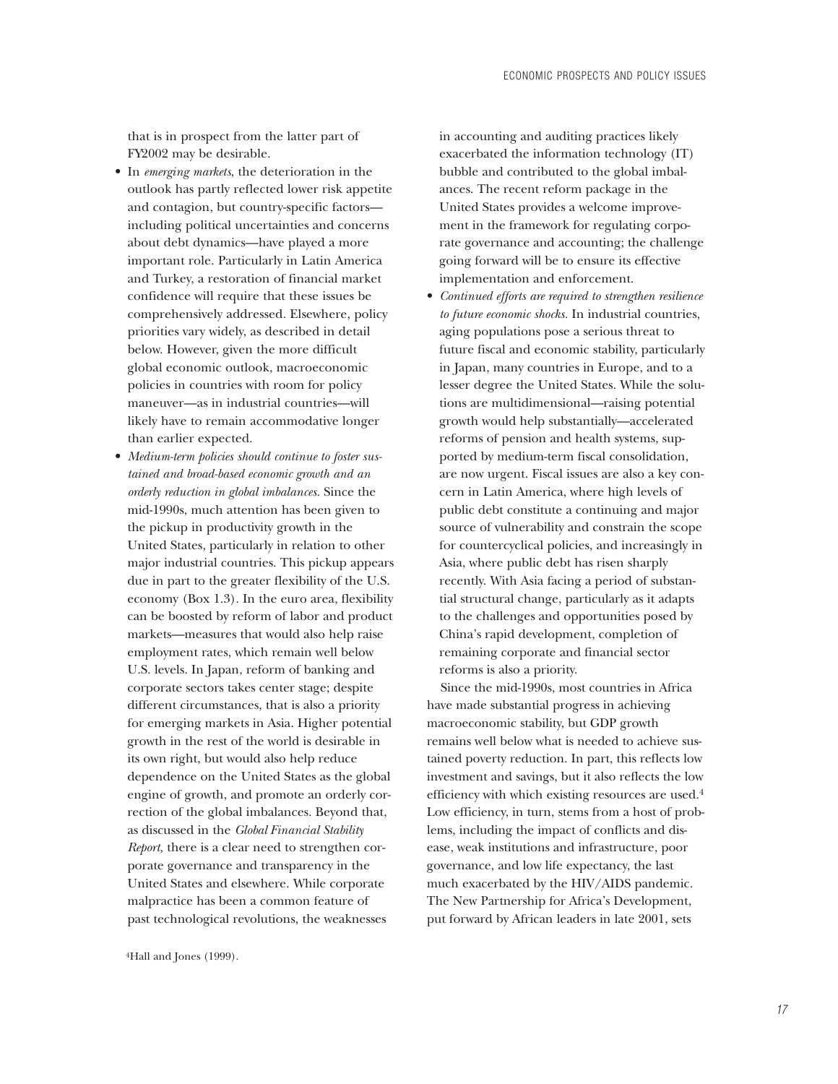that is in prospect from the latter part of FY2002 may be desirable.

- In *emerging markets*, the deterioration in the outlook has partly reflected lower risk appetite and contagion, but country-specific factors including political uncertainties and concerns about debt dynamics—have played a more important role. Particularly in Latin America and Turkey, a restoration of financial market confidence will require that these issues be comprehensively addressed. Elsewhere, policy priorities vary widely, as described in detail below. However, given the more difficult global economic outlook, macroeconomic policies in countries with room for policy maneuver—as in industrial countries—will likely have to remain accommodative longer than earlier expected.
- *Medium-term policies should continue to foster sustained and broad-based economic growth and an orderly reduction in global imbalances.* Since the mid-1990s, much attention has been given to the pickup in productivity growth in the United States, particularly in relation to other major industrial countries. This pickup appears due in part to the greater flexibility of the U.S. economy (Box 1.3). In the euro area, flexibility can be boosted by reform of labor and product markets—measures that would also help raise employment rates, which remain well below U.S. levels. In Japan, reform of banking and corporate sectors takes center stage; despite different circumstances, that is also a priority for emerging markets in Asia. Higher potential growth in the rest of the world is desirable in its own right, but would also help reduce dependence on the United States as the global engine of growth, and promote an orderly correction of the global imbalances. Beyond that, as discussed in the *Global Financial Stability Report,* there is a clear need to strengthen corporate governance and transparency in the United States and elsewhere. While corporate malpractice has been a common feature of past technological revolutions, the weaknesses

4Hall and Jones (1999).

in accounting and auditing practices likely exacerbated the information technology (IT) bubble and contributed to the global imbalances. The recent reform package in the United States provides a welcome improvement in the framework for regulating corporate governance and accounting; the challenge going forward will be to ensure its effective implementation and enforcement.

• *Continued efforts are required to strengthen resilience to future economic shocks.* In industrial countries, aging populations pose a serious threat to future fiscal and economic stability, particularly in Japan, many countries in Europe, and to a lesser degree the United States. While the solutions are multidimensional—raising potential growth would help substantially—accelerated reforms of pension and health systems, supported by medium-term fiscal consolidation, are now urgent. Fiscal issues are also a key concern in Latin America, where high levels of public debt constitute a continuing and major source of vulnerability and constrain the scope for countercyclical policies, and increasingly in Asia, where public debt has risen sharply recently. With Asia facing a period of substantial structural change, particularly as it adapts to the challenges and opportunities posed by China's rapid development, completion of remaining corporate and financial sector reforms is also a priority.

Since the mid-1990s, most countries in Africa have made substantial progress in achieving macroeconomic stability, but GDP growth remains well below what is needed to achieve sustained poverty reduction. In part, this reflects low investment and savings, but it also reflects the low efficiency with which existing resources are used.4 Low efficiency, in turn, stems from a host of problems, including the impact of conflicts and disease, weak institutions and infrastructure, poor governance, and low life expectancy, the last much exacerbated by the HIV/AIDS pandemic. The New Partnership for Africa's Development, put forward by African leaders in late 2001, sets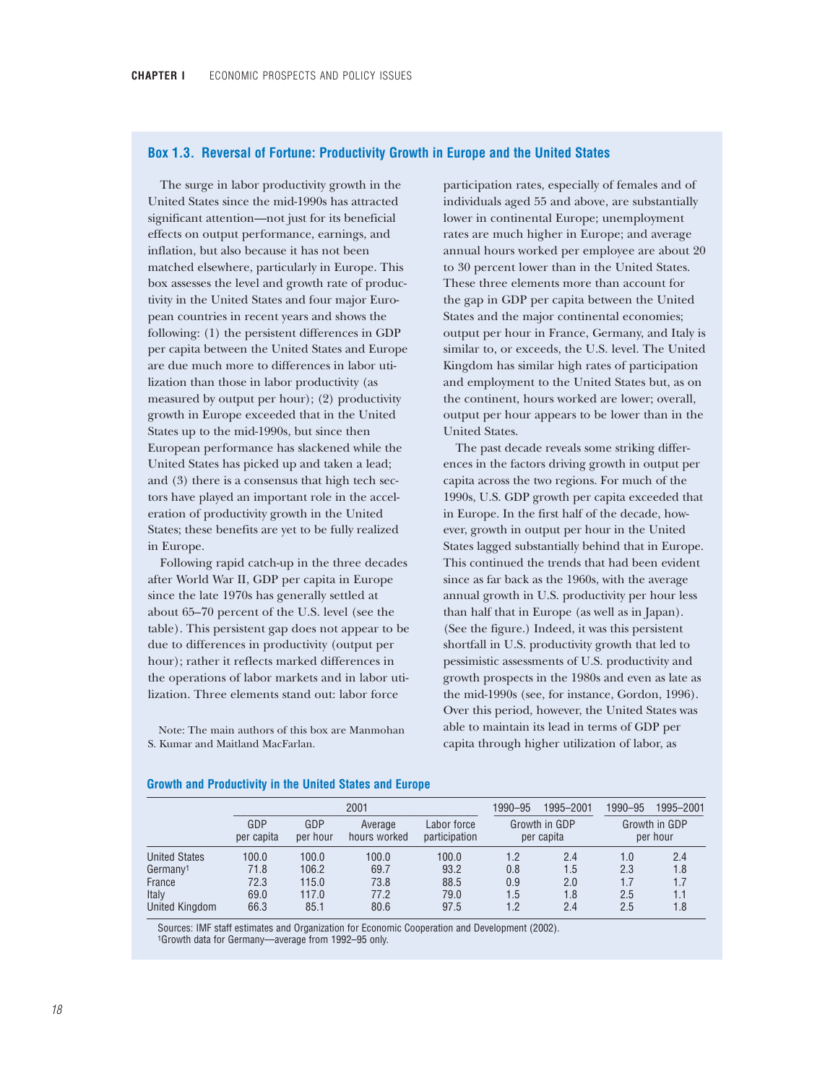## **Box 1.3. Reversal of Fortune: Productivity Growth in Europe and the United States**

The surge in labor productivity growth in the United States since the mid-1990s has attracted significant attention—not just for its beneficial effects on output performance, earnings, and inflation, but also because it has not been matched elsewhere, particularly in Europe. This box assesses the level and growth rate of productivity in the United States and four major European countries in recent years and shows the following: (1) the persistent differences in GDP per capita between the United States and Europe are due much more to differences in labor utilization than those in labor productivity (as measured by output per hour); (2) productivity growth in Europe exceeded that in the United States up to the mid-1990s, but since then European performance has slackened while the United States has picked up and taken a lead; and (3) there is a consensus that high tech sectors have played an important role in the acceleration of productivity growth in the United States; these benefits are yet to be fully realized in Europe.

Following rapid catch-up in the three decades after World War II, GDP per capita in Europe since the late 1970s has generally settled at about 65–70 percent of the U.S. level (see the table). This persistent gap does not appear to be due to differences in productivity (output per hour); rather it reflects marked differences in the operations of labor markets and in labor utilization. Three elements stand out: labor force

Note: The main authors of this box are Manmohan S. Kumar and Maitland MacFarlan.

participation rates, especially of females and of individuals aged 55 and above, are substantially lower in continental Europe; unemployment rates are much higher in Europe; and average annual hours worked per employee are about 20 to 30 percent lower than in the United States. These three elements more than account for the gap in GDP per capita between the United States and the major continental economies; output per hour in France, Germany, and Italy is similar to, or exceeds, the U.S. level. The United Kingdom has similar high rates of participation and employment to the United States but, as on the continent, hours worked are lower; overall, output per hour appears to be lower than in the United States.

The past decade reveals some striking differences in the factors driving growth in output per capita across the two regions. For much of the 1990s, U.S. GDP growth per capita exceeded that in Europe. In the first half of the decade, however, growth in output per hour in the United States lagged substantially behind that in Europe. This continued the trends that had been evident since as far back as the 1960s, with the average annual growth in U.S. productivity per hour less than half that in Europe (as well as in Japan). (See the figure.) Indeed, it was this persistent shortfall in U.S. productivity growth that led to pessimistic assessments of U.S. productivity and growth prospects in the 1980s and even as late as the mid-1990s (see, for instance, Gordon, 1996). Over this period, however, the United States was able to maintain its lead in terms of GDP per capita through higher utilization of labor, as

|                      |                   |                 | 2001                    | 1990–95                      | 1995-2001 | 1990-95                     | 1995-2001                 |     |  |
|----------------------|-------------------|-----------------|-------------------------|------------------------------|-----------|-----------------------------|---------------------------|-----|--|
|                      | GDP<br>per capita | GDP<br>per hour | Average<br>hours worked | Labor force<br>participation |           | Growth in GDP<br>per capita | Growth in GDP<br>per hour |     |  |
| <b>United States</b> | 100.0             | 100.0           | 100.0                   | 100.0                        | 1.2       | 2.4                         | 1.0                       | 2.4 |  |
| Germany <sup>1</sup> | 71.8              | 106.2           | 69.7                    | 93.2                         | 0.8       | 1.5                         | 2.3                       | 1.8 |  |
| France               | 72.3              | 115.0           | 73.8                    | 88.5                         | 0.9       | 2.0                         | 1.7                       | 1.7 |  |
| Italy                | 69.0              | 117.0           | 77.2                    | 79.0                         | 1.5       | 1.8                         | 2.5                       | 1.1 |  |
| United Kingdom       | 66.3              | 85.1            | 80.6                    | 97.5                         | 1.2       | 2.4                         | 2.5                       | 1.8 |  |

#### **Growth and Productivity in the United States and Europe**

Sources: IMF staff estimates and Organization for Economic Cooperation and Development (2002). 1Growth data for Germany—average from 1992–95 only.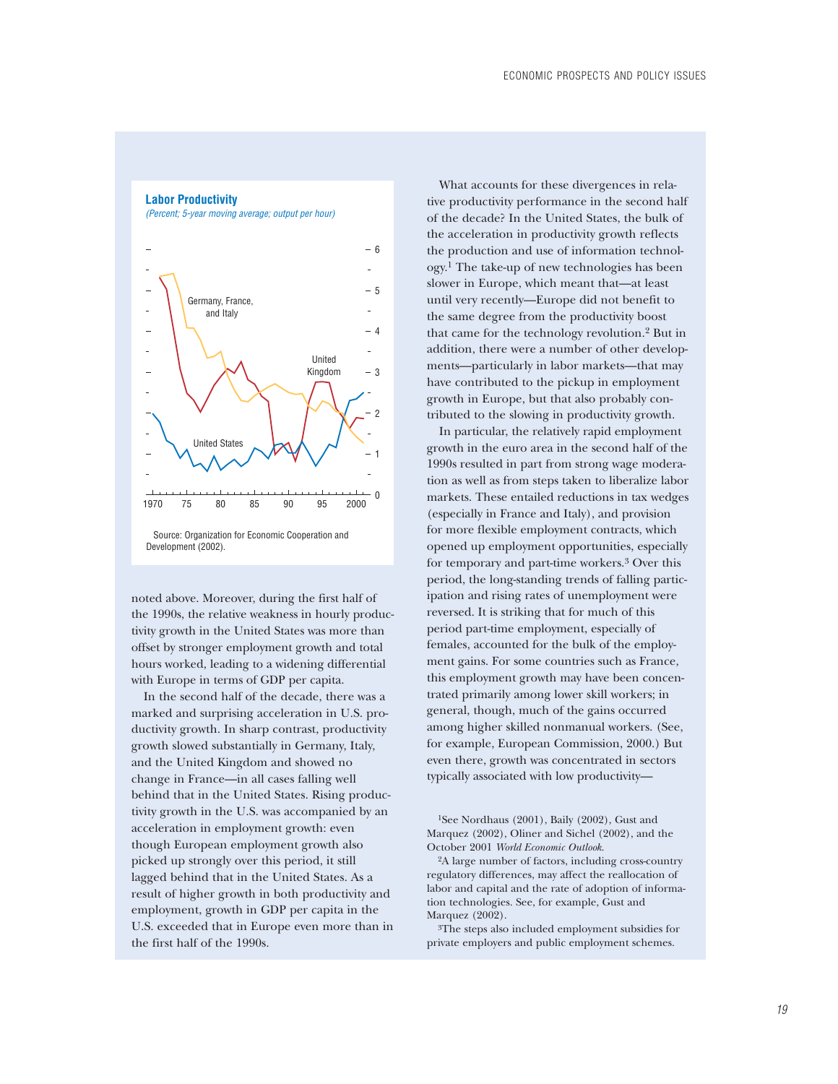# *(Percent; 5-year moving average; output per hour)*  $-6$ 5 Germany, France, and Italy 4 United Kingdom  $-3$ 2 United States 1 فسلط 0 خىلىد 1970 75 80 85 90 95 2000 Source: Organization for Economic Cooperation and Development (2002).

**Labor Productivity**

noted above. Moreover, during the first half of the 1990s, the relative weakness in hourly productivity growth in the United States was more than offset by stronger employment growth and total hours worked, leading to a widening differential with Europe in terms of GDP per capita.

In the second half of the decade, there was a marked and surprising acceleration in U.S. productivity growth. In sharp contrast, productivity growth slowed substantially in Germany, Italy, and the United Kingdom and showed no change in France—in all cases falling well behind that in the United States. Rising productivity growth in the U.S. was accompanied by an acceleration in employment growth: even though European employment growth also picked up strongly over this period, it still lagged behind that in the United States. As a result of higher growth in both productivity and employment, growth in GDP per capita in the U.S. exceeded that in Europe even more than in the first half of the 1990s.

What accounts for these divergences in relative productivity performance in the second half of the decade? In the United States, the bulk of the acceleration in productivity growth reflects the production and use of information technology.1 The take-up of new technologies has been slower in Europe, which meant that—at least until very recently—Europe did not benefit to the same degree from the productivity boost that came for the technology revolution.2 But in addition, there were a number of other developments—particularly in labor markets—that may have contributed to the pickup in employment growth in Europe, but that also probably contributed to the slowing in productivity growth.

In particular, the relatively rapid employment growth in the euro area in the second half of the 1990s resulted in part from strong wage moderation as well as from steps taken to liberalize labor markets. These entailed reductions in tax wedges (especially in France and Italy), and provision for more flexible employment contracts, which opened up employment opportunities, especially for temporary and part-time workers.3 Over this period, the long-standing trends of falling participation and rising rates of unemployment were reversed. It is striking that for much of this period part-time employment, especially of females, accounted for the bulk of the employment gains. For some countries such as France, this employment growth may have been concentrated primarily among lower skill workers; in general, though, much of the gains occurred among higher skilled nonmanual workers. (See, for example, European Commission, 2000.) But even there, growth was concentrated in sectors typically associated with low productivity—

1See Nordhaus (2001), Baily (2002), Gust and Marquez (2002), Oliner and Sichel (2002), and the October 2001 *World Economic Outlook*.

2A large number of factors, including cross-country regulatory differences, may affect the reallocation of labor and capital and the rate of adoption of information technologies. See, for example, Gust and Marquez (2002).

3The steps also included employment subsidies for private employers and public employment schemes.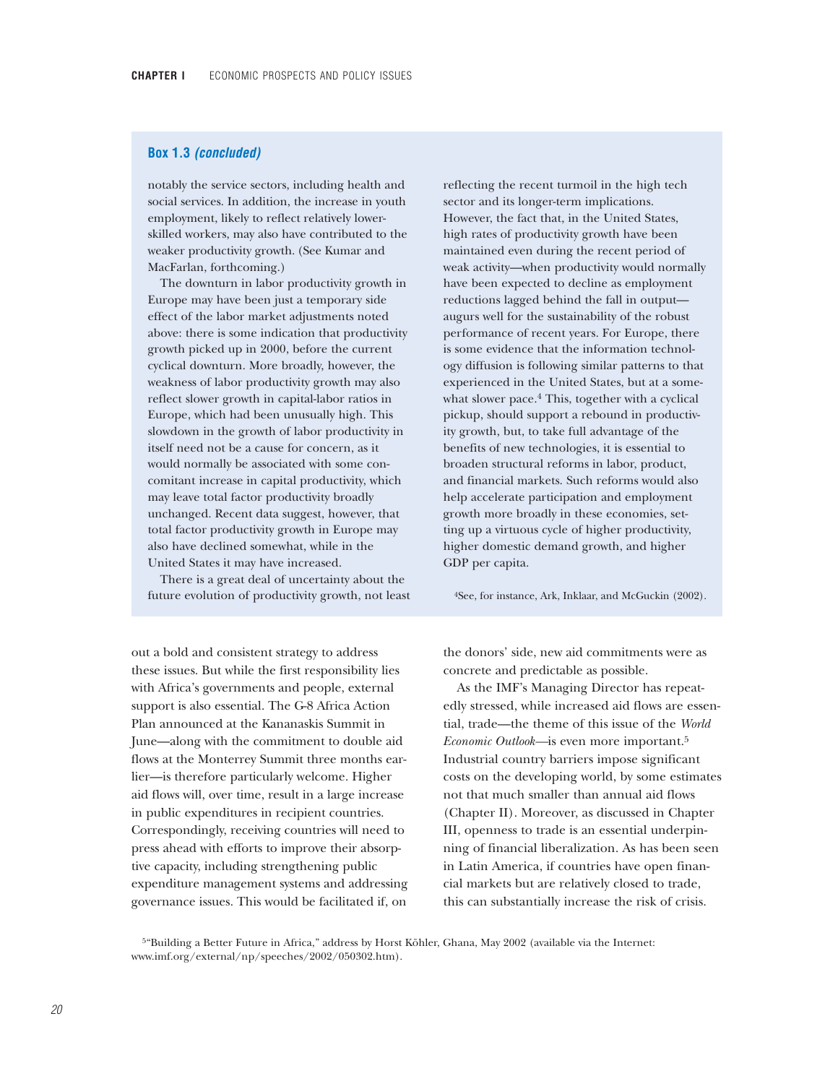## **Box 1.3** *(concluded)*

notably the service sectors, including health and social services. In addition, the increase in youth employment, likely to reflect relatively lowerskilled workers, may also have contributed to the weaker productivity growth. (See Kumar and MacFarlan, forthcoming.)

The downturn in labor productivity growth in Europe may have been just a temporary side effect of the labor market adjustments noted above: there is some indication that productivity growth picked up in 2000, before the current cyclical downturn. More broadly, however, the weakness of labor productivity growth may also reflect slower growth in capital-labor ratios in Europe, which had been unusually high. This slowdown in the growth of labor productivity in itself need not be a cause for concern, as it would normally be associated with some concomitant increase in capital productivity, which may leave total factor productivity broadly unchanged. Recent data suggest, however, that total factor productivity growth in Europe may also have declined somewhat, while in the United States it may have increased.

There is a great deal of uncertainty about the future evolution of productivity growth, not least

out a bold and consistent strategy to address these issues. But while the first responsibility lies with Africa's governments and people, external support is also essential. The G-8 Africa Action Plan announced at the Kananaskis Summit in June—along with the commitment to double aid flows at the Monterrey Summit three months earlier—is therefore particularly welcome. Higher aid flows will, over time, result in a large increase in public expenditures in recipient countries. Correspondingly, receiving countries will need to press ahead with efforts to improve their absorptive capacity, including strengthening public expenditure management systems and addressing governance issues. This would be facilitated if, on

reflecting the recent turmoil in the high tech sector and its longer-term implications. However, the fact that, in the United States, high rates of productivity growth have been maintained even during the recent period of weak activity—when productivity would normally have been expected to decline as employment reductions lagged behind the fall in output augurs well for the sustainability of the robust performance of recent years. For Europe, there is some evidence that the information technology diffusion is following similar patterns to that experienced in the United States, but at a somewhat slower pace.<sup>4</sup> This, together with a cyclical pickup, should support a rebound in productivity growth, but, to take full advantage of the benefits of new technologies, it is essential to broaden structural reforms in labor, product, and financial markets. Such reforms would also help accelerate participation and employment growth more broadly in these economies, setting up a virtuous cycle of higher productivity, higher domestic demand growth, and higher GDP per capita.

4See, for instance, Ark, Inklaar, and McGuckin (2002).

the donors' side, new aid commitments were as concrete and predictable as possible.

As the IMF's Managing Director has repeatedly stressed, while increased aid flows are essential, trade—the theme of this issue of the *World Economic Outlook—*is even more important.5 Industrial country barriers impose significant costs on the developing world, by some estimates not that much smaller than annual aid flows (Chapter II). Moreover, as discussed in Chapter III, openness to trade is an essential underpinning of financial liberalization. As has been seen in Latin America, if countries have open financial markets but are relatively closed to trade, this can substantially increase the risk of crisis.

5"Building a Better Future in Africa," address by Horst Köhler, Ghana, May 2002 (available via the Internet: www.imf.org/external/np/speeches/2002/050302.htm).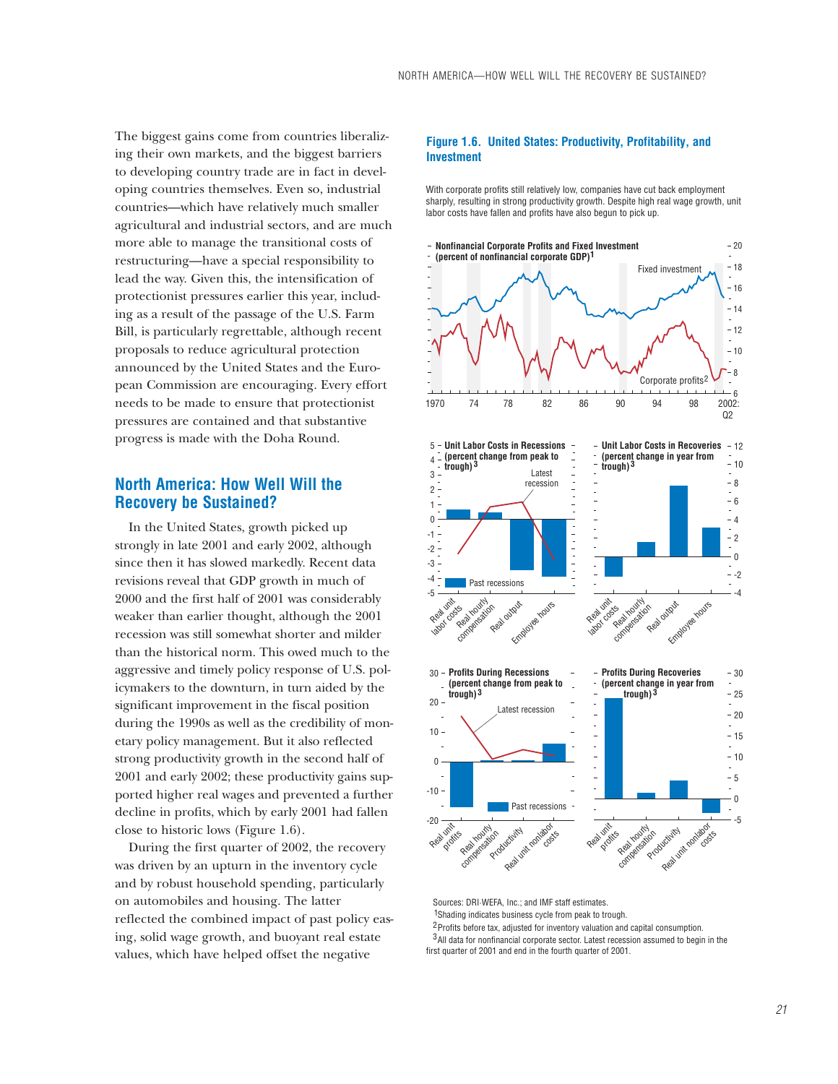The biggest gains come from countries liberalizing their own markets, and the biggest barriers to developing country trade are in fact in developing countries themselves. Even so, industrial countries—which have relatively much smaller agricultural and industrial sectors, and are much more able to manage the transitional costs of restructuring—have a special responsibility to lead the way. Given this, the intensification of protectionist pressures earlier this year, including as a result of the passage of the U.S. Farm Bill, is particularly regrettable, although recent proposals to reduce agricultural protection announced by the United States and the European Commission are encouraging. Every effort needs to be made to ensure that protectionist pressures are contained and that substantive progress is made with the Doha Round.

# **North America: How Well Will the Recovery be Sustained?**

In the United States, growth picked up strongly in late 2001 and early 2002, although since then it has slowed markedly. Recent data revisions reveal that GDP growth in much of 2000 and the first half of 2001 was considerably weaker than earlier thought, although the 2001 recession was still somewhat shorter and milder than the historical norm. This owed much to the aggressive and timely policy response of U.S. policymakers to the downturn, in turn aided by the significant improvement in the fiscal position during the 1990s as well as the credibility of monetary policy management. But it also reflected strong productivity growth in the second half of 2001 and early 2002; these productivity gains supported higher real wages and prevented a further decline in profits, which by early 2001 had fallen close to historic lows (Figure 1.6).

During the first quarter of 2002, the recovery was driven by an upturn in the inventory cycle and by robust household spending, particularly on automobiles and housing. The latter reflected the combined impact of past policy easing, solid wage growth, and buoyant real estate values, which have helped offset the negative

## **Figure 1.6. United States: Productivity, Profitability, and Investment**

With corporate profits still relatively low, companies have cut back employment sharply, resulting in strong productivity growth. Despite high real wage growth, unit labor costs have fallen and profits have also begun to pick up.



Sources: DRI-WEFA, Inc.; and IMF staff estimates

<sup>1</sup>Shading indicates business cycle from peak to trough.

<sup>2</sup> Profits before tax, adjusted for inventory valuation and capital consumption.  $3$ All data for nonfinancial corporate sector. Latest recession assumed to begin in the first quarter of 2001 and end in the fourth quarter of 2001.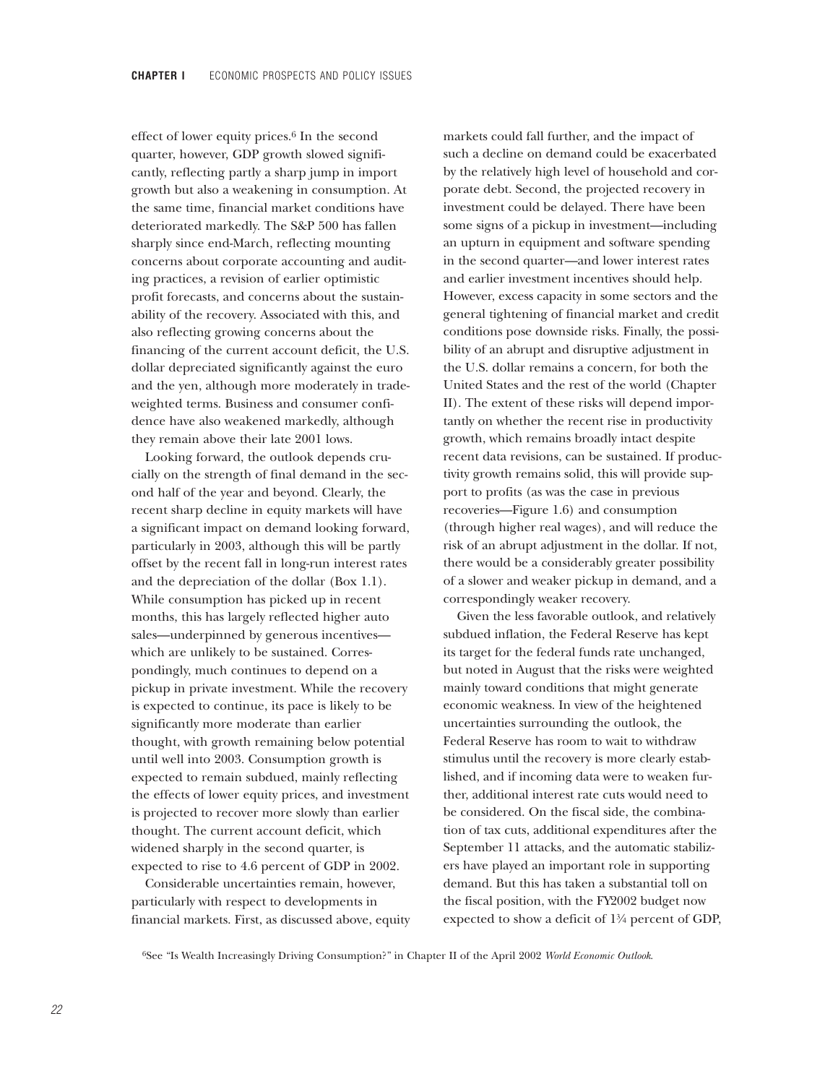effect of lower equity prices.6 In the second quarter, however, GDP growth slowed significantly, reflecting partly a sharp jump in import growth but also a weakening in consumption. At the same time, financial market conditions have deteriorated markedly. The S&P 500 has fallen sharply since end-March, reflecting mounting concerns about corporate accounting and auditing practices, a revision of earlier optimistic profit forecasts, and concerns about the sustainability of the recovery. Associated with this, and also reflecting growing concerns about the financing of the current account deficit, the U.S. dollar depreciated significantly against the euro and the yen, although more moderately in tradeweighted terms. Business and consumer confidence have also weakened markedly, although they remain above their late 2001 lows.

Looking forward, the outlook depends crucially on the strength of final demand in the second half of the year and beyond. Clearly, the recent sharp decline in equity markets will have a significant impact on demand looking forward, particularly in 2003, although this will be partly offset by the recent fall in long-run interest rates and the depreciation of the dollar (Box 1.1). While consumption has picked up in recent months, this has largely reflected higher auto sales—underpinned by generous incentives which are unlikely to be sustained. Correspondingly, much continues to depend on a pickup in private investment. While the recovery is expected to continue, its pace is likely to be significantly more moderate than earlier thought, with growth remaining below potential until well into 2003. Consumption growth is expected to remain subdued, mainly reflecting the effects of lower equity prices, and investment is projected to recover more slowly than earlier thought. The current account deficit, which widened sharply in the second quarter, is expected to rise to 4.6 percent of GDP in 2002.

Considerable uncertainties remain, however, particularly with respect to developments in financial markets. First, as discussed above, equity markets could fall further, and the impact of such a decline on demand could be exacerbated by the relatively high level of household and corporate debt. Second, the projected recovery in investment could be delayed. There have been some signs of a pickup in investment—including an upturn in equipment and software spending in the second quarter—and lower interest rates and earlier investment incentives should help. However, excess capacity in some sectors and the general tightening of financial market and credit conditions pose downside risks. Finally, the possibility of an abrupt and disruptive adjustment in the U.S. dollar remains a concern, for both the United States and the rest of the world (Chapter II). The extent of these risks will depend importantly on whether the recent rise in productivity growth, which remains broadly intact despite recent data revisions, can be sustained. If productivity growth remains solid, this will provide support to profits (as was the case in previous recoveries—Figure 1.6) and consumption (through higher real wages), and will reduce the risk of an abrupt adjustment in the dollar. If not, there would be a considerably greater possibility of a slower and weaker pickup in demand, and a correspondingly weaker recovery.

Given the less favorable outlook, and relatively subdued inflation, the Federal Reserve has kept its target for the federal funds rate unchanged, but noted in August that the risks were weighted mainly toward conditions that might generate economic weakness. In view of the heightened uncertainties surrounding the outlook, the Federal Reserve has room to wait to withdraw stimulus until the recovery is more clearly established, and if incoming data were to weaken further, additional interest rate cuts would need to be considered. On the fiscal side, the combination of tax cuts, additional expenditures after the September 11 attacks, and the automatic stabilizers have played an important role in supporting demand. But this has taken a substantial toll on the fiscal position, with the FY2002 budget now expected to show a deficit of 1<sup>3</sup>/<sub>4</sub> percent of GDP,

6See "Is Wealth Increasingly Driving Consumption?" in Chapter II of the April 2002 *World Economic Outlook*.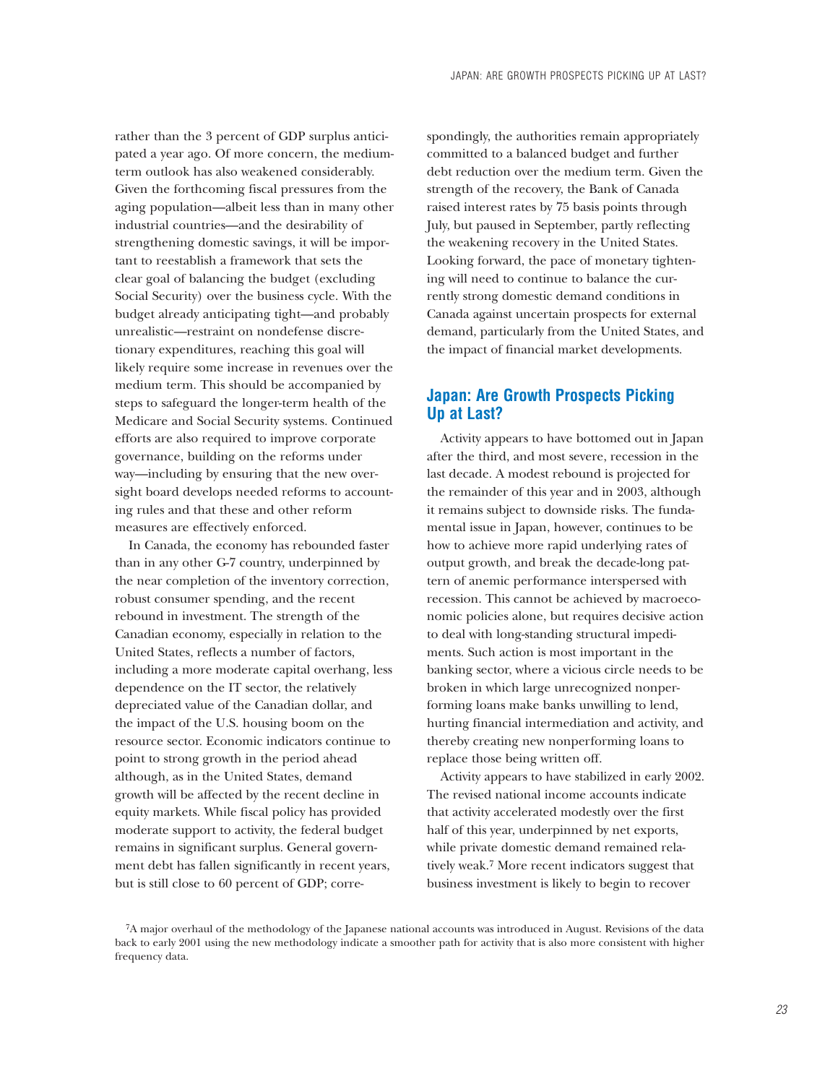rather than the 3 percent of GDP surplus anticipated a year ago. Of more concern, the mediumterm outlook has also weakened considerably. Given the forthcoming fiscal pressures from the aging population—albeit less than in many other industrial countries—and the desirability of strengthening domestic savings, it will be important to reestablish a framework that sets the clear goal of balancing the budget (excluding Social Security) over the business cycle. With the budget already anticipating tight—and probably unrealistic—restraint on nondefense discretionary expenditures, reaching this goal will likely require some increase in revenues over the medium term. This should be accompanied by steps to safeguard the longer-term health of the Medicare and Social Security systems. Continued efforts are also required to improve corporate governance, building on the reforms under way—including by ensuring that the new oversight board develops needed reforms to accounting rules and that these and other reform measures are effectively enforced.

In Canada, the economy has rebounded faster than in any other G-7 country, underpinned by the near completion of the inventory correction, robust consumer spending, and the recent rebound in investment. The strength of the Canadian economy, especially in relation to the United States, reflects a number of factors, including a more moderate capital overhang, less dependence on the IT sector, the relatively depreciated value of the Canadian dollar, and the impact of the U.S. housing boom on the resource sector. Economic indicators continue to point to strong growth in the period ahead although, as in the United States, demand growth will be affected by the recent decline in equity markets. While fiscal policy has provided moderate support to activity, the federal budget remains in significant surplus. General government debt has fallen significantly in recent years, but is still close to 60 percent of GDP; corre-

spondingly, the authorities remain appropriately committed to a balanced budget and further debt reduction over the medium term. Given the strength of the recovery, the Bank of Canada raised interest rates by 75 basis points through July, but paused in September, partly reflecting the weakening recovery in the United States. Looking forward, the pace of monetary tightening will need to continue to balance the currently strong domestic demand conditions in Canada against uncertain prospects for external demand, particularly from the United States, and the impact of financial market developments.

# **Japan: Are Growth Prospects Picking Up at Last?**

Activity appears to have bottomed out in Japan after the third, and most severe, recession in the last decade. A modest rebound is projected for the remainder of this year and in 2003, although it remains subject to downside risks. The fundamental issue in Japan, however, continues to be how to achieve more rapid underlying rates of output growth, and break the decade-long pattern of anemic performance interspersed with recession. This cannot be achieved by macroeconomic policies alone, but requires decisive action to deal with long-standing structural impediments. Such action is most important in the banking sector, where a vicious circle needs to be broken in which large unrecognized nonperforming loans make banks unwilling to lend, hurting financial intermediation and activity, and thereby creating new nonperforming loans to replace those being written off.

Activity appears to have stabilized in early 2002. The revised national income accounts indicate that activity accelerated modestly over the first half of this year, underpinned by net exports, while private domestic demand remained relatively weak.7 More recent indicators suggest that business investment is likely to begin to recover

<sup>7</sup>A major overhaul of the methodology of the Japanese national accounts was introduced in August. Revisions of the data back to early 2001 using the new methodology indicate a smoother path for activity that is also more consistent with higher frequency data.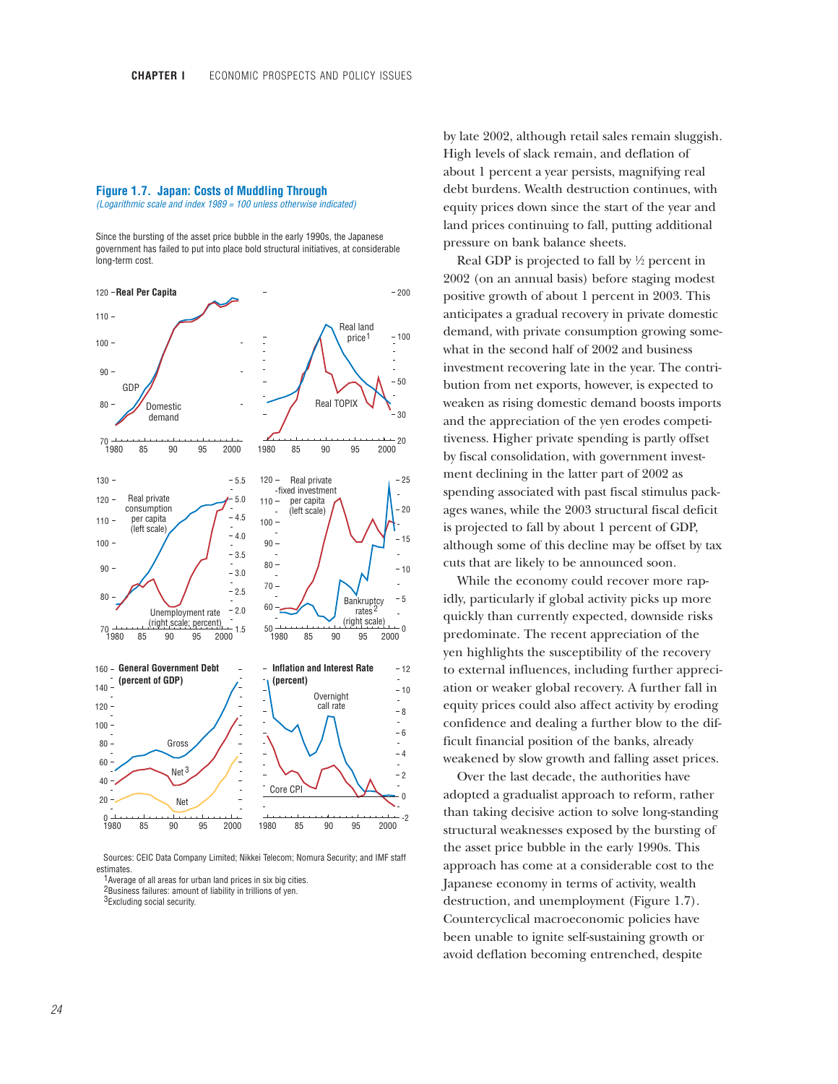#### **Figure 1.7. Japan: Costs of Muddling Through** *(Logarithmic scale and index 1989 = 100 unless otherwise indicated)*

Since the bursting of the asset price bubble in the early 1990s, the Japanese government has failed to put into place bold structural initiatives, at considerable long-term cost.



Sources: CEIC Data Company Limited; Nikkei Telecom; Nomura Security; and IMF staff estimates.

1 Average of all areas for urban land prices in six big cities.

2Business failures: amount of liability in trillions of yen.

<sup>3</sup>Excluding social security.

by late 2002, although retail sales remain sluggish. High levels of slack remain, and deflation of about 1 percent a year persists, magnifying real debt burdens. Wealth destruction continues, with equity prices down since the start of the year and land prices continuing to fall, putting additional pressure on bank balance sheets.

Real GDP is projected to fall by  $\frac{1}{2}$  percent in 2002 (on an annual basis) before staging modest positive growth of about 1 percent in 2003. This anticipates a gradual recovery in private domestic demand, with private consumption growing somewhat in the second half of 2002 and business investment recovering late in the year. The contribution from net exports, however, is expected to weaken as rising domestic demand boosts imports and the appreciation of the yen erodes competitiveness. Higher private spending is partly offset by fiscal consolidation, with government investment declining in the latter part of 2002 as spending associated with past fiscal stimulus packages wanes, while the 2003 structural fiscal deficit is projected to fall by about 1 percent of GDP, although some of this decline may be offset by tax cuts that are likely to be announced soon.

While the economy could recover more rapidly, particularly if global activity picks up more quickly than currently expected, downside risks predominate. The recent appreciation of the yen highlights the susceptibility of the recovery to external influences, including further appreciation or weaker global recovery. A further fall in equity prices could also affect activity by eroding confidence and dealing a further blow to the difficult financial position of the banks, already weakened by slow growth and falling asset prices.

Over the last decade, the authorities have adopted a gradualist approach to reform, rather than taking decisive action to solve long-standing structural weaknesses exposed by the bursting of the asset price bubble in the early 1990s. This approach has come at a considerable cost to the Japanese economy in terms of activity, wealth destruction, and unemployment (Figure 1.7). Countercyclical macroeconomic policies have been unable to ignite self-sustaining growth or avoid deflation becoming entrenched, despite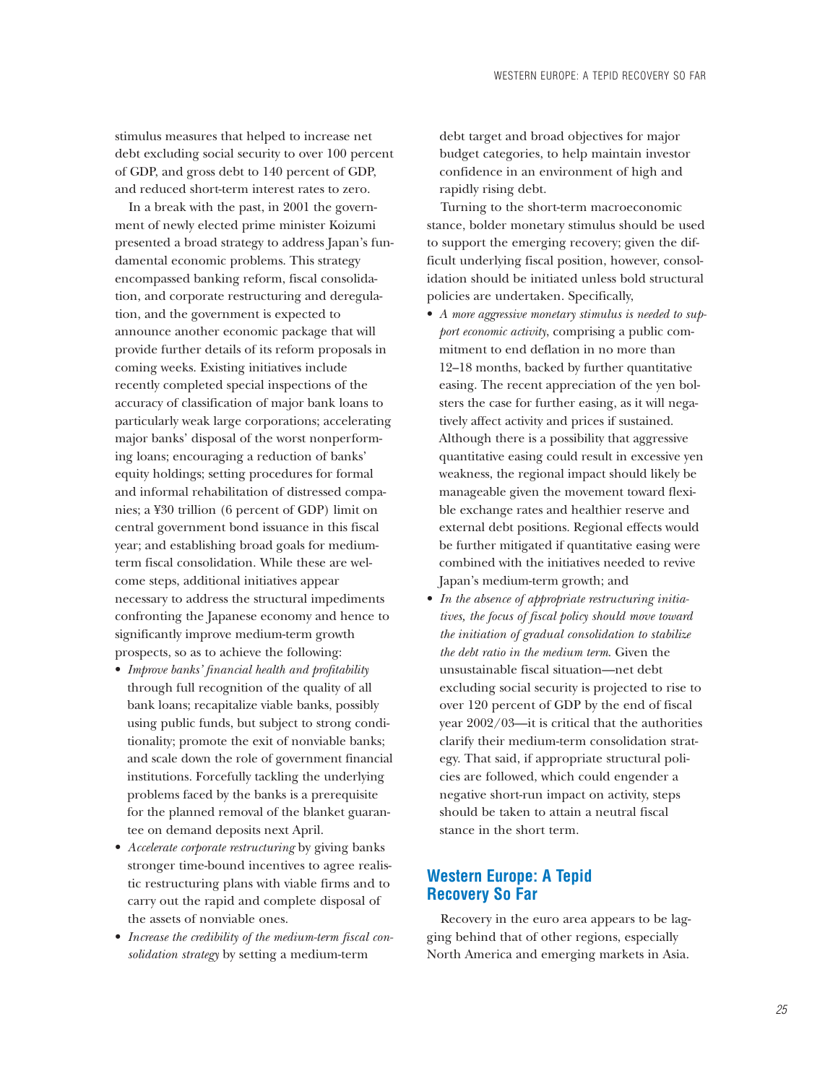stimulus measures that helped to increase net debt excluding social security to over 100 percent of GDP, and gross debt to 140 percent of GDP, and reduced short-term interest rates to zero.

In a break with the past, in 2001 the government of newly elected prime minister Koizumi presented a broad strategy to address Japan's fundamental economic problems. This strategy encompassed banking reform, fiscal consolidation, and corporate restructuring and deregulation, and the government is expected to announce another economic package that will provide further details of its reform proposals in coming weeks. Existing initiatives include recently completed special inspections of the accuracy of classification of major bank loans to particularly weak large corporations; accelerating major banks' disposal of the worst nonperforming loans; encouraging a reduction of banks' equity holdings; setting procedures for formal and informal rehabilitation of distressed companies; a ¥30 trillion (6 percent of GDP) limit on central government bond issuance in this fiscal year; and establishing broad goals for mediumterm fiscal consolidation. While these are welcome steps, additional initiatives appear necessary to address the structural impediments confronting the Japanese economy and hence to significantly improve medium-term growth prospects, so as to achieve the following:

- *Improve banks' financial health and profitability* through full recognition of the quality of all bank loans; recapitalize viable banks, possibly using public funds, but subject to strong conditionality; promote the exit of nonviable banks; and scale down the role of government financial institutions. Forcefully tackling the underlying problems faced by the banks is a prerequisite for the planned removal of the blanket guarantee on demand deposits next April.
- *Accelerate corporate restructuring* by giving banks stronger time-bound incentives to agree realistic restructuring plans with viable firms and to carry out the rapid and complete disposal of the assets of nonviable ones.
- *Increase the credibility of the medium-term fiscal consolidation strategy* by setting a medium-term

debt target and broad objectives for major budget categories, to help maintain investor confidence in an environment of high and rapidly rising debt.

Turning to the short-term macroeconomic stance, bolder monetary stimulus should be used to support the emerging recovery; given the difficult underlying fiscal position, however, consolidation should be initiated unless bold structural policies are undertaken. Specifically,

- *A more aggressive monetary stimulus is needed to support economic activity*, comprising a public commitment to end deflation in no more than 12–18 months, backed by further quantitative easing. The recent appreciation of the yen bolsters the case for further easing, as it will negatively affect activity and prices if sustained. Although there is a possibility that aggressive quantitative easing could result in excessive yen weakness, the regional impact should likely be manageable given the movement toward flexible exchange rates and healthier reserve and external debt positions. Regional effects would be further mitigated if quantitative easing were combined with the initiatives needed to revive Japan's medium-term growth; and
- *In the absence of appropriate restructuring initiatives, the focus of fiscal policy should move toward the initiation of gradual consolidation to stabilize the debt ratio in the medium term*. Given the unsustainable fiscal situation—net debt excluding social security is projected to rise to over 120 percent of GDP by the end of fiscal year 2002/03—it is critical that the authorities clarify their medium-term consolidation strategy. That said, if appropriate structural policies are followed, which could engender a negative short-run impact on activity, steps should be taken to attain a neutral fiscal stance in the short term.

# **Western Europe: A Tepid Recovery So Far**

Recovery in the euro area appears to be lagging behind that of other regions, especially North America and emerging markets in Asia.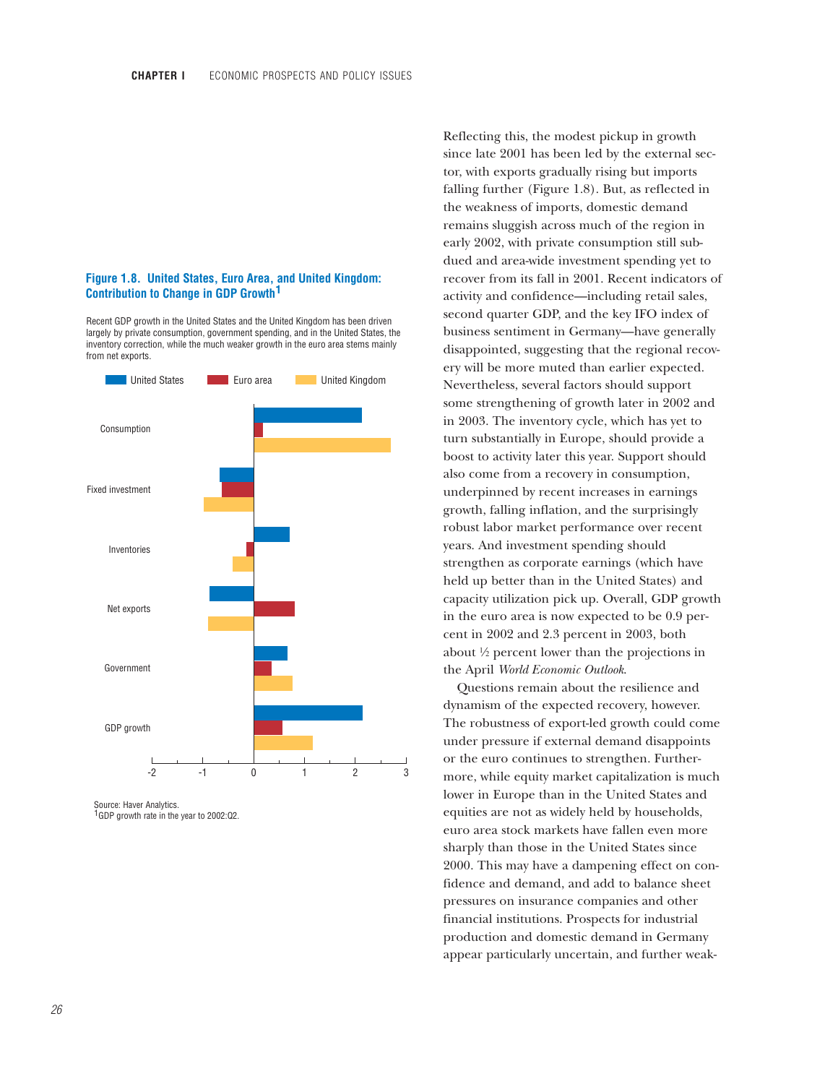## **Figure 1.8. United States, Euro Area, and United Kingdom: Contribution to Change in GDP Growth 1**

Recent GDP growth in the United States and the United Kingdom has been driven largely by private consumption, government spending, and in the United States, the inventory correction, while the much weaker growth in the euro area stems mainly from net exports.



Source: Haver Analytics. <sup>1</sup>GDP growth rate in the year to 2002:Q2.

Reflecting this, the modest pickup in growth since late 2001 has been led by the external sector, with exports gradually rising but imports falling further (Figure 1.8). But, as reflected in the weakness of imports, domestic demand remains sluggish across much of the region in early 2002, with private consumption still subdued and area-wide investment spending yet to recover from its fall in 2001. Recent indicators of activity and confidence—including retail sales, second quarter GDP, and the key IFO index of business sentiment in Germany—have generally disappointed, suggesting that the regional recovery will be more muted than earlier expected. Nevertheless, several factors should support some strengthening of growth later in 2002 and in 2003. The inventory cycle, which has yet to turn substantially in Europe, should provide a boost to activity later this year. Support should also come from a recovery in consumption, underpinned by recent increases in earnings growth, falling inflation, and the surprisingly robust labor market performance over recent years. And investment spending should strengthen as corporate earnings (which have held up better than in the United States) and capacity utilization pick up. Overall, GDP growth in the euro area is now expected to be 0.9 percent in 2002 and 2.3 percent in 2003, both about  $\frac{1}{2}$  percent lower than the projections in the April *World Economic Outlook*.

Questions remain about the resilience and dynamism of the expected recovery, however. The robustness of export-led growth could come under pressure if external demand disappoints or the euro continues to strengthen. Furthermore, while equity market capitalization is much lower in Europe than in the United States and equities are not as widely held by households, euro area stock markets have fallen even more sharply than those in the United States since 2000. This may have a dampening effect on confidence and demand, and add to balance sheet pressures on insurance companies and other financial institutions. Prospects for industrial production and domestic demand in Germany appear particularly uncertain, and further weak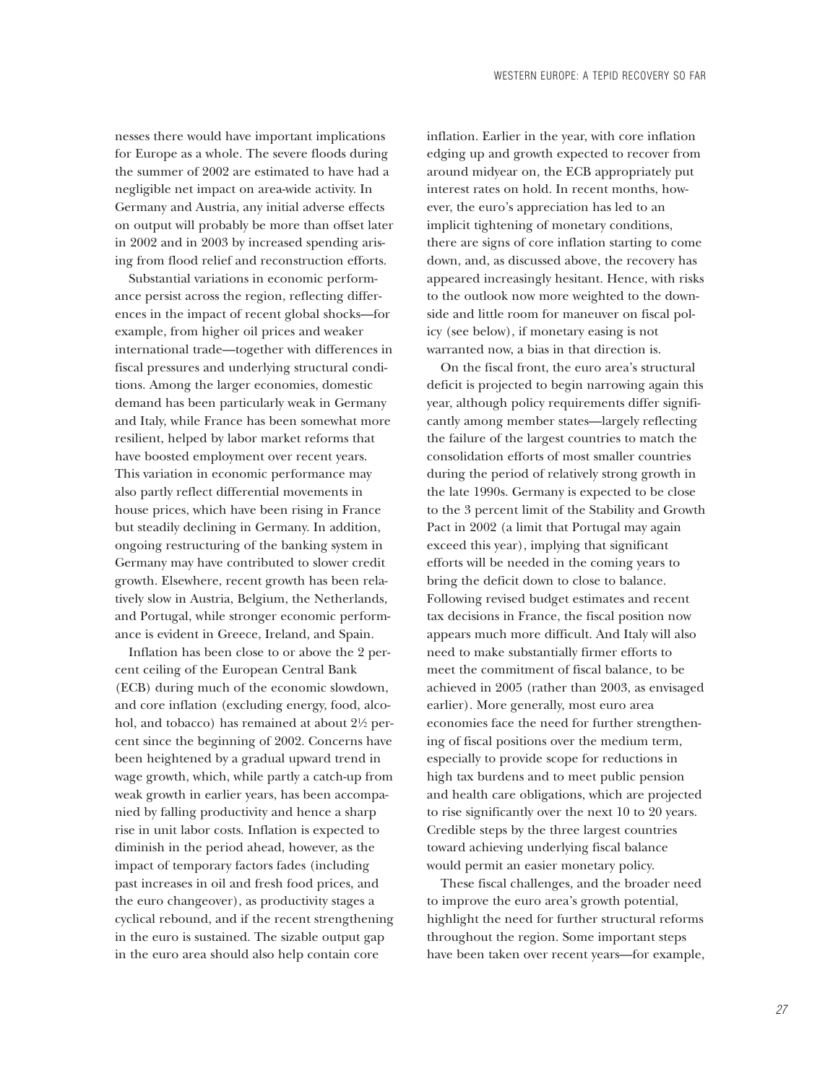nesses there would have important implications for Europe as a whole. The severe floods during the summer of 2002 are estimated to have had a negligible net impact on area-wide activity. In Germany and Austria, any initial adverse effects on output will probably be more than offset later in 2002 and in 2003 by increased spending arising from flood relief and reconstruction efforts.

Substantial variations in economic performance persist across the region, reflecting differences in the impact of recent global shocks—for example, from higher oil prices and weaker international trade—together with differences in fiscal pressures and underlying structural conditions. Among the larger economies, domestic demand has been particularly weak in Germany and Italy, while France has been somewhat more resilient, helped by labor market reforms that have boosted employment over recent years. This variation in economic performance may also partly reflect differential movements in house prices, which have been rising in France but steadily declining in Germany. In addition, ongoing restructuring of the banking system in Germany may have contributed to slower credit growth. Elsewhere, recent growth has been relatively slow in Austria, Belgium, the Netherlands, and Portugal, while stronger economic performance is evident in Greece, Ireland, and Spain.

Inflation has been close to or above the 2 percent ceiling of the European Central Bank (ECB) during much of the economic slowdown, and core inflation (excluding energy, food, alcohol, and tobacco) has remained at about  $2\frac{1}{2}$  percent since the beginning of 2002. Concerns have been heightened by a gradual upward trend in wage growth, which, while partly a catch-up from weak growth in earlier years, has been accompanied by falling productivity and hence a sharp rise in unit labor costs. Inflation is expected to diminish in the period ahead, however, as the impact of temporary factors fades (including past increases in oil and fresh food prices, and the euro changeover), as productivity stages a cyclical rebound, and if the recent strengthening in the euro is sustained. The sizable output gap in the euro area should also help contain core

inflation. Earlier in the year, with core inflation edging up and growth expected to recover from around midyear on, the ECB appropriately put interest rates on hold. In recent months, however, the euro's appreciation has led to an implicit tightening of monetary conditions, there are signs of core inflation starting to come down, and, as discussed above, the recovery has appeared increasingly hesitant. Hence, with risks to the outlook now more weighted to the downside and little room for maneuver on fiscal policy (see below), if monetary easing is not warranted now, a bias in that direction is.

On the fiscal front, the euro area's structural deficit is projected to begin narrowing again this year, although policy requirements differ significantly among member states—largely reflecting the failure of the largest countries to match the consolidation efforts of most smaller countries during the period of relatively strong growth in the late 1990s. Germany is expected to be close to the 3 percent limit of the Stability and Growth Pact in 2002 (a limit that Portugal may again exceed this year), implying that significant efforts will be needed in the coming years to bring the deficit down to close to balance. Following revised budget estimates and recent tax decisions in France, the fiscal position now appears much more difficult. And Italy will also need to make substantially firmer efforts to meet the commitment of fiscal balance, to be achieved in 2005 (rather than 2003, as envisaged earlier). More generally, most euro area economies face the need for further strengthening of fiscal positions over the medium term, especially to provide scope for reductions in high tax burdens and to meet public pension and health care obligations, which are projected to rise significantly over the next 10 to 20 years. Credible steps by the three largest countries toward achieving underlying fiscal balance would permit an easier monetary policy.

These fiscal challenges, and the broader need to improve the euro area's growth potential, highlight the need for further structural reforms throughout the region. Some important steps have been taken over recent years—for example,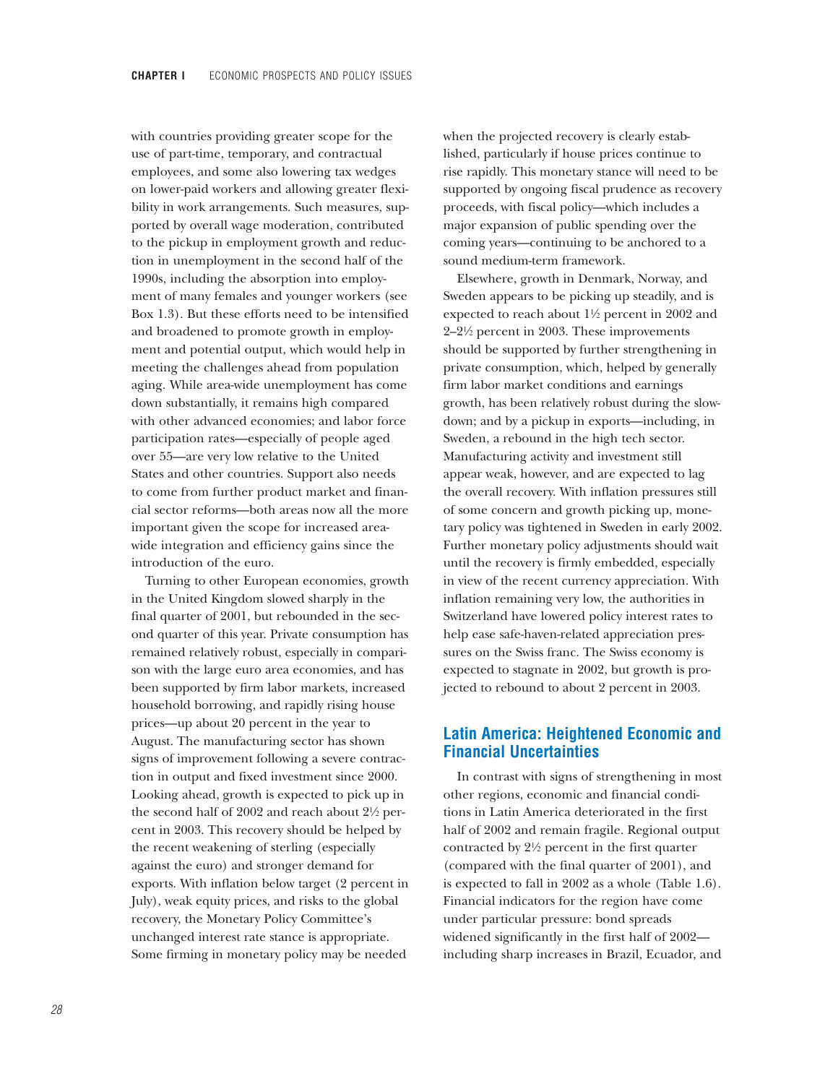with countries providing greater scope for the use of part-time, temporary, and contractual employees, and some also lowering tax wedges on lower-paid workers and allowing greater flexibility in work arrangements. Such measures, supported by overall wage moderation, contributed to the pickup in employment growth and reduction in unemployment in the second half of the 1990s, including the absorption into employment of many females and younger workers (see Box 1.3). But these efforts need to be intensified and broadened to promote growth in employment and potential output, which would help in meeting the challenges ahead from population aging. While area-wide unemployment has come down substantially, it remains high compared with other advanced economies; and labor force participation rates—especially of people aged over 55—are very low relative to the United States and other countries. Support also needs to come from further product market and financial sector reforms—both areas now all the more important given the scope for increased areawide integration and efficiency gains since the introduction of the euro.

Turning to other European economies, growth in the United Kingdom slowed sharply in the final quarter of 2001, but rebounded in the second quarter of this year. Private consumption has remained relatively robust, especially in comparison with the large euro area economies, and has been supported by firm labor markets, increased household borrowing, and rapidly rising house prices—up about 20 percent in the year to August. The manufacturing sector has shown signs of improvement following a severe contraction in output and fixed investment since 2000. Looking ahead, growth is expected to pick up in the second half of 2002 and reach about  $2\frac{1}{2}$  percent in 2003. This recovery should be helped by the recent weakening of sterling (especially against the euro) and stronger demand for exports. With inflation below target (2 percent in July), weak equity prices, and risks to the global recovery, the Monetary Policy Committee's unchanged interest rate stance is appropriate. Some firming in monetary policy may be needed

when the projected recovery is clearly established, particularly if house prices continue to rise rapidly. This monetary stance will need to be supported by ongoing fiscal prudence as recovery proceeds, with fiscal policy—which includes a major expansion of public spending over the coming years—continuing to be anchored to a sound medium-term framework.

Elsewhere, growth in Denmark, Norway, and Sweden appears to be picking up steadily, and is expected to reach about  $1\frac{1}{2}$  percent in 2002 and 2–2!/2 percent in 2003. These improvements should be supported by further strengthening in private consumption, which, helped by generally firm labor market conditions and earnings growth, has been relatively robust during the slowdown; and by a pickup in exports—including, in Sweden, a rebound in the high tech sector. Manufacturing activity and investment still appear weak, however, and are expected to lag the overall recovery. With inflation pressures still of some concern and growth picking up, monetary policy was tightened in Sweden in early 2002. Further monetary policy adjustments should wait until the recovery is firmly embedded, especially in view of the recent currency appreciation. With inflation remaining very low, the authorities in Switzerland have lowered policy interest rates to help ease safe-haven-related appreciation pressures on the Swiss franc. The Swiss economy is expected to stagnate in 2002, but growth is projected to rebound to about 2 percent in 2003.

# **Latin America: Heightened Economic and Financial Uncertainties**

In contrast with signs of strengthening in most other regions, economic and financial conditions in Latin America deteriorated in the first half of 2002 and remain fragile. Regional output contracted by  $2\frac{1}{2}$  percent in the first quarter (compared with the final quarter of 2001), and is expected to fall in 2002 as a whole (Table 1.6). Financial indicators for the region have come under particular pressure: bond spreads widened significantly in the first half of 2002 including sharp increases in Brazil, Ecuador, and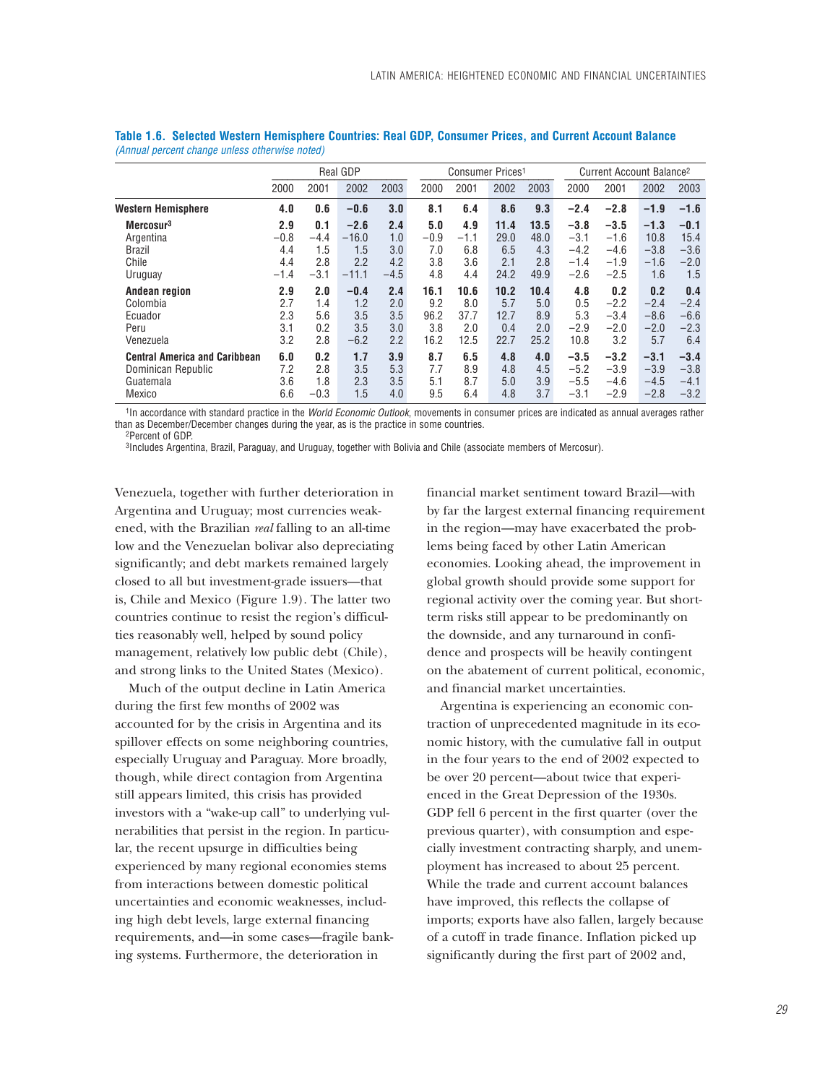|                                      |        |        | <b>Real GDP</b> |        |        | Consumer Prices <sup>1</sup> |      |      |        | Current Account Balance <sup>2</sup> |        |        |  |
|--------------------------------------|--------|--------|-----------------|--------|--------|------------------------------|------|------|--------|--------------------------------------|--------|--------|--|
|                                      | 2000   | 2001   | 2002            | 2003   | 2000   | 2001                         | 2002 | 2003 | 2000   | 2001                                 | 2002   | 2003   |  |
| <b>Western Hemisphere</b>            | 4.0    | 0.6    | $-0.6$          | 3.0    | 8.1    | 6.4                          | 8.6  | 9.3  | $-2.4$ | $-2.8$                               | $-1.9$ | $-1.6$ |  |
| Mercosur <sup>3</sup>                | 2.9    | 0.1    | $-2.6$          | 2.4    | 5.0    | 4.9                          | 11.4 | 13.5 | $-3.8$ | $-3.5$                               | $-1.3$ | $-0.1$ |  |
| Argentina                            | $-0.8$ | $-4.4$ | $-16.0$         | 1.0    | $-0.9$ | $-1.1$                       | 29.0 | 48.0 | $-3.1$ | $-1.6$                               | 10.8   | 15.4   |  |
| Brazil                               | 4.4    | 1.5    | 1.5             | 3.0    | 7.0    | 6.8                          | 6.5  | 4.3  | $-4.2$ | $-4.6$                               | $-3.8$ | $-3.6$ |  |
| Chile                                | 4.4    | 2.8    | 2.2             | 4.2    | 3.8    | 3.6                          | 2.1  | 2.8  | $-1.4$ | $-1.9$                               | $-1.6$ | $-2.0$ |  |
| Uruguay                              | $-1.4$ | $-3.1$ | $-11.1$         | $-4.5$ | 4.8    | 4.4                          | 24.2 | 49.9 | $-2.6$ | $-2.5$                               | 1.6    | 1.5    |  |
| Andean region                        | 2.9    | 2.0    | $-0.4$          | 2.4    | 16.1   | 10.6                         | 10.2 | 10.4 | 4.8    | 0.2                                  | 0.2    | 0.4    |  |
| Colombia                             | 2.7    | 1.4    | 1.2             | 2.0    | 9.2    | 8.0                          | 5.7  | 5.0  | 0.5    | $-2.2$                               | $-2.4$ | $-2.4$ |  |
| Ecuador                              | 2.3    | 5.6    | 3.5             | 3.5    | 96.2   | 37.7                         | 12.7 | 8.9  | 5.3    | $-3.4$                               | $-8.6$ | $-6.6$ |  |
| Peru                                 | 3.1    | 0.2    | 3.5             | 3.0    | 3.8    | 2.0                          | 0.4  | 2.0  | $-2.9$ | $-2.0$                               | $-2.0$ | $-2.3$ |  |
| Venezuela                            | 3.2    | 2.8    | $-6.2$          | 2.2    | 16.2   | 12.5                         | 22.7 | 25.2 | 10.8   | 3.2                                  | 5.7    | 6.4    |  |
| <b>Central America and Caribbean</b> | 6.0    | 0.2    | 1.7             | 3.9    | 8.7    | 6.5                          | 4.8  | 4.0  | $-3.5$ | $-3.2$                               | $-3.1$ | $-3.4$ |  |
| Dominican Republic                   | 7.2    | 2.8    | 3.5             | 5.3    | 7.7    | 8.9                          | 4.8  | 4.5  | $-5.2$ | $-3.9$                               | $-3.9$ | $-3.8$ |  |
| Guatemala                            | 3.6    | 1.8    | 2.3             | 3.5    | 5.1    | 8.7                          | 5.0  | 3.9  | $-5.5$ | $-4.6$                               | $-4.5$ | $-4.1$ |  |
| Mexico                               | 6.6    | $-0.3$ | 1.5             | 4.0    | 9.5    | 6.4                          | 4.8  | 3.7  | $-3.1$ | $-2.9$                               | $-2.8$ | $-3.2$ |  |

|  | Table 1.6. Selected Western Hemisphere Countries: Real GDP, Consumer Prices, and Current Account Balance |  |  |  |  |  |
|--|----------------------------------------------------------------------------------------------------------|--|--|--|--|--|
|  | (Annual percent change unless otherwise noted)                                                           |  |  |  |  |  |

1In accordance with standard practice in the *World Economic Outlook*, movements in consumer prices are indicated as annual averages rather than as December/December changes during the year, as is the practice in some countries. 2Percent of GDP.

3Includes Argentina, Brazil, Paraguay, and Uruguay, together with Bolivia and Chile (associate members of Mercosur).

Venezuela, together with further deterioration in Argentina and Uruguay; most currencies weakened, with the Brazilian *real* falling to an all-time low and the Venezuelan bolivar also depreciating significantly; and debt markets remained largely closed to all but investment-grade issuers—that is, Chile and Mexico (Figure 1.9). The latter two countries continue to resist the region's difficulties reasonably well, helped by sound policy management, relatively low public debt (Chile), and strong links to the United States (Mexico).

Much of the output decline in Latin America during the first few months of 2002 was accounted for by the crisis in Argentina and its spillover effects on some neighboring countries, especially Uruguay and Paraguay. More broadly, though, while direct contagion from Argentina still appears limited, this crisis has provided investors with a "wake-up call" to underlying vulnerabilities that persist in the region. In particular, the recent upsurge in difficulties being experienced by many regional economies stems from interactions between domestic political uncertainties and economic weaknesses, including high debt levels, large external financing requirements, and—in some cases—fragile banking systems. Furthermore, the deterioration in

financial market sentiment toward Brazil—with by far the largest external financing requirement in the region—may have exacerbated the problems being faced by other Latin American economies. Looking ahead, the improvement in global growth should provide some support for regional activity over the coming year. But shortterm risks still appear to be predominantly on the downside, and any turnaround in confidence and prospects will be heavily contingent on the abatement of current political, economic, and financial market uncertainties.

Argentina is experiencing an economic contraction of unprecedented magnitude in its economic history, with the cumulative fall in output in the four years to the end of 2002 expected to be over 20 percent—about twice that experienced in the Great Depression of the 1930s. GDP fell 6 percent in the first quarter (over the previous quarter), with consumption and especially investment contracting sharply, and unemployment has increased to about 25 percent. While the trade and current account balances have improved, this reflects the collapse of imports; exports have also fallen, largely because of a cutoff in trade finance. Inflation picked up significantly during the first part of 2002 and,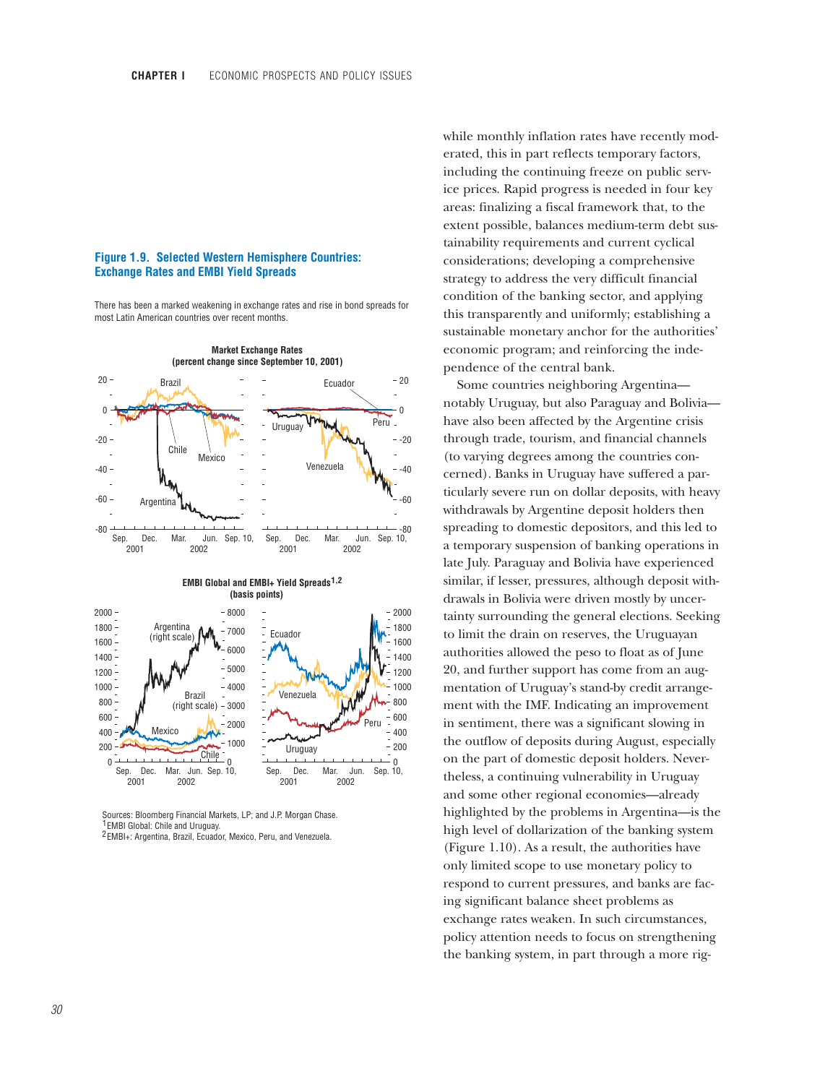### **Figure 1.9. Selected Western Hemisphere Countries: Exchange Rates and EMBI Yield Spreads**

There has been a marked weakening in exchange rates and rise in bond spreads for most Latin American countries over recent months.



 Sources: Bloomberg Financial Markets, LP; and J.P. Morgan Chase. <sup>1</sup> EMBI Global: Chile and Uruguay.

<sup>2</sup> EMBI+: Argentina, Brazil, Ecuador, Mexico, Peru, and Venezuela.

while monthly inflation rates have recently moderated, this in part reflects temporary factors, including the continuing freeze on public service prices. Rapid progress is needed in four key areas: finalizing a fiscal framework that, to the extent possible, balances medium-term debt sustainability requirements and current cyclical considerations; developing a comprehensive strategy to address the very difficult financial condition of the banking sector, and applying this transparently and uniformly; establishing a sustainable monetary anchor for the authorities' economic program; and reinforcing the independence of the central bank.

Some countries neighboring Argentina notably Uruguay, but also Paraguay and Bolivia have also been affected by the Argentine crisis through trade, tourism, and financial channels (to varying degrees among the countries concerned). Banks in Uruguay have suffered a particularly severe run on dollar deposits, with heavy withdrawals by Argentine deposit holders then spreading to domestic depositors, and this led to a temporary suspension of banking operations in late July. Paraguay and Bolivia have experienced similar, if lesser, pressures, although deposit withdrawals in Bolivia were driven mostly by uncertainty surrounding the general elections. Seeking to limit the drain on reserves, the Uruguayan authorities allowed the peso to float as of June 20, and further support has come from an augmentation of Uruguay's stand-by credit arrangement with the IMF. Indicating an improvement in sentiment, there was a significant slowing in the outflow of deposits during August, especially on the part of domestic deposit holders. Nevertheless, a continuing vulnerability in Uruguay and some other regional economies—already highlighted by the problems in Argentina—is the high level of dollarization of the banking system (Figure 1.10). As a result, the authorities have only limited scope to use monetary policy to respond to current pressures, and banks are facing significant balance sheet problems as exchange rates weaken. In such circumstances, policy attention needs to focus on strengthening the banking system, in part through a more rig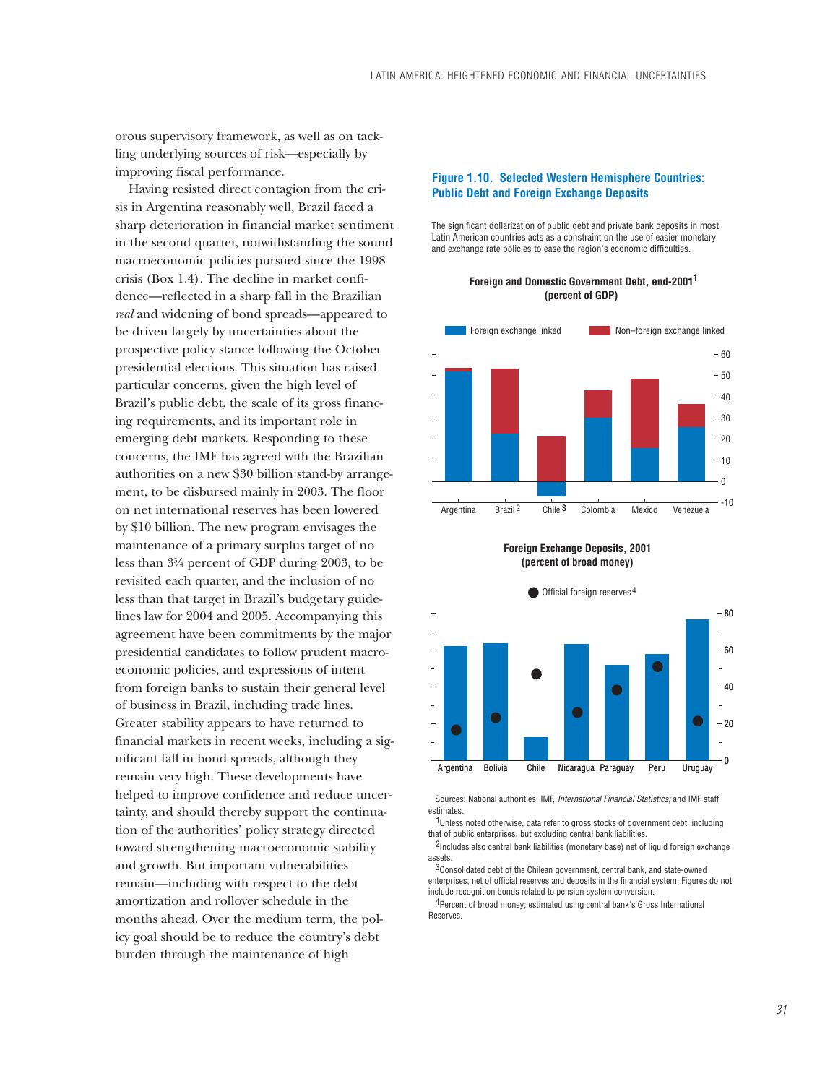orous supervisory framework, as well as on tackling underlying sources of risk—especially by improving fiscal performance.

Having resisted direct contagion from the crisis in Argentina reasonably well, Brazil faced a sharp deterioration in financial market sentiment in the second quarter, notwithstanding the sound macroeconomic policies pursued since the 1998 crisis (Box 1.4). The decline in market confidence—reflected in a sharp fall in the Brazilian *real* and widening of bond spreads—appeared to be driven largely by uncertainties about the prospective policy stance following the October presidential elections. This situation has raised particular concerns, given the high level of Brazil's public debt, the scale of its gross financing requirements, and its important role in emerging debt markets. Responding to these concerns, the IMF has agreed with the Brazilian authorities on a new \$30 billion stand-by arrangement, to be disbursed mainly in 2003. The floor on net international reserves has been lowered by \$10 billion. The new program envisages the maintenance of a primary surplus target of no less than  $3\frac{3}{4}$  percent of GDP during 2003, to be revisited each quarter, and the inclusion of no less than that target in Brazil's budgetary guidelines law for 2004 and 2005. Accompanying this agreement have been commitments by the major presidential candidates to follow prudent macroeconomic policies, and expressions of intent from foreign banks to sustain their general level of business in Brazil, including trade lines. Greater stability appears to have returned to financial markets in recent weeks, including a significant fall in bond spreads, although they remain very high. These developments have helped to improve confidence and reduce uncertainty, and should thereby support the continuation of the authorities' policy strategy directed toward strengthening macroeconomic stability and growth. But important vulnerabilities remain—including with respect to the debt amortization and rollover schedule in the months ahead. Over the medium term, the policy goal should be to reduce the country's debt burden through the maintenance of high

### **Figure 1.10. Selected Western Hemisphere Countries: Public Debt and Foreign Exchange Deposits**

The significant dollarization of public debt and private bank deposits in most Latin American countries acts as a constraint on the use of easier monetary and exchange rate policies to ease the region's economic difficulties.



**Foreign and Domestic Government Debt, end-2001 1 (percent of GDP)**

### **Foreign Exchange Deposits, 2001 (percent of broad money)**



Sources: National authorities; IMF, *International Financial Statistics;* and IMF staff estimates.

<sup>1</sup>Unless noted otherwise, data refer to gross stocks of government debt, including that of public enterprises, but excluding central bank liabilities.

<sup>2</sup>Includes also central bank liabilities (monetary base) net of liquid foreign exchange assets.

 $3$ Consolidated debt of the Chilean government, central bank, and state-owned enterprises, net of official reserves and deposits in the financial system. Figures do not include recognition bonds related to pension system conversion.

<sup>4</sup> Percent of broad money; estimated using central bank's Gross International **Reserves**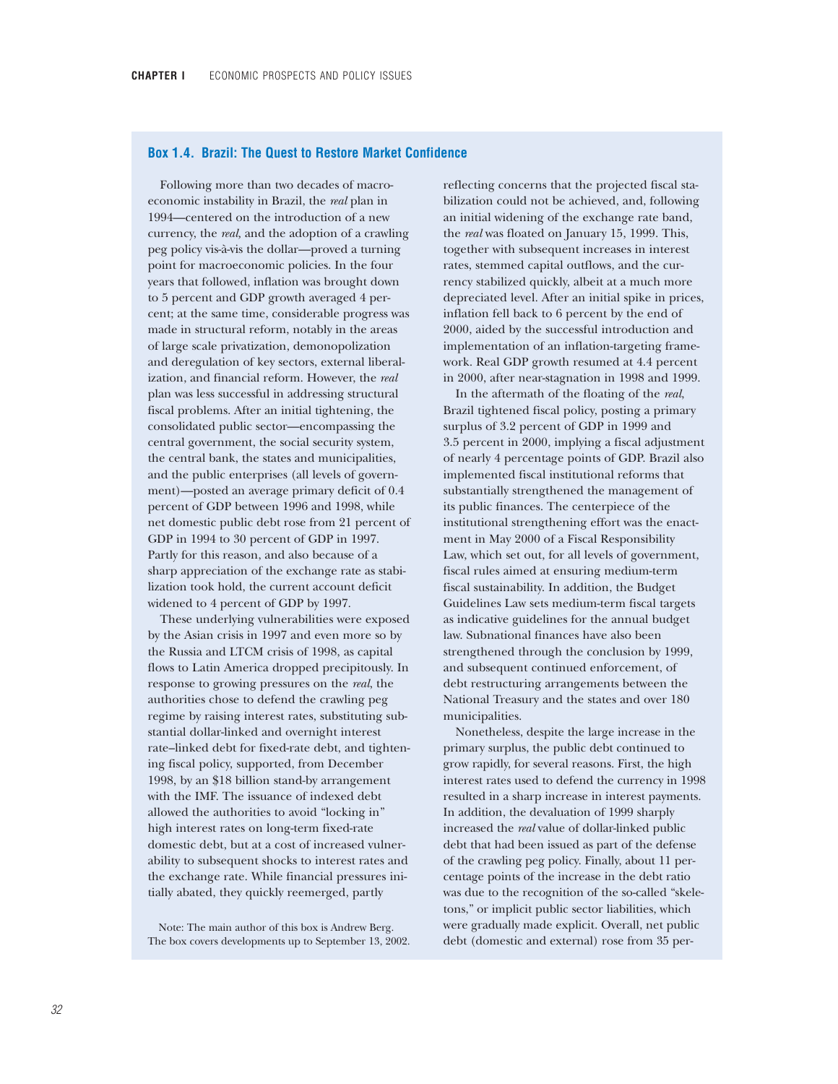## **Box 1.4. Brazil: The Quest to Restore Market Confidence**

Following more than two decades of macroeconomic instability in Brazil, the *real* plan in 1994—centered on the introduction of a new currency, the *real,* and the adoption of a crawling peg policy vis-à-vis the dollar—proved a turning point for macroeconomic policies. In the four years that followed, inflation was brought down to 5 percent and GDP growth averaged 4 percent; at the same time, considerable progress was made in structural reform, notably in the areas of large scale privatization, demonopolization and deregulation of key sectors, external liberalization, and financial reform. However, the *real* plan was less successful in addressing structural fiscal problems. After an initial tightening, the consolidated public sector—encompassing the central government, the social security system, the central bank, the states and municipalities, and the public enterprises (all levels of government)—posted an average primary deficit of 0.4 percent of GDP between 1996 and 1998, while net domestic public debt rose from 21 percent of GDP in 1994 to 30 percent of GDP in 1997. Partly for this reason, and also because of a sharp appreciation of the exchange rate as stabilization took hold, the current account deficit widened to 4 percent of GDP by 1997.

These underlying vulnerabilities were exposed by the Asian crisis in 1997 and even more so by the Russia and LTCM crisis of 1998, as capital flows to Latin America dropped precipitously. In response to growing pressures on the *real*, the authorities chose to defend the crawling peg regime by raising interest rates, substituting substantial dollar-linked and overnight interest rate–linked debt for fixed-rate debt, and tightening fiscal policy, supported, from December 1998, by an \$18 billion stand-by arrangement with the IMF. The issuance of indexed debt allowed the authorities to avoid "locking in" high interest rates on long-term fixed-rate domestic debt, but at a cost of increased vulnerability to subsequent shocks to interest rates and the exchange rate. While financial pressures initially abated, they quickly reemerged, partly

Note: The main author of this box is Andrew Berg. The box covers developments up to September 13, 2002.

reflecting concerns that the projected fiscal stabilization could not be achieved, and, following an initial widening of the exchange rate band, the *real* was floated on January 15, 1999. This, together with subsequent increases in interest rates, stemmed capital outflows, and the currency stabilized quickly, albeit at a much more depreciated level. After an initial spike in prices, inflation fell back to 6 percent by the end of 2000, aided by the successful introduction and implementation of an inflation-targeting framework. Real GDP growth resumed at 4.4 percent in 2000, after near-stagnation in 1998 and 1999.

In the aftermath of the floating of the *real*, Brazil tightened fiscal policy, posting a primary surplus of 3.2 percent of GDP in 1999 and 3.5 percent in 2000, implying a fiscal adjustment of nearly 4 percentage points of GDP. Brazil also implemented fiscal institutional reforms that substantially strengthened the management of its public finances. The centerpiece of the institutional strengthening effort was the enactment in May 2000 of a Fiscal Responsibility Law, which set out, for all levels of government, fiscal rules aimed at ensuring medium-term fiscal sustainability. In addition, the Budget Guidelines Law sets medium-term fiscal targets as indicative guidelines for the annual budget law. Subnational finances have also been strengthened through the conclusion by 1999, and subsequent continued enforcement, of debt restructuring arrangements between the National Treasury and the states and over 180 municipalities.

Nonetheless, despite the large increase in the primary surplus, the public debt continued to grow rapidly, for several reasons. First, the high interest rates used to defend the currency in 1998 resulted in a sharp increase in interest payments. In addition, the devaluation of 1999 sharply increased the *real* value of dollar-linked public debt that had been issued as part of the defense of the crawling peg policy. Finally, about 11 percentage points of the increase in the debt ratio was due to the recognition of the so-called "skeletons," or implicit public sector liabilities, which were gradually made explicit. Overall, net public debt (domestic and external) rose from 35 per-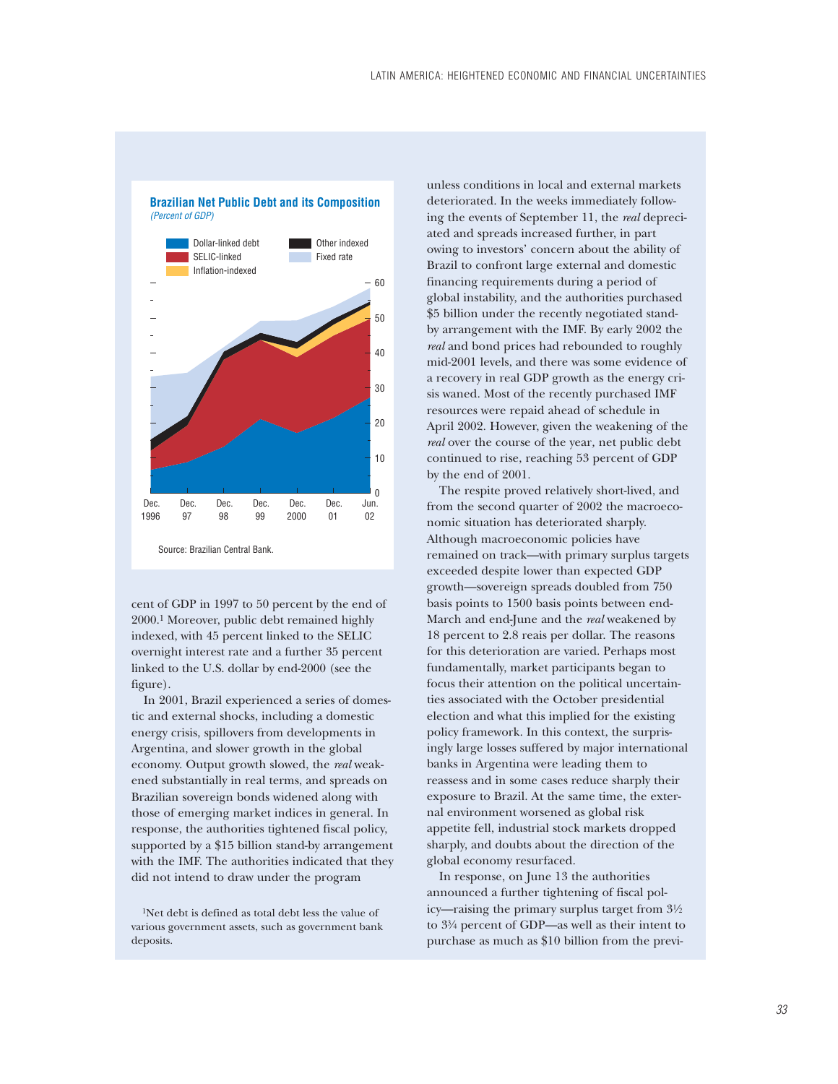

**Brazilian Net Public Debt and its Composition** *(Percent of GDP)*

cent of GDP in 1997 to 50 percent by the end of 2000.1 Moreover, public debt remained highly indexed, with 45 percent linked to the SELIC overnight interest rate and a further 35 percent linked to the U.S. dollar by end-2000 (see the figure).

In 2001, Brazil experienced a series of domestic and external shocks, including a domestic energy crisis, spillovers from developments in Argentina, and slower growth in the global economy. Output growth slowed, the *real* weakened substantially in real terms, and spreads on Brazilian sovereign bonds widened along with those of emerging market indices in general. In response, the authorities tightened fiscal policy, supported by a \$15 billion stand-by arrangement with the IMF. The authorities indicated that they did not intend to draw under the program

<sup>1</sup>Net debt is defined as total debt less the value of various government assets, such as government bank deposits.

unless conditions in local and external markets deteriorated. In the weeks immediately following the events of September 11, the *real* depreciated and spreads increased further, in part owing to investors' concern about the ability of Brazil to confront large external and domestic financing requirements during a period of global instability, and the authorities purchased \$5 billion under the recently negotiated standby arrangement with the IMF. By early 2002 the *real* and bond prices had rebounded to roughly mid-2001 levels, and there was some evidence of a recovery in real GDP growth as the energy crisis waned. Most of the recently purchased IMF resources were repaid ahead of schedule in April 2002. However, given the weakening of the *real* over the course of the year*,* net public debt continued to rise, reaching 53 percent of GDP by the end of 2001.

The respite proved relatively short-lived, and from the second quarter of 2002 the macroeconomic situation has deteriorated sharply. Although macroeconomic policies have remained on track—with primary surplus targets exceeded despite lower than expected GDP growth—sovereign spreads doubled from 750 basis points to 1500 basis points between end-March and end-June and the *real* weakened by 18 percent to 2.8 reais per dollar. The reasons for this deterioration are varied. Perhaps most fundamentally, market participants began to focus their attention on the political uncertainties associated with the October presidential election and what this implied for the existing policy framework. In this context, the surprisingly large losses suffered by major international banks in Argentina were leading them to reassess and in some cases reduce sharply their exposure to Brazil. At the same time, the external environment worsened as global risk appetite fell, industrial stock markets dropped sharply, and doubts about the direction of the global economy resurfaced.

In response, on June 13 the authorities announced a further tightening of fiscal policy—raising the primary surplus target from  $3\frac{1}{2}$ to 3¼ percent of GDP—as well as their intent to purchase as much as \$10 billion from the previ-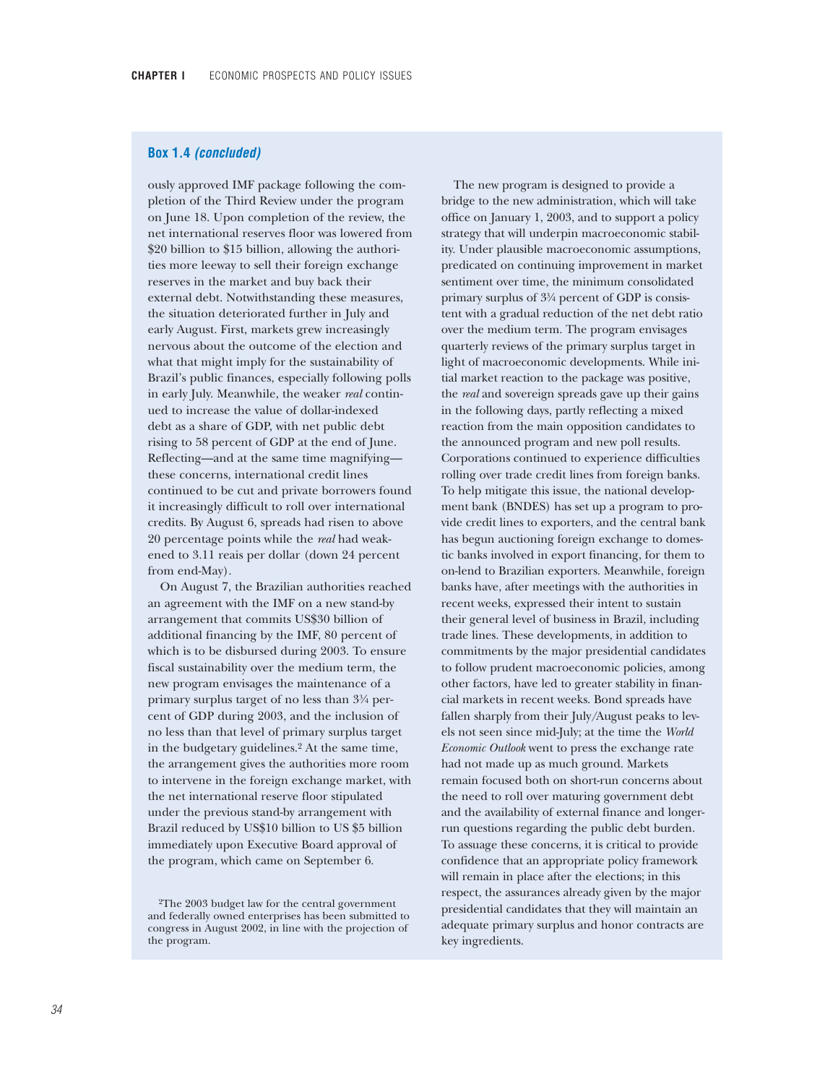## **Box 1.4** *(concluded)*

ously approved IMF package following the completion of the Third Review under the program on June 18. Upon completion of the review, the net international reserves floor was lowered from \$20 billion to \$15 billion, allowing the authorities more leeway to sell their foreign exchange reserves in the market and buy back their external debt. Notwithstanding these measures, the situation deteriorated further in July and early August. First, markets grew increasingly nervous about the outcome of the election and what that might imply for the sustainability of Brazil's public finances, especially following polls in early July. Meanwhile, the weaker *real* continued to increase the value of dollar-indexed debt as a share of GDP, with net public debt rising to 58 percent of GDP at the end of June. Reflecting—and at the same time magnifying these concerns, international credit lines continued to be cut and private borrowers found it increasingly difficult to roll over international credits. By August 6, spreads had risen to above 20 percentage points while the *real* had weakened to 3.11 reais per dollar (down 24 percent from end-May).

On August 7, the Brazilian authorities reached an agreement with the IMF on a new stand-by arrangement that commits US\$30 billion of additional financing by the IMF, 80 percent of which is to be disbursed during 2003. To ensure fiscal sustainability over the medium term, the new program envisages the maintenance of a primary surplus target of no less than  $3\frac{3}{4}$  percent of GDP during 2003, and the inclusion of no less than that level of primary surplus target in the budgetary guidelines.2 At the same time, the arrangement gives the authorities more room to intervene in the foreign exchange market, with the net international reserve floor stipulated under the previous stand-by arrangement with Brazil reduced by US\$10 billion to US \$5 billion immediately upon Executive Board approval of the program, which came on September 6.

The new program is designed to provide a bridge to the new administration, which will take office on January 1, 2003, and to support a policy strategy that will underpin macroeconomic stability. Under plausible macroeconomic assumptions, predicated on continuing improvement in market sentiment over time, the minimum consolidated primary surplus of  $3\frac{3}{4}$  percent of GDP is consistent with a gradual reduction of the net debt ratio over the medium term. The program envisages quarterly reviews of the primary surplus target in light of macroeconomic developments. While initial market reaction to the package was positive, the *real* and sovereign spreads gave up their gains in the following days, partly reflecting a mixed reaction from the main opposition candidates to the announced program and new poll results. Corporations continued to experience difficulties rolling over trade credit lines from foreign banks. To help mitigate this issue, the national development bank (BNDES) has set up a program to provide credit lines to exporters, and the central bank has begun auctioning foreign exchange to domestic banks involved in export financing, for them to on-lend to Brazilian exporters. Meanwhile, foreign banks have, after meetings with the authorities in recent weeks, expressed their intent to sustain their general level of business in Brazil, including trade lines. These developments, in addition to commitments by the major presidential candidates to follow prudent macroeconomic policies, among other factors, have led to greater stability in financial markets in recent weeks. Bond spreads have fallen sharply from their July/August peaks to levels not seen since mid-July; at the time the *World Economic Outlook* went to press the exchange rate had not made up as much ground. Markets remain focused both on short-run concerns about the need to roll over maturing government debt and the availability of external finance and longerrun questions regarding the public debt burden. To assuage these concerns, it is critical to provide confidence that an appropriate policy framework will remain in place after the elections; in this respect, the assurances already given by the major presidential candidates that they will maintain an adequate primary surplus and honor contracts are key ingredients.

<sup>2</sup>The 2003 budget law for the central government and federally owned enterprises has been submitted to congress in August 2002, in line with the projection of the program.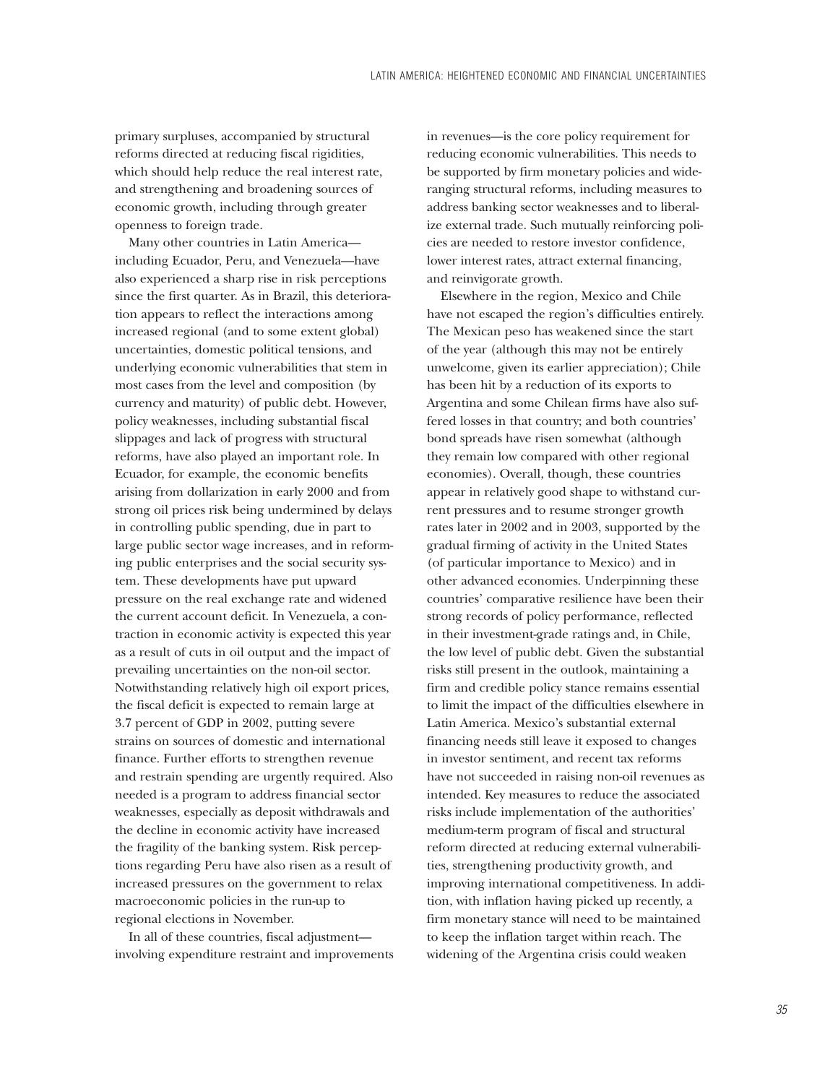primary surpluses, accompanied by structural reforms directed at reducing fiscal rigidities, which should help reduce the real interest rate, and strengthening and broadening sources of economic growth, including through greater openness to foreign trade.

Many other countries in Latin America including Ecuador, Peru, and Venezuela—have also experienced a sharp rise in risk perceptions since the first quarter. As in Brazil, this deterioration appears to reflect the interactions among increased regional (and to some extent global) uncertainties, domestic political tensions, and underlying economic vulnerabilities that stem in most cases from the level and composition (by currency and maturity) of public debt. However, policy weaknesses, including substantial fiscal slippages and lack of progress with structural reforms, have also played an important role. In Ecuador, for example, the economic benefits arising from dollarization in early 2000 and from strong oil prices risk being undermined by delays in controlling public spending, due in part to large public sector wage increases, and in reforming public enterprises and the social security system. These developments have put upward pressure on the real exchange rate and widened the current account deficit. In Venezuela, a contraction in economic activity is expected this year as a result of cuts in oil output and the impact of prevailing uncertainties on the non-oil sector. Notwithstanding relatively high oil export prices, the fiscal deficit is expected to remain large at 3.7 percent of GDP in 2002, putting severe strains on sources of domestic and international finance. Further efforts to strengthen revenue and restrain spending are urgently required. Also needed is a program to address financial sector weaknesses, especially as deposit withdrawals and the decline in economic activity have increased the fragility of the banking system. Risk perceptions regarding Peru have also risen as a result of increased pressures on the government to relax macroeconomic policies in the run-up to regional elections in November.

In all of these countries, fiscal adjustment involving expenditure restraint and improvements

in revenues—is the core policy requirement for reducing economic vulnerabilities. This needs to be supported by firm monetary policies and wideranging structural reforms, including measures to address banking sector weaknesses and to liberalize external trade. Such mutually reinforcing policies are needed to restore investor confidence, lower interest rates, attract external financing, and reinvigorate growth.

Elsewhere in the region, Mexico and Chile have not escaped the region's difficulties entirely. The Mexican peso has weakened since the start of the year (although this may not be entirely unwelcome, given its earlier appreciation); Chile has been hit by a reduction of its exports to Argentina and some Chilean firms have also suffered losses in that country; and both countries' bond spreads have risen somewhat (although they remain low compared with other regional economies). Overall, though, these countries appear in relatively good shape to withstand current pressures and to resume stronger growth rates later in 2002 and in 2003, supported by the gradual firming of activity in the United States (of particular importance to Mexico) and in other advanced economies. Underpinning these countries' comparative resilience have been their strong records of policy performance, reflected in their investment-grade ratings and, in Chile, the low level of public debt. Given the substantial risks still present in the outlook, maintaining a firm and credible policy stance remains essential to limit the impact of the difficulties elsewhere in Latin America. Mexico's substantial external financing needs still leave it exposed to changes in investor sentiment, and recent tax reforms have not succeeded in raising non-oil revenues as intended. Key measures to reduce the associated risks include implementation of the authorities' medium-term program of fiscal and structural reform directed at reducing external vulnerabilities, strengthening productivity growth, and improving international competitiveness. In addition, with inflation having picked up recently, a firm monetary stance will need to be maintained to keep the inflation target within reach. The widening of the Argentina crisis could weaken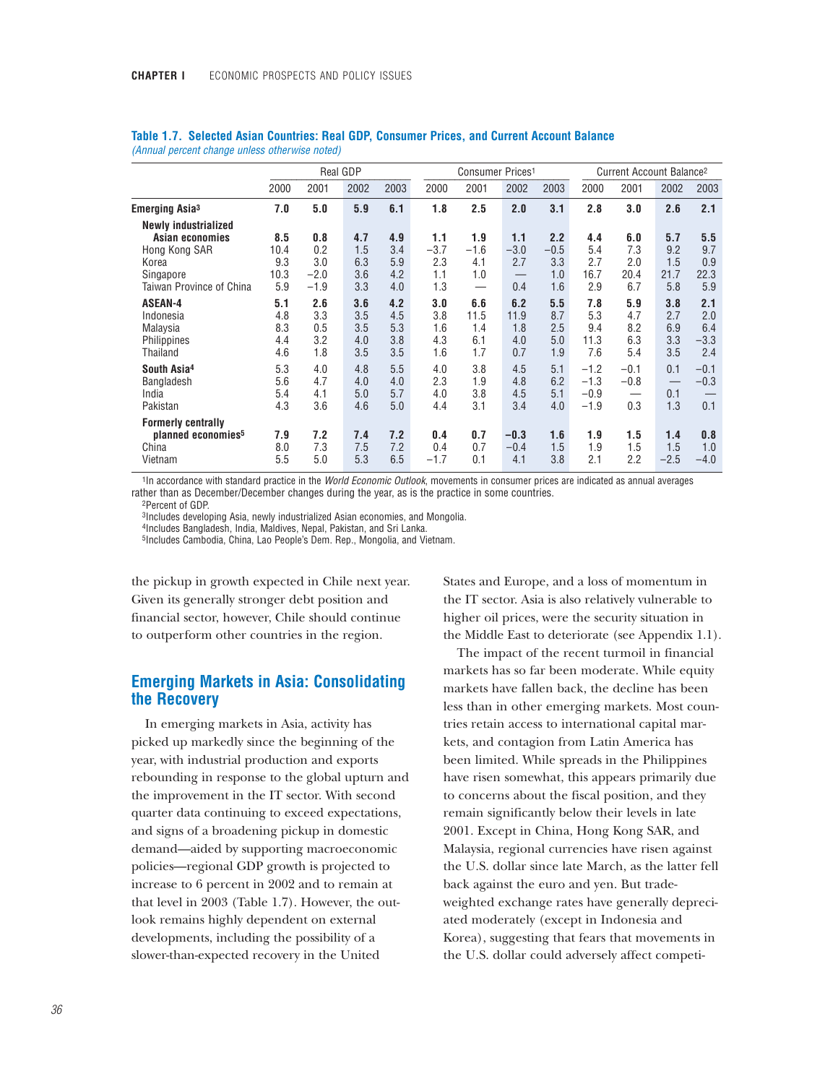|                                                                                 |                                 |                                 | Real GDP                        |                                 |                                 | Consumer Prices <sup>1</sup>     |                                  |                                 |                                      | Current Account Balance <sup>2</sup> |                                 |                                    |  |
|---------------------------------------------------------------------------------|---------------------------------|---------------------------------|---------------------------------|---------------------------------|---------------------------------|----------------------------------|----------------------------------|---------------------------------|--------------------------------------|--------------------------------------|---------------------------------|------------------------------------|--|
|                                                                                 | 2000                            | 2001                            | 2002                            | 2003                            | 2000                            | 2001                             | 2002                             | 2003                            | 2000                                 | 2001                                 | 2002                            | 2003                               |  |
| <b>Emerging Asia<sup>3</sup></b>                                                | 7.0                             | 5.0                             | 5.9                             | 6.1                             | 1.8                             | 2.5                              | 2.0                              | 3.1                             | 2.8                                  | 3.0                                  | 2.6                             | 2.1                                |  |
| <b>Newly industrialized</b><br>Asian economies<br>Hong Kong SAR<br>Korea        | 8.5<br>10.4<br>9.3              | 0.8<br>0.2<br>3.0               | 4.7<br>1.5<br>6.3               | 4.9<br>3.4<br>5.9               | 1.1<br>$-3.7$<br>2.3            | 1.9<br>$-1.6$<br>4.1             | 1.1<br>$-3.0$<br>2.7             | 2.2<br>$-0.5$<br>3.3            | 4.4<br>5.4<br>2.7                    | 6.0<br>7.3<br>2.0                    | 5.7<br>9.2<br>1.5               | 5.5<br>9.7<br>0.9                  |  |
| Singapore<br>Taiwan Province of China                                           | 10.3<br>5.9                     | $-2.0$<br>$-1.9$                | 3.6<br>3.3                      | 4.2<br>4.0                      | 1.1<br>1.3                      | 1.0<br>$\overline{\phantom{0}}$  | 0.4                              | 1.0<br>1.6                      | 16.7<br>2.9                          | 20.4<br>6.7                          | 21.7<br>5.8                     | 22.3<br>5.9                        |  |
| <b>ASEAN-4</b><br>Indonesia<br>Malaysia<br>Philippines<br>Thailand              | 5.1<br>4.8<br>8.3<br>4.4<br>4.6 | 2.6<br>3.3<br>0.5<br>3.2<br>1.8 | 3.6<br>3.5<br>3.5<br>4.0<br>3.5 | 4.2<br>4.5<br>5.3<br>3.8<br>3.5 | 3.0<br>3.8<br>1.6<br>4.3<br>1.6 | 6.6<br>11.5<br>1.4<br>6.1<br>1.7 | 6.2<br>11.9<br>1.8<br>4.0<br>0.7 | 5.5<br>8.7<br>2.5<br>5.0<br>1.9 | 7.8<br>5.3<br>9.4<br>11.3<br>7.6     | 5.9<br>4.7<br>8.2<br>6.3<br>5.4      | 3.8<br>2.7<br>6.9<br>3.3<br>3.5 | 2.1<br>2.0<br>6.4<br>$-3.3$<br>2.4 |  |
| South Asia <sup>4</sup><br><b>Bangladesh</b><br>India<br>Pakistan               | 5.3<br>5.6<br>5.4<br>4.3        | 4.0<br>4.7<br>4.1<br>3.6        | 4.8<br>4.0<br>5.0<br>4.6        | 5.5<br>4.0<br>5.7<br>5.0        | 4.0<br>2.3<br>4.0<br>4.4        | 3.8<br>1.9<br>3.8<br>3.1         | 4.5<br>4.8<br>4.5<br>3.4         | 5.1<br>6.2<br>5.1<br>4.0        | $-1.2$<br>$-1.3$<br>$-0.9$<br>$-1.9$ | $-0.1$<br>$-0.8$<br>0.3              | 0.1<br>0.1<br>1.3               | $-0.1$<br>$-0.3$<br>0.1            |  |
| <b>Formerly centrally</b><br>planned economies <sup>5</sup><br>China<br>Vietnam | 7.9<br>8.0<br>5.5               | 7.2<br>7.3<br>5.0               | 7.4<br>7.5<br>5.3               | 7.2<br>7.2<br>6.5               | 0.4<br>0.4<br>$-1.7$            | 0.7<br>0.7<br>0.1                | $-0.3$<br>$-0.4$<br>4.1          | 1.6<br>1.5<br>3.8               | 1.9<br>1.9<br>2.1                    | 1.5<br>1.5<br>2.2                    | 1.4<br>1.5<br>$-2.5$            | 0.8<br>1.0<br>$-4.0$               |  |

### **Table 1.7. Selected Asian Countries: Real GDP, Consumer Prices, and Current Account Balance** *(Annual percent change unless otherwise noted)*

1In accordance with standard practice in the *World Economic Outlook*, movements in consumer prices are indicated as annual averages rather than as December/December changes during the year, as is the practice in some countries.

2Percent of GDP.

3Includes developing Asia, newly industrialized Asian economies, and Mongolia.

4Includes Bangladesh, India, Maldives, Nepal, Pakistan, and Sri Lanka.

5Includes Cambodia, China, Lao People's Dem. Rep., Mongolia, and Vietnam.

the pickup in growth expected in Chile next year. Given its generally stronger debt position and financial sector, however, Chile should continue to outperform other countries in the region.

# **Emerging Markets in Asia: Consolidating the Recovery**

In emerging markets in Asia, activity has picked up markedly since the beginning of the year, with industrial production and exports rebounding in response to the global upturn and the improvement in the IT sector. With second quarter data continuing to exceed expectations, and signs of a broadening pickup in domestic demand—aided by supporting macroeconomic policies—regional GDP growth is projected to increase to 6 percent in 2002 and to remain at that level in 2003 (Table 1.7). However, the outlook remains highly dependent on external developments, including the possibility of a slower-than-expected recovery in the United

States and Europe, and a loss of momentum in the IT sector. Asia is also relatively vulnerable to higher oil prices, were the security situation in the Middle East to deteriorate (see Appendix 1.1).

The impact of the recent turmoil in financial markets has so far been moderate. While equity markets have fallen back, the decline has been less than in other emerging markets. Most countries retain access to international capital markets, and contagion from Latin America has been limited. While spreads in the Philippines have risen somewhat, this appears primarily due to concerns about the fiscal position, and they remain significantly below their levels in late 2001. Except in China, Hong Kong SAR, and Malaysia, regional currencies have risen against the U.S. dollar since late March, as the latter fell back against the euro and yen. But tradeweighted exchange rates have generally depreciated moderately (except in Indonesia and Korea), suggesting that fears that movements in the U.S. dollar could adversely affect competi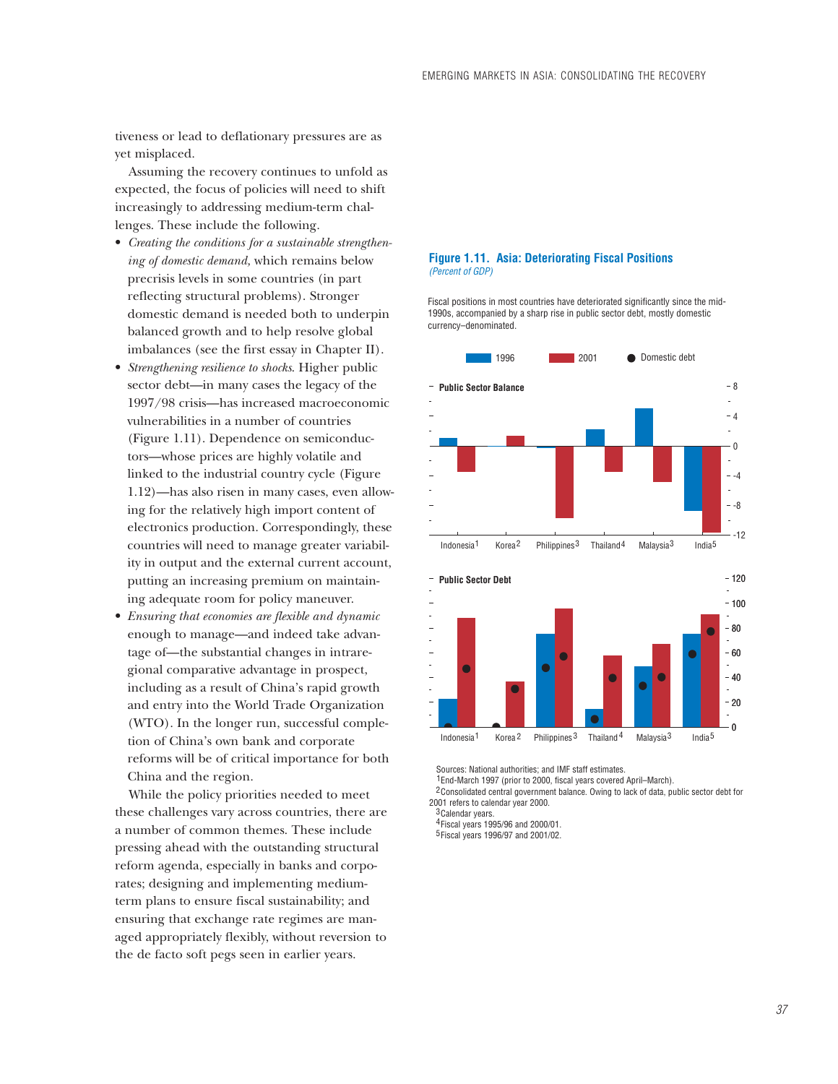tiveness or lead to deflationary pressures are as yet misplaced.

Assuming the recovery continues to unfold as expected, the focus of policies will need to shift increasingly to addressing medium-term challenges. These include the following.

- *Creating the conditions for a sustainable strengthening of domestic demand,* which remains below precrisis levels in some countries (in part reflecting structural problems). Stronger domestic demand is needed both to underpin balanced growth and to help resolve global imbalances (see the first essay in Chapter II).
- *Strengthening resilience to shocks*. Higher public sector debt—in many cases the legacy of the 1997/98 crisis—has increased macroeconomic vulnerabilities in a number of countries (Figure 1.11). Dependence on semiconductors—whose prices are highly volatile and linked to the industrial country cycle (Figure 1.12)—has also risen in many cases, even allowing for the relatively high import content of electronics production. Correspondingly, these countries will need to manage greater variability in output and the external current account, putting an increasing premium on maintaining adequate room for policy maneuver.
- *Ensuring that economies are flexible and dynamic* enough to manage—and indeed take advantage of—the substantial changes in intraregional comparative advantage in prospect, including as a result of China's rapid growth and entry into the World Trade Organization (WTO). In the longer run, successful completion of China's own bank and corporate reforms will be of critical importance for both China and the region.

While the policy priorities needed to meet these challenges vary across countries, there are a number of common themes. These include pressing ahead with the outstanding structural reform agenda, especially in banks and corporates; designing and implementing mediumterm plans to ensure fiscal sustainability; and ensuring that exchange rate regimes are managed appropriately flexibly, without reversion to the de facto soft pegs seen in earlier years.

#### **Figure 1.11. Asia: Deteriorating Fiscal Positions** *(Percent of GDP)*

Fiscal positions in most countries have deteriorated significantly since the mid-1990s, accompanied by a sharp rise in public sector debt, mostly domestic currency–denominated.



Sources: National authorities; and IMF staff estimates.

<sup>1</sup> End-March 1997 (prior to 2000, fiscal years covered April–March).

<sup>2</sup> Consolidated central government balance. Owing to lack of data, public sector debt for 2001 refers to calendar year 2000.

3 Calendar years.

Fiscal years 1995/96 and 2000/01. 4

Fiscal years 1996/97 and 2001/02. 5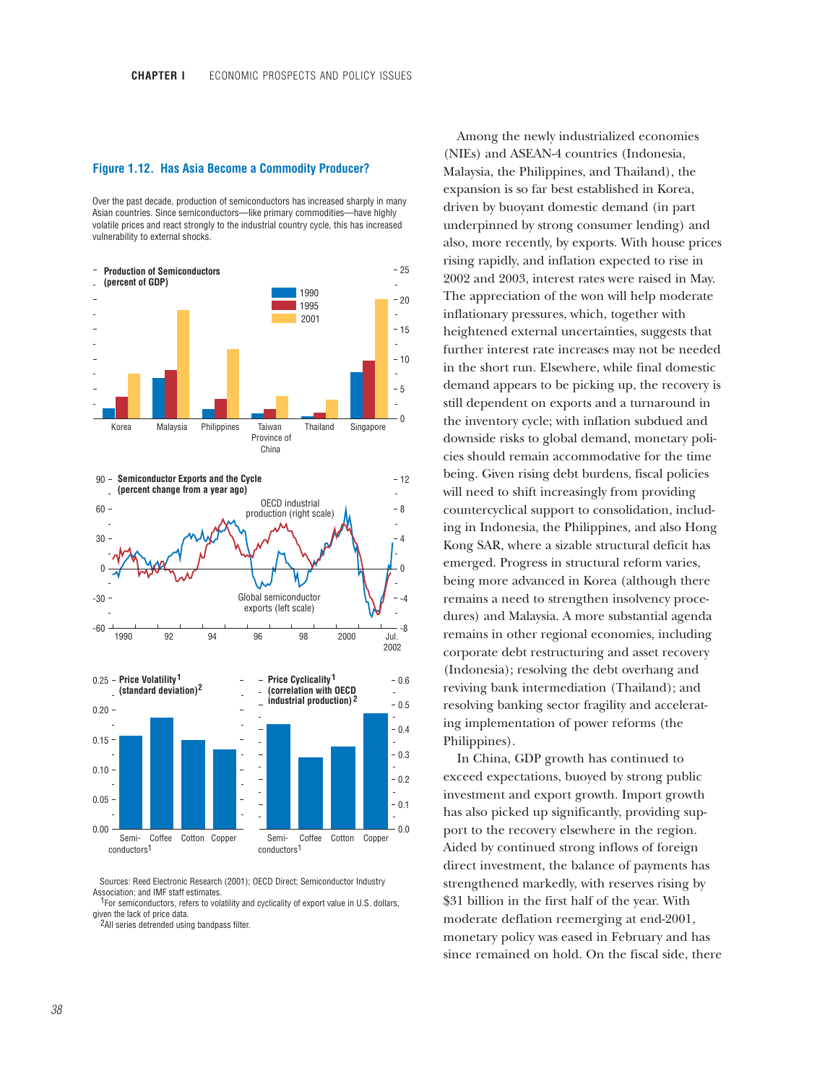#### **Figure 1.12. Has Asia Become a Commodity Producer?**

Over the past decade, production of semiconductors has increased sharply in many Asian countries. Since semiconductors—like primary commodities—have highly volatile prices and react strongly to the industrial country cycle, this has increased vulnerability to external shocks.



Sources: Reed Electronic Research (2001); OECD Direct; Semiconductor Industry Association; and IMF staff estimates.

<sup>1</sup>For semiconductors, refers to volatility and cyclicality of export value in U.S. dollars, given the lack of price data.

2All series detrended using bandpass filter.

Among the newly industrialized economies (NIEs) and ASEAN-4 countries (Indonesia, Malaysia, the Philippines, and Thailand), the expansion is so far best established in Korea, driven by buoyant domestic demand (in part underpinned by strong consumer lending) and also, more recently, by exports. With house prices rising rapidly, and inflation expected to rise in 2002 and 2003, interest rates were raised in May. The appreciation of the won will help moderate inflationary pressures, which, together with heightened external uncertainties, suggests that further interest rate increases may not be needed in the short run. Elsewhere, while final domestic demand appears to be picking up, the recovery is still dependent on exports and a turnaround in the inventory cycle; with inflation subdued and downside risks to global demand, monetary policies should remain accommodative for the time being. Given rising debt burdens, fiscal policies will need to shift increasingly from providing countercyclical support to consolidation, including in Indonesia, the Philippines*,* and also Hong Kong SAR, where a sizable structural deficit has emerged. Progress in structural reform varies, being more advanced in Korea (although there remains a need to strengthen insolvency procedures) and Malaysia. A more substantial agenda remains in other regional economies, including corporate debt restructuring and asset recovery (Indonesia); resolving the debt overhang and reviving bank intermediation (Thailand); and resolving banking sector fragility and accelerating implementation of power reforms (the Philippines).

In China, GDP growth has continued to exceed expectations, buoyed by strong public investment and export growth. Import growth has also picked up significantly, providing support to the recovery elsewhere in the region. Aided by continued strong inflows of foreign direct investment, the balance of payments has strengthened markedly, with reserves rising by \$31 billion in the first half of the year. With moderate deflation reemerging at end-2001, monetary policy was eased in February and has since remained on hold. On the fiscal side, there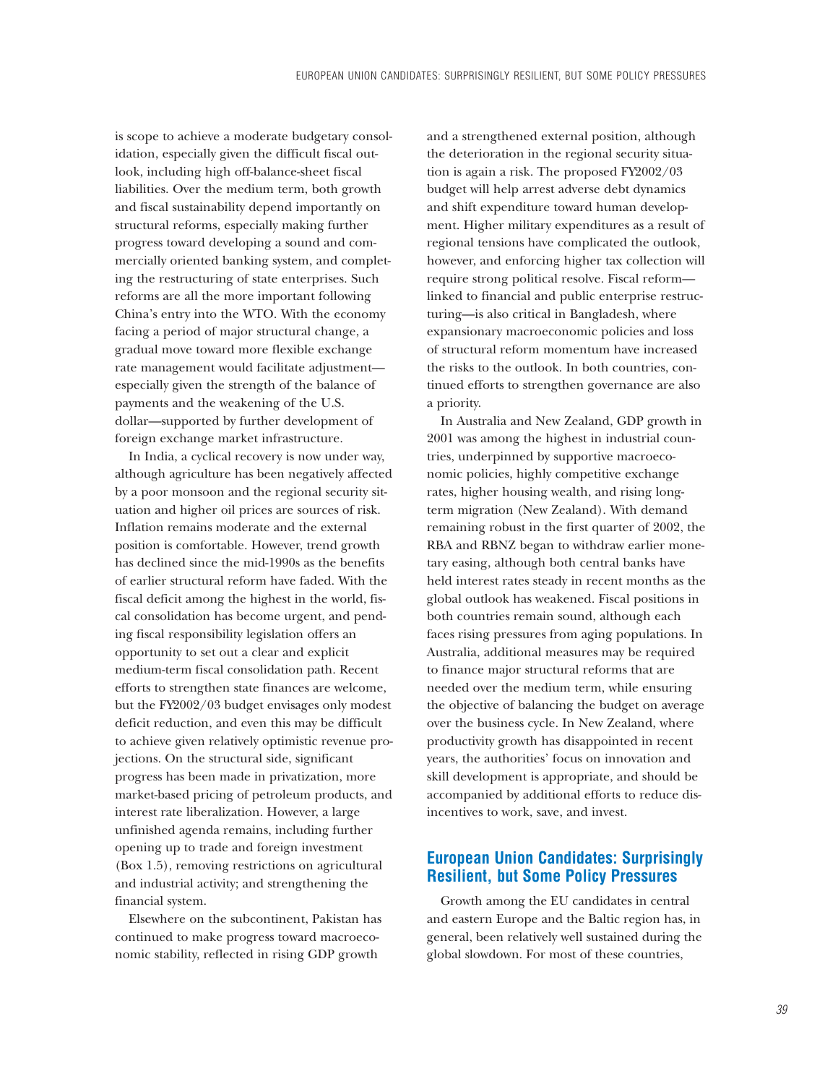is scope to achieve a moderate budgetary consolidation, especially given the difficult fiscal outlook, including high off-balance-sheet fiscal liabilities. Over the medium term, both growth and fiscal sustainability depend importantly on structural reforms, especially making further progress toward developing a sound and commercially oriented banking system, and completing the restructuring of state enterprises. Such reforms are all the more important following China's entry into the WTO. With the economy facing a period of major structural change, a gradual move toward more flexible exchange rate management would facilitate adjustment especially given the strength of the balance of payments and the weakening of the U.S. dollar—supported by further development of foreign exchange market infrastructure.

In India, a cyclical recovery is now under way, although agriculture has been negatively affected by a poor monsoon and the regional security situation and higher oil prices are sources of risk. Inflation remains moderate and the external position is comfortable. However, trend growth has declined since the mid-1990s as the benefits of earlier structural reform have faded. With the fiscal deficit among the highest in the world, fiscal consolidation has become urgent, and pending fiscal responsibility legislation offers an opportunity to set out a clear and explicit medium-term fiscal consolidation path. Recent efforts to strengthen state finances are welcome, but the FY2002/03 budget envisages only modest deficit reduction, and even this may be difficult to achieve given relatively optimistic revenue projections. On the structural side, significant progress has been made in privatization, more market-based pricing of petroleum products, and interest rate liberalization. However, a large unfinished agenda remains, including further opening up to trade and foreign investment (Box 1.5), removing restrictions on agricultural and industrial activity; and strengthening the financial system.

Elsewhere on the subcontinent, Pakistan has continued to make progress toward macroeconomic stability, reflected in rising GDP growth

and a strengthened external position, although the deterioration in the regional security situation is again a risk. The proposed FY2002/03 budget will help arrest adverse debt dynamics and shift expenditure toward human development. Higher military expenditures as a result of regional tensions have complicated the outlook, however, and enforcing higher tax collection will require strong political resolve. Fiscal reform linked to financial and public enterprise restructuring—is also critical in Bangladesh, where expansionary macroeconomic policies and loss of structural reform momentum have increased the risks to the outlook. In both countries, continued efforts to strengthen governance are also a priority.

In Australia and New Zealand, GDP growth in 2001 was among the highest in industrial countries, underpinned by supportive macroeconomic policies, highly competitive exchange rates, higher housing wealth, and rising longterm migration (New Zealand). With demand remaining robust in the first quarter of 2002, the RBA and RBNZ began to withdraw earlier monetary easing, although both central banks have held interest rates steady in recent months as the global outlook has weakened. Fiscal positions in both countries remain sound, although each faces rising pressures from aging populations. In Australia, additional measures may be required to finance major structural reforms that are needed over the medium term, while ensuring the objective of balancing the budget on average over the business cycle. In New Zealand, where productivity growth has disappointed in recent years, the authorities' focus on innovation and skill development is appropriate, and should be accompanied by additional efforts to reduce disincentives to work, save, and invest.

# **European Union Candidates: Surprisingly Resilient, but Some Policy Pressures**

Growth among the EU candidates in central and eastern Europe and the Baltic region has, in general, been relatively well sustained during the global slowdown. For most of these countries,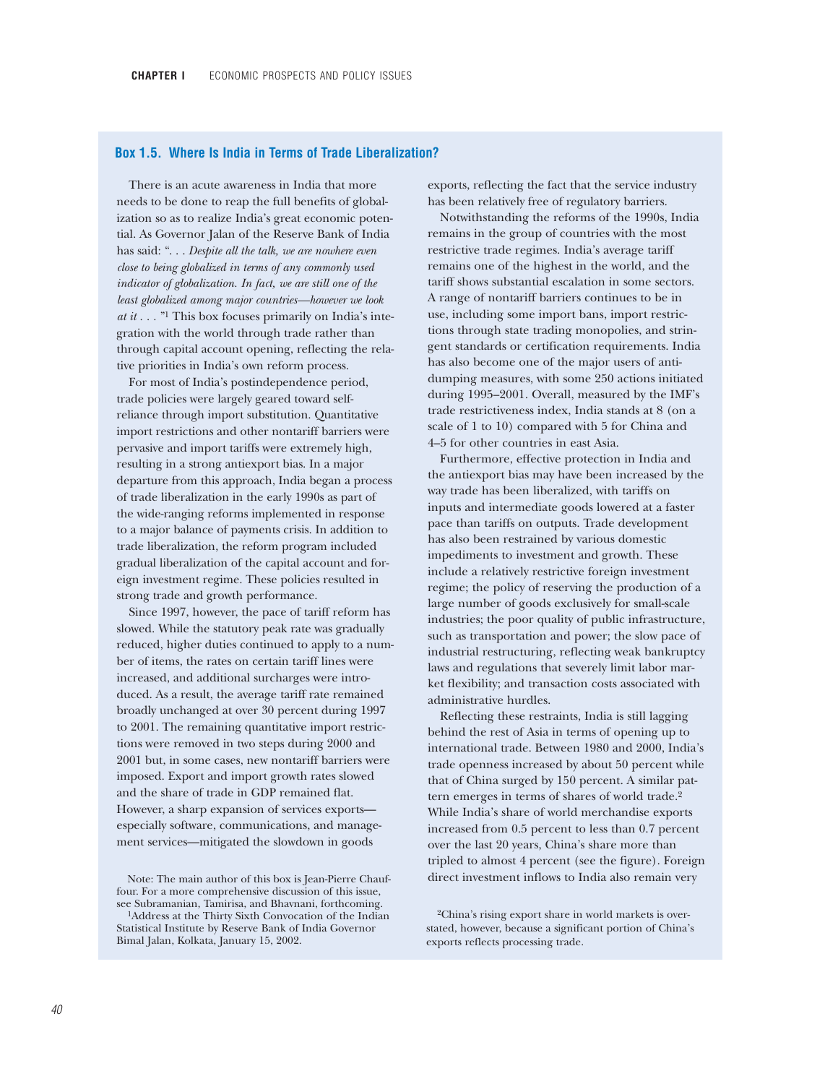### **Box 1.5. Where Is India in Terms of Trade Liberalization?**

There is an acute awareness in India that more needs to be done to reap the full benefits of globalization so as to realize India's great economic potential. As Governor Jalan of the Reserve Bank of India has said: ". . . *Despite all the talk, we are nowhere even close to being globalized in terms of any commonly used indicator of globalization. In fact, we are still one of the least globalized among major countries—however we look at it . . .* "1 This box focuses primarily on India's integration with the world through trade rather than through capital account opening, reflecting the relative priorities in India's own reform process.

For most of India's postindependence period, trade policies were largely geared toward selfreliance through import substitution. Quantitative import restrictions and other nontariff barriers were pervasive and import tariffs were extremely high, resulting in a strong antiexport bias. In a major departure from this approach, India began a process of trade liberalization in the early 1990s as part of the wide-ranging reforms implemented in response to a major balance of payments crisis. In addition to trade liberalization, the reform program included gradual liberalization of the capital account and foreign investment regime. These policies resulted in strong trade and growth performance.

Since 1997, however, the pace of tariff reform has slowed. While the statutory peak rate was gradually reduced, higher duties continued to apply to a number of items, the rates on certain tariff lines were increased, and additional surcharges were introduced. As a result, the average tariff rate remained broadly unchanged at over 30 percent during 1997 to 2001. The remaining quantitative import restrictions were removed in two steps during 2000 and 2001 but, in some cases, new nontariff barriers were imposed. Export and import growth rates slowed and the share of trade in GDP remained flat. However, a sharp expansion of services exports especially software, communications, and management services—mitigated the slowdown in goods

Note: The main author of this box is Jean-Pierre Chauffour. For a more comprehensive discussion of this issue, see Subramanian, Tamirisa, and Bhavnani, forthcoming. 1Address at the Thirty Sixth Convocation of the Indian Statistical Institute by Reserve Bank of India Governor Bimal Jalan, Kolkata, January 15, 2002.

exports, reflecting the fact that the service industry has been relatively free of regulatory barriers.

Notwithstanding the reforms of the 1990s, India remains in the group of countries with the most restrictive trade regimes. India's average tariff remains one of the highest in the world, and the tariff shows substantial escalation in some sectors. A range of nontariff barriers continues to be in use, including some import bans, import restrictions through state trading monopolies, and stringent standards or certification requirements. India has also become one of the major users of antidumping measures, with some 250 actions initiated during 1995–2001. Overall, measured by the IMF's trade restrictiveness index, India stands at 8 (on a scale of 1 to 10) compared with 5 for China and 4–5 for other countries in east Asia.

Furthermore, effective protection in India and the antiexport bias may have been increased by the way trade has been liberalized, with tariffs on inputs and intermediate goods lowered at a faster pace than tariffs on outputs. Trade development has also been restrained by various domestic impediments to investment and growth. These include a relatively restrictive foreign investment regime; the policy of reserving the production of a large number of goods exclusively for small-scale industries; the poor quality of public infrastructure, such as transportation and power; the slow pace of industrial restructuring, reflecting weak bankruptcy laws and regulations that severely limit labor market flexibility; and transaction costs associated with administrative hurdles.

Reflecting these restraints, India is still lagging behind the rest of Asia in terms of opening up to international trade. Between 1980 and 2000, India's trade openness increased by about 50 percent while that of China surged by 150 percent. A similar pattern emerges in terms of shares of world trade.2 While India's share of world merchandise exports increased from 0.5 percent to less than 0.7 percent over the last 20 years, China's share more than tripled to almost 4 percent (see the figure). Foreign direct investment inflows to India also remain very

2China's rising export share in world markets is overstated, however, because a significant portion of China's exports reflects processing trade.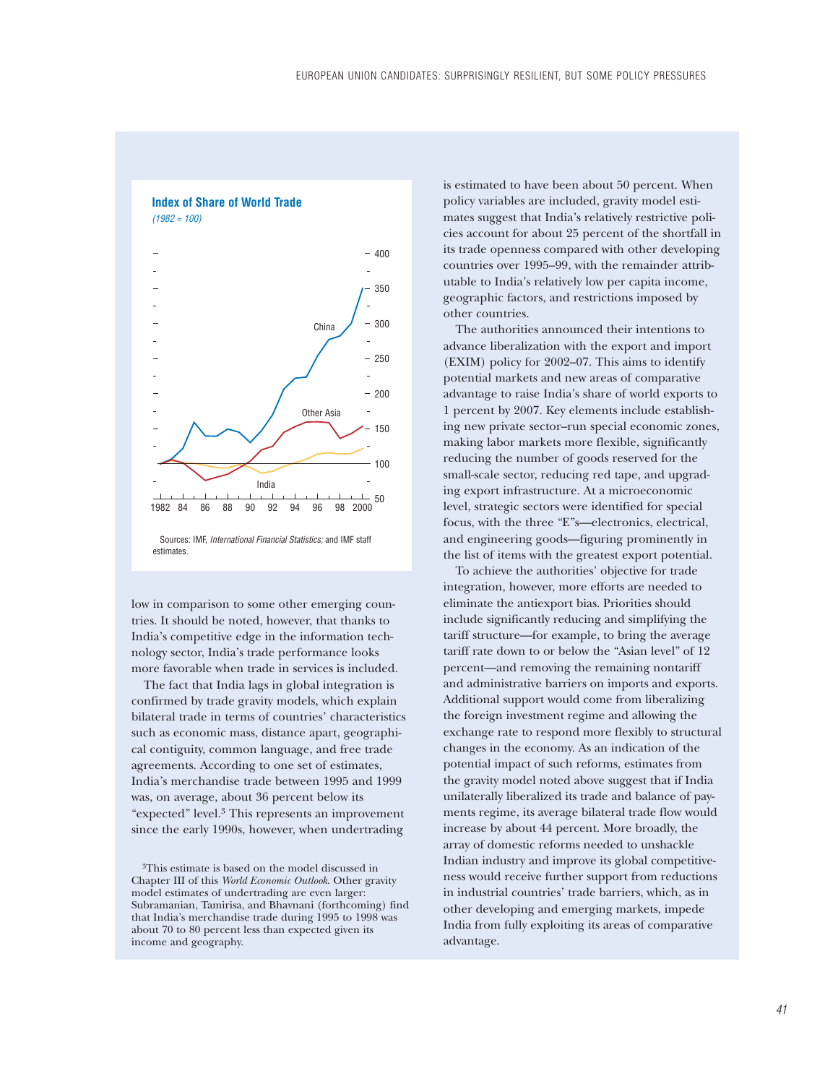

low in comparison to some other emerging countries. It should be noted, however, that thanks to India's competitive edge in the information technology sector, India's trade performance looks more favorable when trade in services is included.

The fact that India lags in global integration is confirmed by trade gravity models, which explain bilateral trade in terms of countries' characteristics such as economic mass, distance apart, geographical contiguity, common language, and free trade agreements. According to one set of estimates, India's merchandise trade between 1995 and 1999 was, on average, about 36 percent below its "expected" level.3 This represents an improvement since the early 1990s, however, when undertrading

3This estimate is based on the model discussed in Chapter III of this *World Economic Outlook*. Other gravity model estimates of undertrading are even larger: Subramanian, Tamirisa, and Bhavnani (forthcoming) find that India's merchandise trade during 1995 to 1998 was about 70 to 80 percent less than expected given its income and geography.

is estimated to have been about 50 percent. When policy variables are included, gravity model estimates suggest that India's relatively restrictive policies account for about 25 percent of the shortfall in its trade openness compared with other developing countries over 1995–99, with the remainder attributable to India's relatively low per capita income, geographic factors, and restrictions imposed by other countries.

The authorities announced their intentions to advance liberalization with the export and import (EXIM) policy for 2002–07. This aims to identify potential markets and new areas of comparative advantage to raise India's share of world exports to 1 percent by 2007. Key elements include establishing new private sector–run special economic zones, making labor markets more flexible, significantly reducing the number of goods reserved for the small-scale sector, reducing red tape, and upgrading export infrastructure. At a microeconomic level, strategic sectors were identified for special focus, with the three "E"s—electronics, electrical, and engineering goods—figuring prominently in the list of items with the greatest export potential.

To achieve the authorities' objective for trade integration, however, more efforts are needed to eliminate the antiexport bias. Priorities should include significantly reducing and simplifying the tariff structure—for example, to bring the average tariff rate down to or below the "Asian level" of 12 percent—and removing the remaining nontariff and administrative barriers on imports and exports. Additional support would come from liberalizing the foreign investment regime and allowing the exchange rate to respond more flexibly to structural changes in the economy. As an indication of the potential impact of such reforms, estimates from the gravity model noted above suggest that if India unilaterally liberalized its trade and balance of payments regime, its average bilateral trade flow would increase by about 44 percent. More broadly, the array of domestic reforms needed to unshackle Indian industry and improve its global competitiveness would receive further support from reductions in industrial countries' trade barriers, which, as in other developing and emerging markets, impede India from fully exploiting its areas of comparative advantage.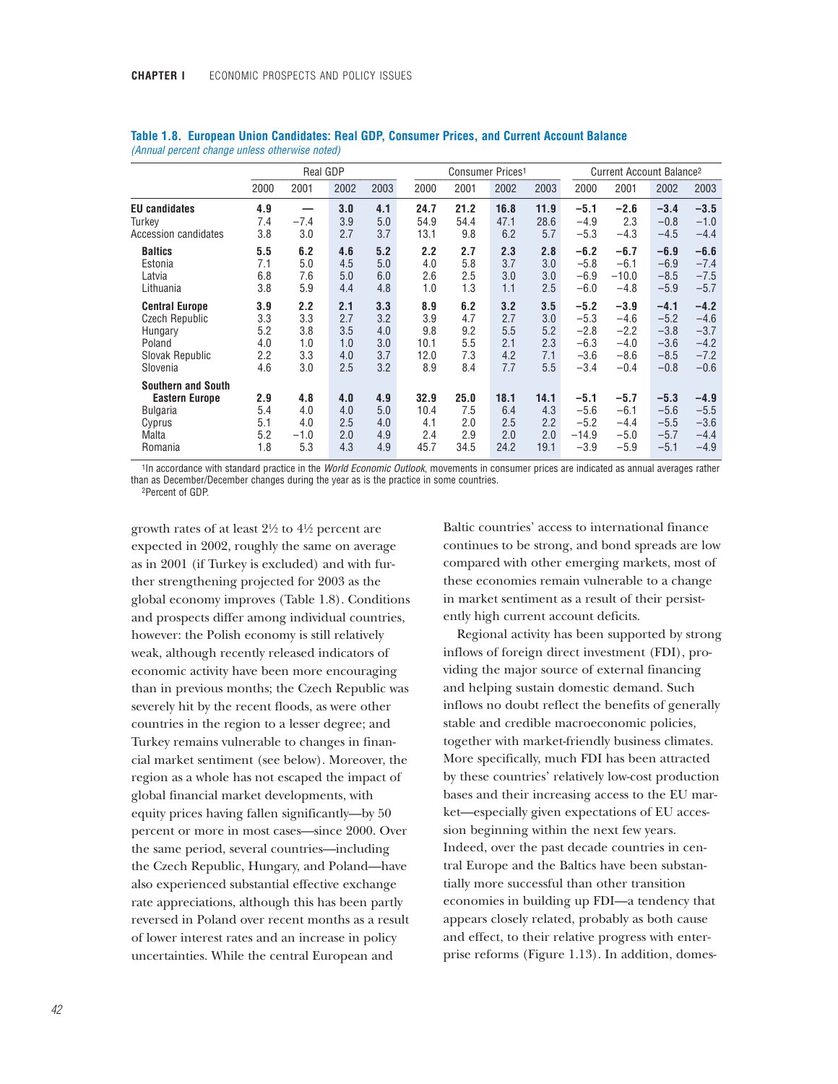|                                                                                                     | Real GDP                               |                                        |                                        |                                        | Consumer Prices <sup>1</sup>             |                                        |                                        |                                        | Current Account Balance <sup>2</sup>                     |                                                          |                                                          |                                                          |
|-----------------------------------------------------------------------------------------------------|----------------------------------------|----------------------------------------|----------------------------------------|----------------------------------------|------------------------------------------|----------------------------------------|----------------------------------------|----------------------------------------|----------------------------------------------------------|----------------------------------------------------------|----------------------------------------------------------|----------------------------------------------------------|
|                                                                                                     | 2000                                   | 2001                                   | 2002                                   | 2003                                   | 2000                                     | 2001                                   | 2002                                   | 2003                                   | 2000                                                     | 2001                                                     | 2002                                                     | 2003                                                     |
| <b>EU</b> candidates<br>Turkev<br>Accession candidates                                              | 4.9<br>7.4<br>3.8                      | $-7.4$<br>3.0                          | 3.0<br>3.9<br>2.7                      | 4.1<br>5.0<br>3.7                      | 24.7<br>54.9<br>13.1                     | 21.2<br>54.4<br>9.8                    | 16.8<br>47.1<br>6.2                    | 11.9<br>28.6<br>5.7                    | $-5.1$<br>$-4.9$<br>$-5.3$                               | $-2.6$<br>2.3<br>$-4.3$                                  | $-3.4$<br>$-0.8$<br>$-4.5$                               | $-3.5$<br>$-1.0$<br>$-4.4$                               |
| <b>Baltics</b><br>Estonia<br>Latvia<br>Lithuania                                                    | 5.5<br>7.1<br>6.8<br>3.8               | 6.2<br>5.0<br>7.6<br>5.9               | 4.6<br>4.5<br>5.0<br>4.4               | 5.2<br>5.0<br>6.0<br>4.8               | 2.2<br>4.0<br>2.6<br>1.0                 | 2.7<br>5.8<br>2.5<br>1.3               | 2.3<br>3.7<br>3.0<br>1.1               | 2.8<br>3.0<br>3.0<br>2.5               | $-6.2$<br>$-5.8$<br>$-6.9$<br>$-6.0$                     | $-6.7$<br>$-6.1$<br>$-10.0$<br>$-4.8$                    | $-6.9$<br>$-6.9$<br>$-8.5$<br>$-5.9$                     | $-6.6$<br>$-7.4$<br>$-7.5$<br>$-5.7$                     |
| <b>Central Europe</b><br><b>Czech Republic</b><br>Hungary<br>Poland<br>Slovak Republic<br>Slovenia  | 3.9<br>3.3<br>5.2<br>4.0<br>2.2<br>4.6 | 2.2<br>3.3<br>3.8<br>1.0<br>3.3<br>3.0 | 2.1<br>2.7<br>3.5<br>1.0<br>4.0<br>2.5 | 3.3<br>3.2<br>4.0<br>3.0<br>3.7<br>3.2 | 8.9<br>3.9<br>9.8<br>10.1<br>12.0<br>8.9 | 6.2<br>4.7<br>9.2<br>5.5<br>7.3<br>8.4 | 3.2<br>2.7<br>5.5<br>2.1<br>4.2<br>7.7 | 3.5<br>3.0<br>5.2<br>2.3<br>7.1<br>5.5 | $-5.2$<br>$-5.3$<br>$-2.8$<br>$-6.3$<br>$-3.6$<br>$-3.4$ | $-3.9$<br>$-4.6$<br>$-2.2$<br>$-4.0$<br>$-8.6$<br>$-0.4$ | $-4.1$<br>$-5.2$<br>$-3.8$<br>$-3.6$<br>$-8.5$<br>$-0.8$ | $-4.2$<br>$-4.6$<br>$-3.7$<br>$-4.2$<br>$-7.2$<br>$-0.6$ |
| <b>Southern and South</b><br><b>Eastern Europe</b><br><b>Bulgaria</b><br>Cyprus<br>Malta<br>Romania | 2.9<br>5.4<br>5.1<br>5.2<br>1.8        | 4.8<br>4.0<br>4.0<br>$-1.0$<br>5.3     | 4.0<br>4.0<br>2.5<br>2.0<br>4.3        | 4.9<br>5.0<br>4.0<br>4.9<br>4.9        | 32.9<br>10.4<br>4.1<br>2.4<br>45.7       | 25.0<br>7.5<br>2.0<br>2.9<br>34.5      | 18.1<br>6.4<br>2.5<br>2.0<br>24.2      | 14.1<br>4.3<br>2.2<br>2.0<br>19.1      | $-5.1$<br>$-5.6$<br>$-5.2$<br>$-14.9$<br>$-3.9$          | $-5.7$<br>$-6.1$<br>$-4.4$<br>$-5.0$<br>$-5.9$           | $-5.3$<br>$-5.6$<br>$-5.5$<br>$-5.7$<br>$-5.1$           | $-4.9$<br>$-5.5$<br>$-3.6$<br>$-4.4$<br>$-4.9$           |

|  |  |                                                | Table 1.8. European Union Candidates: Real GDP, Consumer Prices, and Current Account Balance |  |  |  |
|--|--|------------------------------------------------|----------------------------------------------------------------------------------------------|--|--|--|
|  |  | (Annual percent change unless otherwise noted) |                                                                                              |  |  |  |

1In accordance with standard practice in the *World Economic Outlook*, movements in consumer prices are indicated as annual averages rather than as December/December changes during the year as is the practice in some countries.

2Percent of GDP.

growth rates of at least  $2\frac{1}{2}$  to  $4\frac{1}{2}$  percent are expected in 2002, roughly the same on average as in 2001 (if Turkey is excluded) and with further strengthening projected for 2003 as the global economy improves (Table 1.8). Conditions and prospects differ among individual countries, however: the Polish economy is still relatively weak, although recently released indicators of economic activity have been more encouraging than in previous months; the Czech Republic was severely hit by the recent floods, as were other countries in the region to a lesser degree; and Turkey remains vulnerable to changes in financial market sentiment (see below). Moreover, the region as a whole has not escaped the impact of global financial market developments, with equity prices having fallen significantly—by 50 percent or more in most cases—since 2000. Over the same period, several countries—including the Czech Republic, Hungary, and Poland—have also experienced substantial effective exchange rate appreciations, although this has been partly reversed in Poland over recent months as a result of lower interest rates and an increase in policy uncertainties. While the central European and

Baltic countries' access to international finance continues to be strong, and bond spreads are low compared with other emerging markets, most of these economies remain vulnerable to a change in market sentiment as a result of their persistently high current account deficits.

Regional activity has been supported by strong inflows of foreign direct investment (FDI), providing the major source of external financing and helping sustain domestic demand. Such inflows no doubt reflect the benefits of generally stable and credible macroeconomic policies, together with market-friendly business climates. More specifically, much FDI has been attracted by these countries' relatively low-cost production bases and their increasing access to the EU market—especially given expectations of EU accession beginning within the next few years. Indeed, over the past decade countries in central Europe and the Baltics have been substantially more successful than other transition economies in building up FDI—a tendency that appears closely related, probably as both cause and effect, to their relative progress with enterprise reforms (Figure 1.13). In addition, domes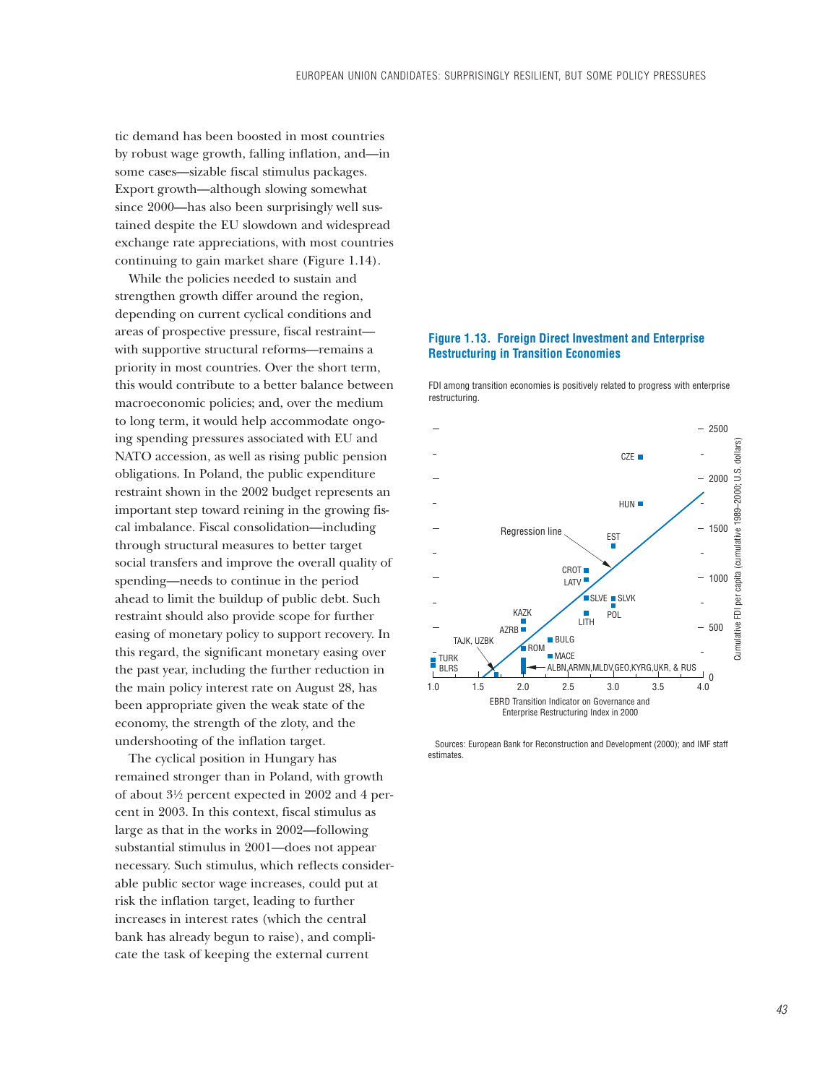tic demand has been boosted in most countries by robust wage growth, falling inflation, and—in some cases—sizable fiscal stimulus packages. Export growth—although slowing somewhat since 2000—has also been surprisingly well sustained despite the EU slowdown and widespread exchange rate appreciations, with most countries continuing to gain market share (Figure 1.14).

While the policies needed to sustain and strengthen growth differ around the region, depending on current cyclical conditions and areas of prospective pressure, fiscal restraint with supportive structural reforms—remains a priority in most countries. Over the short term, this would contribute to a better balance between macroeconomic policies; and, over the medium to long term, it would help accommodate ongoing spending pressures associated with EU and NATO accession, as well as rising public pension obligations. In Poland, the public expenditure restraint shown in the 2002 budget represents an important step toward reining in the growing fiscal imbalance. Fiscal consolidation—including through structural measures to better target social transfers and improve the overall quality of spending—needs to continue in the period ahead to limit the buildup of public debt. Such restraint should also provide scope for further easing of monetary policy to support recovery. In this regard, the significant monetary easing over the past year, including the further reduction in the main policy interest rate on August 28, has been appropriate given the weak state of the economy, the strength of the zloty, and the undershooting of the inflation target.

The cyclical position in Hungary has remained stronger than in Poland, with growth of about 3!/2 percent expected in 2002 and 4 percent in 2003. In this context, fiscal stimulus as large as that in the works in 2002—following substantial stimulus in 2001—does not appear necessary. Such stimulus, which reflects considerable public sector wage increases, could put at risk the inflation target, leading to further increases in interest rates (which the central bank has already begun to raise), and complicate the task of keeping the external current

## **Figure 1.13. Foreign Direct Investment and Enterprise Restructuring in Transition Economies**

FDI among transition economies is positively related to progress with enterprise restructuring.



 Sources: European Bank for Reconstruction and Development (2000); and IMF staff estimates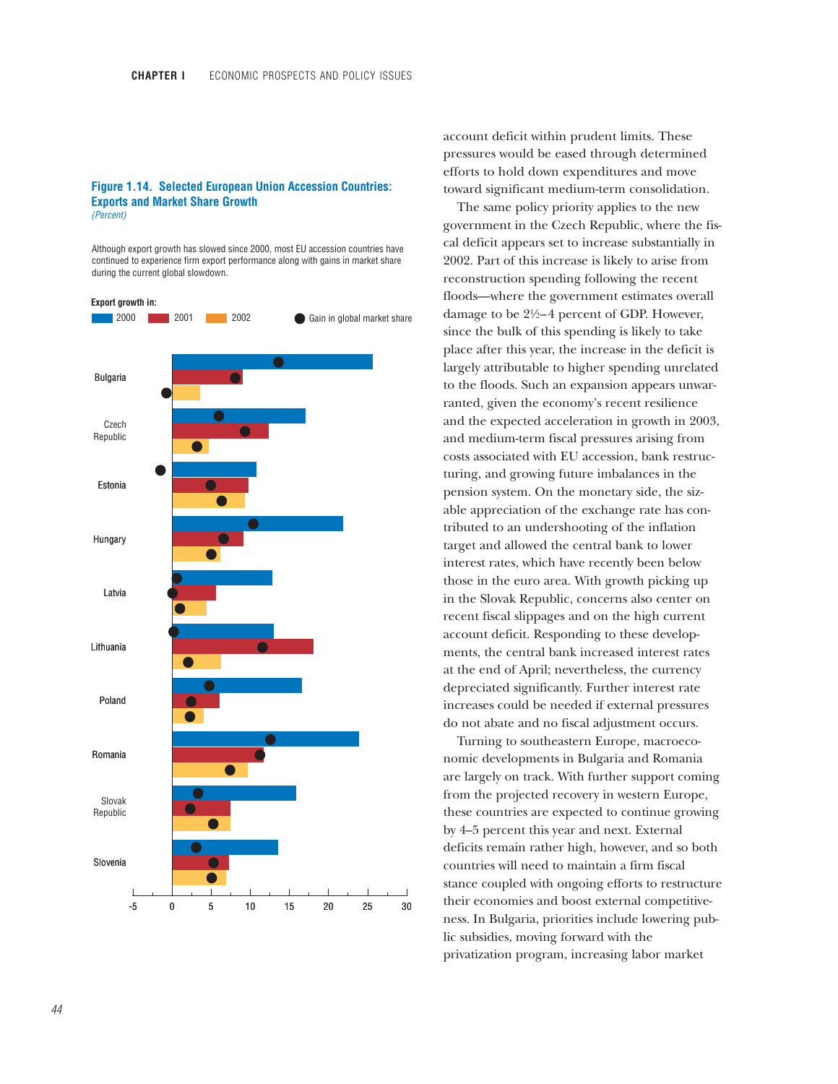## **Figure 1.14. Selected European Union Accession Countries: Exports and Market Share Growth**

*(Percent)*

Although export growth has slowed since 2000, most EU accession countries have continued to experience firm export performance along with gains in market share during the current global slowdown.



account deficit within prudent limits. These pressures would be eased through determined efforts to hold down expenditures and move toward significant medium-term consolidation.

The same policy priority applies to the new government in the Czech Republic, where the fiscal deficit appears set to increase substantially in 2002. Part of this increase is likely to arise from reconstruction spending following the recent floods—where the government estimates overall damage to be  $2\frac{1}{2}$  percent of GDP. However, since the bulk of this spending is likely to take place after this year, the increase in the deficit is largely attributable to higher spending unrelated to the floods. Such an expansion appears unwarranted, given the economy's recent resilience and the expected acceleration in growth in 2003, and medium-term fiscal pressures arising from costs associated with EU accession, bank restructuring, and growing future imbalances in the pension system. On the monetary side, the sizable appreciation of the exchange rate has contributed to an undershooting of the inflation target and allowed the central bank to lower interest rates, which have recently been below those in the euro area. With growth picking up in the Slovak Republic, concerns also center on recent fiscal slippages and on the high current account deficit. Responding to these developments, the central bank increased interest rates at the end of April; nevertheless, the currency depreciated significantly. Further interest rate increases could be needed if external pressures do not abate and no fiscal adjustment occurs.

Turning to southeastern Europe, macroeconomic developments in Bulgaria and Romania are largely on track. With further support coming from the projected recovery in western Europe, these countries are expected to continue growing by 4–5 percent this year and next. External deficits remain rather high, however, and so both countries will need to maintain a firm fiscal stance coupled with ongoing efforts to restructure their economies and boost external competitiveness. In Bulgaria, priorities include lowering public subsidies, moving forward with the privatization program, increasing labor market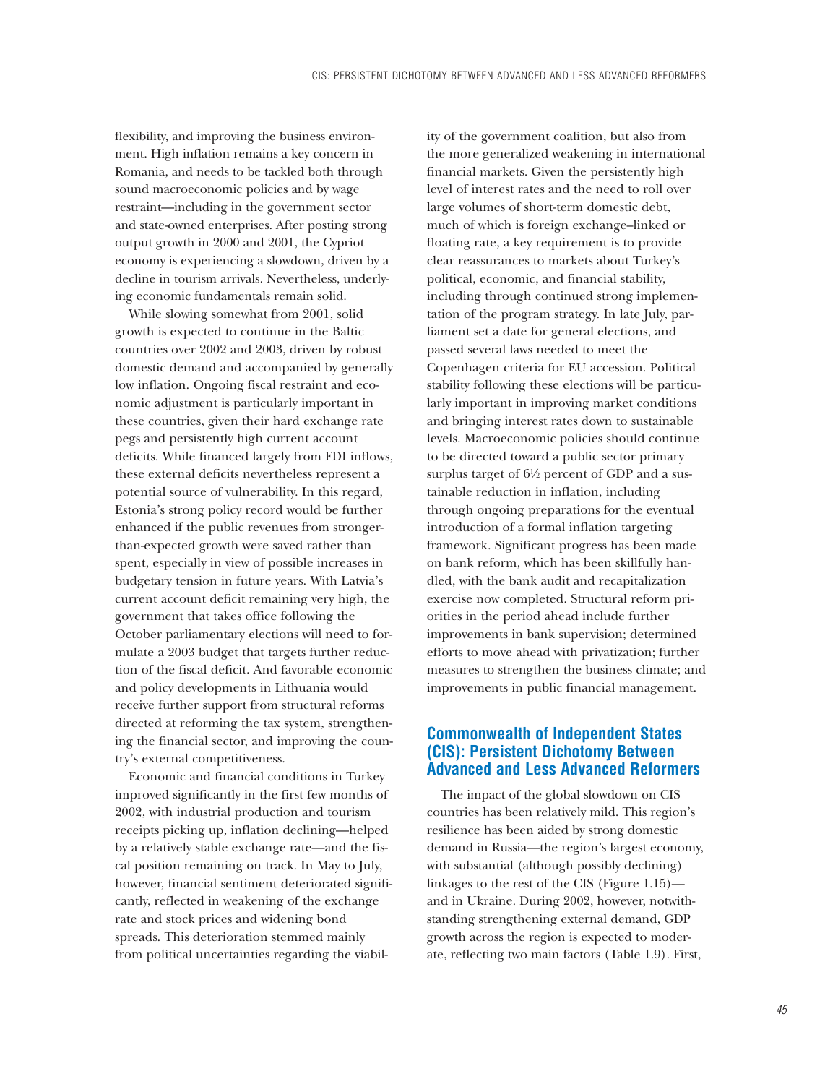flexibility, and improving the business environment. High inflation remains a key concern in Romania, and needs to be tackled both through sound macroeconomic policies and by wage restraint—including in the government sector and state-owned enterprises. After posting strong output growth in 2000 and 2001, the Cypriot economy is experiencing a slowdown, driven by a decline in tourism arrivals. Nevertheless, underlying economic fundamentals remain solid.

While slowing somewhat from 2001, solid growth is expected to continue in the Baltic countries over 2002 and 2003, driven by robust domestic demand and accompanied by generally low inflation. Ongoing fiscal restraint and economic adjustment is particularly important in these countries, given their hard exchange rate pegs and persistently high current account deficits. While financed largely from FDI inflows, these external deficits nevertheless represent a potential source of vulnerability. In this regard, Estonia's strong policy record would be further enhanced if the public revenues from strongerthan-expected growth were saved rather than spent, especially in view of possible increases in budgetary tension in future years. With Latvia's current account deficit remaining very high, the government that takes office following the October parliamentary elections will need to formulate a 2003 budget that targets further reduction of the fiscal deficit. And favorable economic and policy developments in Lithuania would receive further support from structural reforms directed at reforming the tax system, strengthening the financial sector, and improving the country's external competitiveness.

Economic and financial conditions in Turkey improved significantly in the first few months of 2002, with industrial production and tourism receipts picking up, inflation declining—helped by a relatively stable exchange rate—and the fiscal position remaining on track. In May to July, however, financial sentiment deteriorated significantly, reflected in weakening of the exchange rate and stock prices and widening bond spreads. This deterioration stemmed mainly from political uncertainties regarding the viability of the government coalition, but also from the more generalized weakening in international financial markets. Given the persistently high level of interest rates and the need to roll over large volumes of short-term domestic debt, much of which is foreign exchange–linked or floating rate, a key requirement is to provide clear reassurances to markets about Turkey's political, economic, and financial stability, including through continued strong implementation of the program strategy. In late July, parliament set a date for general elections, and passed several laws needed to meet the Copenhagen criteria for EU accession. Political stability following these elections will be particularly important in improving market conditions and bringing interest rates down to sustainable levels. Macroeconomic policies should continue to be directed toward a public sector primary surplus target of  $6\frac{1}{2}$  percent of GDP and a sustainable reduction in inflation, including through ongoing preparations for the eventual introduction of a formal inflation targeting framework. Significant progress has been made on bank reform, which has been skillfully handled, with the bank audit and recapitalization exercise now completed. Structural reform priorities in the period ahead include further improvements in bank supervision; determined efforts to move ahead with privatization; further measures to strengthen the business climate; and improvements in public financial management.

# **Commonwealth of Independent States (CIS): Persistent Dichotomy Between Advanced and Less Advanced Reformers**

The impact of the global slowdown on CIS countries has been relatively mild. This region's resilience has been aided by strong domestic demand in Russia—the region's largest economy, with substantial (although possibly declining) linkages to the rest of the CIS (Figure 1.15) and in Ukraine. During 2002, however, notwithstanding strengthening external demand, GDP growth across the region is expected to moderate, reflecting two main factors (Table 1.9). First,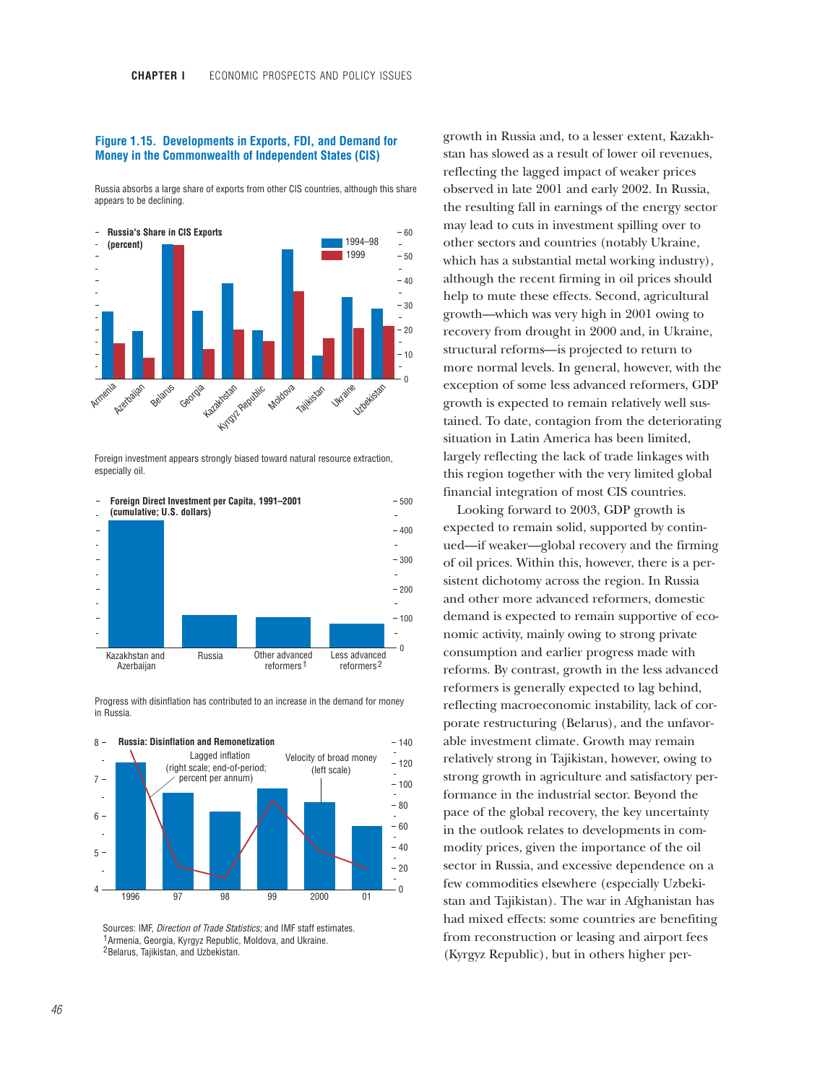## **Figure 1.15. Developments in Exports, FDI, and Demand for Money in the Commonwealth of Independent States (CIS)**

Russia absorbs a large share of exports from other CIS countries, although this share appears to be declining.



Foreign investment appears strongly biased toward natural resource extraction, especially oil.



Progress with disinflation has contributed to an increase in the demand for money in Russia.



Sources: IMF, *Direction of Trade Statistics;* and IMF staff estimates. 1 Armenia, Georgia, Kyrgyz Republic, Moldova, and Ukraine. <sup>2</sup> Belarus, Tajikistan, and Uzbekistan.

growth in Russia and, to a lesser extent, Kazakhstan has slowed as a result of lower oil revenues, reflecting the lagged impact of weaker prices observed in late 2001 and early 2002. In Russia, the resulting fall in earnings of the energy sector may lead to cuts in investment spilling over to other sectors and countries (notably Ukraine, which has a substantial metal working industry), although the recent firming in oil prices should help to mute these effects. Second, agricultural growth—which was very high in 2001 owing to recovery from drought in 2000 and, in Ukraine, structural reforms—is projected to return to more normal levels. In general, however, with the exception of some less advanced reformers, GDP growth is expected to remain relatively well sustained. To date, contagion from the deteriorating situation in Latin America has been limited, largely reflecting the lack of trade linkages with this region together with the very limited global financial integration of most CIS countries.

Looking forward to 2003, GDP growth is expected to remain solid, supported by continued—if weaker—global recovery and the firming of oil prices. Within this, however, there is a persistent dichotomy across the region. In Russia and other more advanced reformers, domestic demand is expected to remain supportive of economic activity, mainly owing to strong private consumption and earlier progress made with reforms. By contrast, growth in the less advanced reformers is generally expected to lag behind, reflecting macroeconomic instability, lack of corporate restructuring (Belarus), and the unfavorable investment climate. Growth may remain relatively strong in Tajikistan, however, owing to strong growth in agriculture and satisfactory performance in the industrial sector. Beyond the pace of the global recovery, the key uncertainty in the outlook relates to developments in commodity prices, given the importance of the oil sector in Russia, and excessive dependence on a few commodities elsewhere (especially Uzbekistan and Tajikistan). The war in Afghanistan has had mixed effects: some countries are benefiting from reconstruction or leasing and airport fees (Kyrgyz Republic), but in others higher per-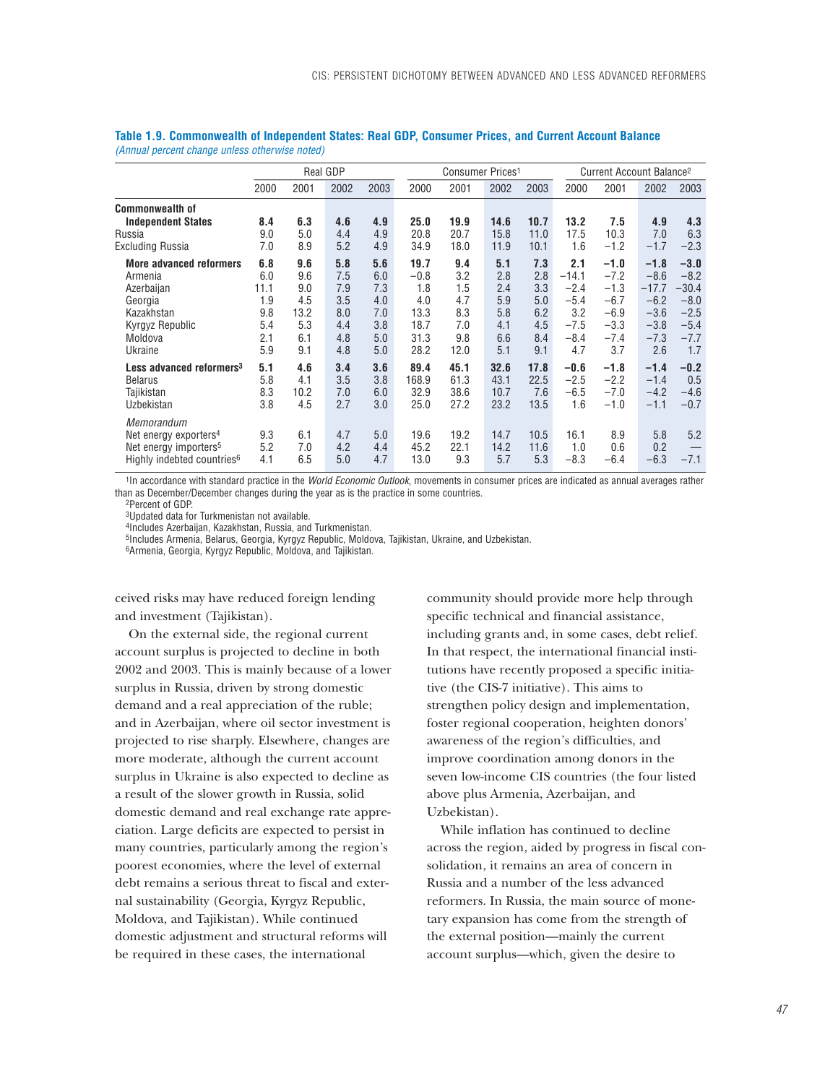|                                                                                                                                | <b>Real GDP</b>                                       |                                                       |                                                      |                                                      | Consumer Prices <sup>1</sup>                                 |                                                       |                                                      |                                                      | Current Account Balance <sup>2</sup>                                 |                                                                           |                                                                            |                                                                            |
|--------------------------------------------------------------------------------------------------------------------------------|-------------------------------------------------------|-------------------------------------------------------|------------------------------------------------------|------------------------------------------------------|--------------------------------------------------------------|-------------------------------------------------------|------------------------------------------------------|------------------------------------------------------|----------------------------------------------------------------------|---------------------------------------------------------------------------|----------------------------------------------------------------------------|----------------------------------------------------------------------------|
|                                                                                                                                | 2000                                                  | 2001                                                  | 2002                                                 | 2003                                                 | 2000                                                         | 2001                                                  | 2002                                                 | 2003                                                 | 2000                                                                 | 2001                                                                      | 2002                                                                       | 2003                                                                       |
| <b>Commonwealth of</b><br><b>Independent States</b><br>Russia<br>Excluding Russia                                              | 8.4<br>9.0<br>7.0                                     | 6.3<br>5.0<br>8.9                                     | 4.6<br>4.4<br>5.2                                    | 4.9<br>4.9<br>4.9                                    | 25.0<br>20.8<br>34.9                                         | 19.9<br>20.7<br>18.0                                  | 14.6<br>15.8<br>11.9                                 | 10.7<br>11.0<br>10.1                                 | 13.2<br>17.5<br>1.6                                                  | 7.5<br>10.3<br>$-1.2$                                                     | 4.9<br>7.0<br>$-1.7$                                                       | 4.3<br>6.3<br>$-2.3$                                                       |
| <b>More advanced reformers</b><br>Armenia<br>Azerbaijan<br>Georgia<br>Kazakhstan<br>Kyrgyz Republic<br>Moldova<br>Ukraine      | 6.8<br>6.0<br>11.1<br>1.9<br>9.8<br>5.4<br>2.1<br>5.9 | 9.6<br>9.6<br>9.0<br>4.5<br>13.2<br>5.3<br>6.1<br>9.1 | 5.8<br>7.5<br>7.9<br>3.5<br>8.0<br>4.4<br>4.8<br>4.8 | 5.6<br>6.0<br>7.3<br>4.0<br>7.0<br>3.8<br>5.0<br>5.0 | 19.7<br>$-0.8$<br>1.8<br>4.0<br>13.3<br>18.7<br>31.3<br>28.2 | 9.4<br>3.2<br>1.5<br>4.7<br>8.3<br>7.0<br>9.8<br>12.0 | 5.1<br>2.8<br>2.4<br>5.9<br>5.8<br>4.1<br>6.6<br>5.1 | 7.3<br>2.8<br>3.3<br>5.0<br>6.2<br>4.5<br>8.4<br>9.1 | 2.1<br>$-14.1$<br>$-2.4$<br>$-5.4$<br>3.2<br>$-7.5$<br>$-8.4$<br>4.7 | $-1.0$<br>$-7.2$<br>$-1.3$<br>$-6.7$<br>$-6.9$<br>$-3.3$<br>$-7.4$<br>3.7 | $-1.8$<br>$-8.6$<br>$-17.7$<br>$-6.2$<br>$-3.6$<br>$-3.8$<br>$-7.3$<br>2.6 | $-3.0$<br>$-8.2$<br>$-30.4$<br>$-8.0$<br>$-2.5$<br>$-5.4$<br>$-7.7$<br>1.7 |
| Less advanced reformers <sup>3</sup><br><b>Belarus</b><br>Tajikistan<br>Uzbekistan                                             | 5.1<br>5.8<br>8.3<br>3.8                              | 4.6<br>4.1<br>10.2<br>4.5                             | 3.4<br>3.5<br>7.0<br>2.7                             | 3.6<br>3.8<br>6.0<br>3.0                             | 89.4<br>168.9<br>32.9<br>25.0                                | 45.1<br>61.3<br>38.6<br>27.2                          | 32.6<br>43.1<br>10.7<br>23.2                         | 17.8<br>22.5<br>7.6<br>13.5                          | $-0.6$<br>$-2.5$<br>$-6.5$<br>1.6                                    | $-1.8$<br>$-2.2$<br>$-7.0$<br>$-1.0$                                      | $-1.4$<br>$-1.4$<br>$-4.2$<br>$-1.1$                                       | $-0.2$<br>0.5<br>$-4.6$<br>$-0.7$                                          |
| Memorandum<br>Net energy exporters <sup>4</sup><br>Net energy importers <sup>5</sup><br>Highly indebted countries <sup>6</sup> | 9.3<br>5.2<br>4.1                                     | 6.1<br>7.0<br>6.5                                     | 4.7<br>4.2<br>5.0                                    | 5.0<br>4.4<br>4.7                                    | 19.6<br>45.2<br>13.0                                         | 19.2<br>22.1<br>9.3                                   | 14.7<br>14.2<br>5.7                                  | 10.5<br>11.6<br>5.3                                  | 16.1<br>1.0<br>$-8.3$                                                | 8.9<br>0.6<br>$-6.4$                                                      | 5.8<br>0.2<br>$-6.3$                                                       | 5.2<br>$-7.1$                                                              |

| Table 1.9. Commonwealth of Independent States: Real GDP, Consumer Prices, and Current Account Balance |  |  |  |
|-------------------------------------------------------------------------------------------------------|--|--|--|
| (Annual percent change unless otherwise noted)                                                        |  |  |  |

1In accordance with standard practice in the *World Economic Outlook*, movements in consumer prices are indicated as annual averages rather than as December/December changes during the year as is the practice in some countries.

2Percent of GDP.

3Updated data for Turkmenistan not available.

4Includes Azerbaijan, Kazakhstan, Russia, and Turkmenistan.

5Includes Armenia, Belarus, Georgia, Kyrgyz Republic, Moldova, Tajikistan, Ukraine, and Uzbekistan.

6Armenia, Georgia, Kyrgyz Republic, Moldova, and Tajikistan.

ceived risks may have reduced foreign lending and investment (Tajikistan).

On the external side, the regional current account surplus is projected to decline in both 2002 and 2003. This is mainly because of a lower surplus in Russia, driven by strong domestic demand and a real appreciation of the ruble; and in Azerbaijan, where oil sector investment is projected to rise sharply. Elsewhere, changes are more moderate, although the current account surplus in Ukraine is also expected to decline as a result of the slower growth in Russia, solid domestic demand and real exchange rate appreciation. Large deficits are expected to persist in many countries, particularly among the region's poorest economies, where the level of external debt remains a serious threat to fiscal and external sustainability (Georgia, Kyrgyz Republic, Moldova, and Tajikistan). While continued domestic adjustment and structural reforms will be required in these cases, the international

community should provide more help through specific technical and financial assistance, including grants and, in some cases, debt relief. In that respect, the international financial institutions have recently proposed a specific initiative (the CIS-7 initiative). This aims to strengthen policy design and implementation, foster regional cooperation, heighten donors' awareness of the region's difficulties, and improve coordination among donors in the seven low-income CIS countries (the four listed above plus Armenia, Azerbaijan, and Uzbekistan).

While inflation has continued to decline across the region, aided by progress in fiscal consolidation, it remains an area of concern in Russia and a number of the less advanced reformers. In Russia, the main source of monetary expansion has come from the strength of the external position—mainly the current account surplus—which, given the desire to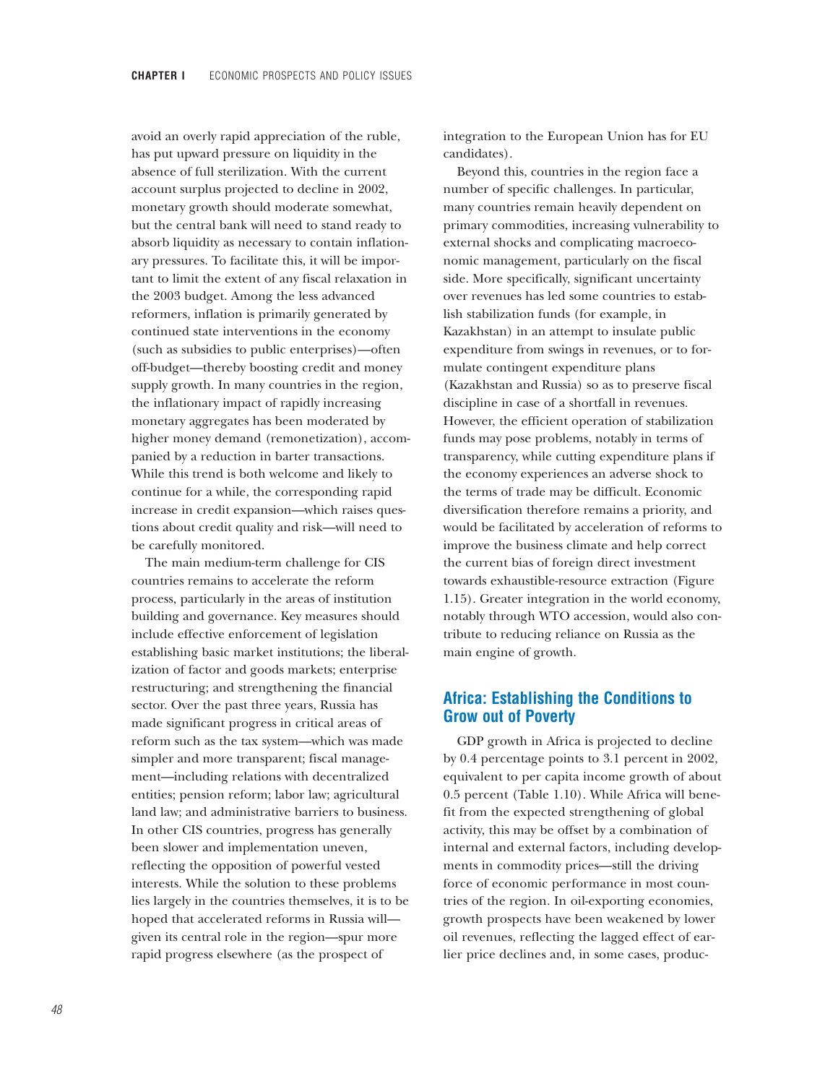avoid an overly rapid appreciation of the ruble, has put upward pressure on liquidity in the absence of full sterilization. With the current account surplus projected to decline in 2002, monetary growth should moderate somewhat, but the central bank will need to stand ready to absorb liquidity as necessary to contain inflationary pressures. To facilitate this, it will be important to limit the extent of any fiscal relaxation in the 2003 budget. Among the less advanced reformers, inflation is primarily generated by continued state interventions in the economy (such as subsidies to public enterprises)—often off-budget—thereby boosting credit and money supply growth. In many countries in the region, the inflationary impact of rapidly increasing monetary aggregates has been moderated by higher money demand (remonetization), accompanied by a reduction in barter transactions. While this trend is both welcome and likely to continue for a while, the corresponding rapid increase in credit expansion—which raises questions about credit quality and risk—will need to be carefully monitored.

The main medium-term challenge for CIS countries remains to accelerate the reform process, particularly in the areas of institution building and governance. Key measures should include effective enforcement of legislation establishing basic market institutions; the liberalization of factor and goods markets; enterprise restructuring; and strengthening the financial sector. Over the past three years, Russia has made significant progress in critical areas of reform such as the tax system—which was made simpler and more transparent; fiscal management—including relations with decentralized entities; pension reform; labor law; agricultural land law; and administrative barriers to business. In other CIS countries, progress has generally been slower and implementation uneven, reflecting the opposition of powerful vested interests. While the solution to these problems lies largely in the countries themselves, it is to be hoped that accelerated reforms in Russia will given its central role in the region—spur more rapid progress elsewhere (as the prospect of

integration to the European Union has for EU candidates).

Beyond this, countries in the region face a number of specific challenges. In particular, many countries remain heavily dependent on primary commodities, increasing vulnerability to external shocks and complicating macroeconomic management, particularly on the fiscal side. More specifically, significant uncertainty over revenues has led some countries to establish stabilization funds (for example, in Kazakhstan) in an attempt to insulate public expenditure from swings in revenues, or to formulate contingent expenditure plans (Kazakhstan and Russia) so as to preserve fiscal discipline in case of a shortfall in revenues. However, the efficient operation of stabilization funds may pose problems, notably in terms of transparency, while cutting expenditure plans if the economy experiences an adverse shock to the terms of trade may be difficult. Economic diversification therefore remains a priority, and would be facilitated by acceleration of reforms to improve the business climate and help correct the current bias of foreign direct investment towards exhaustible-resource extraction (Figure 1.15). Greater integration in the world economy, notably through WTO accession, would also contribute to reducing reliance on Russia as the main engine of growth.

# **Africa: Establishing the Conditions to Grow out of Poverty**

GDP growth in Africa is projected to decline by 0.4 percentage points to 3.1 percent in 2002, equivalent to per capita income growth of about 0.5 percent (Table 1.10). While Africa will benefit from the expected strengthening of global activity, this may be offset by a combination of internal and external factors, including developments in commodity prices—still the driving force of economic performance in most countries of the region. In oil-exporting economies, growth prospects have been weakened by lower oil revenues, reflecting the lagged effect of earlier price declines and, in some cases, produc-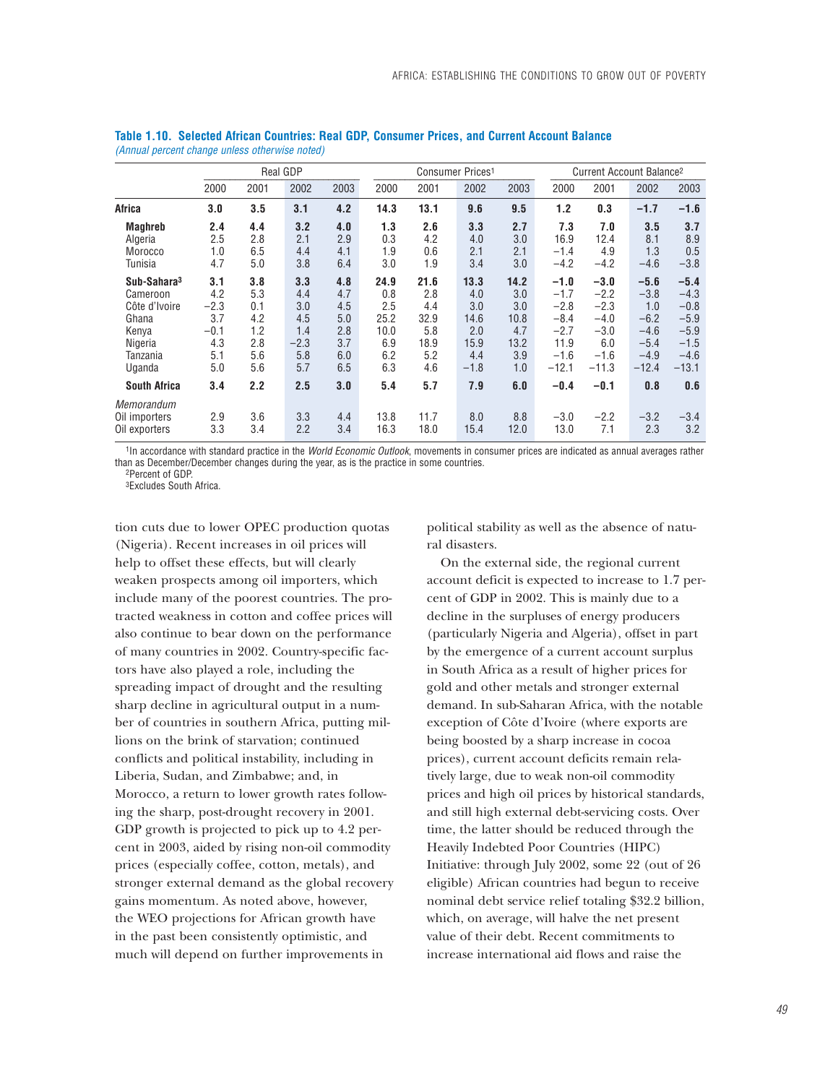|                                                                                                         | Real GDP                                                   |                                                      |                                                         |                                                      |                                                         |                                                         | Consumer Prices <sup>1</sup>                               |                                                         |                                                                             | Current Account Balance <sup>2</sup>                                       |                                                                            |                                                                               |  |
|---------------------------------------------------------------------------------------------------------|------------------------------------------------------------|------------------------------------------------------|---------------------------------------------------------|------------------------------------------------------|---------------------------------------------------------|---------------------------------------------------------|------------------------------------------------------------|---------------------------------------------------------|-----------------------------------------------------------------------------|----------------------------------------------------------------------------|----------------------------------------------------------------------------|-------------------------------------------------------------------------------|--|
|                                                                                                         | 2000                                                       | 2001                                                 | 2002                                                    | 2003                                                 | 2000                                                    | 2001                                                    | 2002                                                       | 2003                                                    | 2000                                                                        | 2001                                                                       | 2002                                                                       | 2003                                                                          |  |
| Africa                                                                                                  | 3.0                                                        | 3.5                                                  | 3.1                                                     | 4.2                                                  | 14.3                                                    | 13.1                                                    | 9.6                                                        | 9.5                                                     | 1.2                                                                         | 0.3                                                                        | $-1.7$                                                                     | $-1.6$                                                                        |  |
| <b>Maghreb</b><br>Algeria<br>Morocco<br>Tunisia                                                         | 2.4<br>2.5<br>1.0<br>4.7                                   | 4.4<br>2.8<br>6.5<br>5.0                             | 3.2<br>2.1<br>4.4<br>3.8                                | 4.0<br>2.9<br>4.1<br>6.4                             | 1.3<br>0.3<br>1.9<br>3.0                                | 2.6<br>4.2<br>0.6<br>1.9                                | 3.3<br>4.0<br>2.1<br>3.4                                   | 2.7<br>3.0<br>2.1<br>3.0                                | 7.3<br>16.9<br>$-1.4$<br>$-4.2$                                             | 7.0<br>12.4<br>4.9<br>$-4.2$                                               | 3.5<br>8.1<br>1.3<br>$-4.6$                                                | 3.7<br>8.9<br>0.5<br>$-3.8$                                                   |  |
| Sub-Sahara <sup>3</sup><br>Cameroon<br>Côte d'Ivoire<br>Ghana<br>Kenya<br>Nigeria<br>Tanzania<br>Uganda | 3.1<br>4.2<br>$-2.3$<br>3.7<br>$-0.1$<br>4.3<br>5.1<br>5.0 | 3.8<br>5.3<br>0.1<br>4.2<br>1.2<br>2.8<br>5.6<br>5.6 | 3.3<br>4.4<br>3.0<br>4.5<br>1.4<br>$-2.3$<br>5.8<br>5.7 | 4.8<br>4.7<br>4.5<br>5.0<br>2.8<br>3.7<br>6.0<br>6.5 | 24.9<br>0.8<br>2.5<br>25.2<br>10.0<br>6.9<br>6.2<br>6.3 | 21.6<br>2.8<br>4.4<br>32.9<br>5.8<br>18.9<br>5.2<br>4.6 | 13.3<br>4.0<br>3.0<br>14.6<br>2.0<br>15.9<br>4.4<br>$-1.8$ | 14.2<br>3.0<br>3.0<br>10.8<br>4.7<br>13.2<br>3.9<br>1.0 | $-1.0$<br>$-1.7$<br>$-2.8$<br>$-8.4$<br>$-2.7$<br>11.9<br>$-1.6$<br>$-12.1$ | $-3.0$<br>$-2.2$<br>$-2.3$<br>$-4.0$<br>$-3.0$<br>6.0<br>$-1.6$<br>$-11.3$ | $-5.6$<br>$-3.8$<br>1.0<br>$-6.2$<br>$-4.6$<br>$-5.4$<br>$-4.9$<br>$-12.4$ | $-5.4$<br>$-4.3$<br>$-0.8$<br>$-5.9$<br>$-5.9$<br>$-1.5$<br>$-4.6$<br>$-13.1$ |  |
| <b>South Africa</b>                                                                                     | 3.4                                                        | 2.2                                                  | 2.5                                                     | 3.0                                                  | 5.4                                                     | 5.7                                                     | 7.9                                                        | 6.0                                                     | $-0.4$                                                                      | $-0.1$                                                                     | 0.8                                                                        | 0.6                                                                           |  |
| Memorandum<br>Oil importers<br>Oil exporters                                                            | 2.9<br>3.3                                                 | 3.6<br>3.4                                           | 3.3<br>2.2                                              | 4.4<br>3.4                                           | 13.8<br>16.3                                            | 11.7<br>18.0                                            | 8.0<br>15.4                                                | 8.8<br>12.0                                             | $-3.0$<br>13.0                                                              | $-2.2$<br>7.1                                                              | $-3.2$<br>2.3                                                              | $-3.4$<br>3.2                                                                 |  |

**Table 1.10. Selected African Countries: Real GDP, Consumer Prices, and Current Account Balance**  *(Annual percent change unless otherwise noted)*

1In accordance with standard practice in the *World Economic Outlook*, movements in consumer prices are indicated as annual averages rather than as December/December changes during the year, as is the practice in some countries.

2Percent of GDP.

3Excludes South Africa.

tion cuts due to lower OPEC production quotas (Nigeria). Recent increases in oil prices will help to offset these effects, but will clearly weaken prospects among oil importers, which include many of the poorest countries. The protracted weakness in cotton and coffee prices will also continue to bear down on the performance of many countries in 2002. Country-specific factors have also played a role, including the spreading impact of drought and the resulting sharp decline in agricultural output in a number of countries in southern Africa, putting millions on the brink of starvation; continued conflicts and political instability, including in Liberia, Sudan, and Zimbabwe; and, in Morocco, a return to lower growth rates following the sharp, post-drought recovery in 2001. GDP growth is projected to pick up to 4.2 percent in 2003, aided by rising non-oil commodity prices (especially coffee, cotton, metals), and stronger external demand as the global recovery gains momentum. As noted above, however, the WEO projections for African growth have in the past been consistently optimistic, and much will depend on further improvements in

political stability as well as the absence of natural disasters.

On the external side, the regional current account deficit is expected to increase to 1.7 percent of GDP in 2002. This is mainly due to a decline in the surpluses of energy producers (particularly Nigeria and Algeria), offset in part by the emergence of a current account surplus in South Africa as a result of higher prices for gold and other metals and stronger external demand. In sub-Saharan Africa, with the notable exception of Côte d'Ivoire (where exports are being boosted by a sharp increase in cocoa prices), current account deficits remain relatively large, due to weak non-oil commodity prices and high oil prices by historical standards, and still high external debt-servicing costs. Over time, the latter should be reduced through the Heavily Indebted Poor Countries (HIPC) Initiative: through July 2002, some 22 (out of 26 eligible) African countries had begun to receive nominal debt service relief totaling \$32.2 billion, which, on average, will halve the net present value of their debt. Recent commitments to increase international aid flows and raise the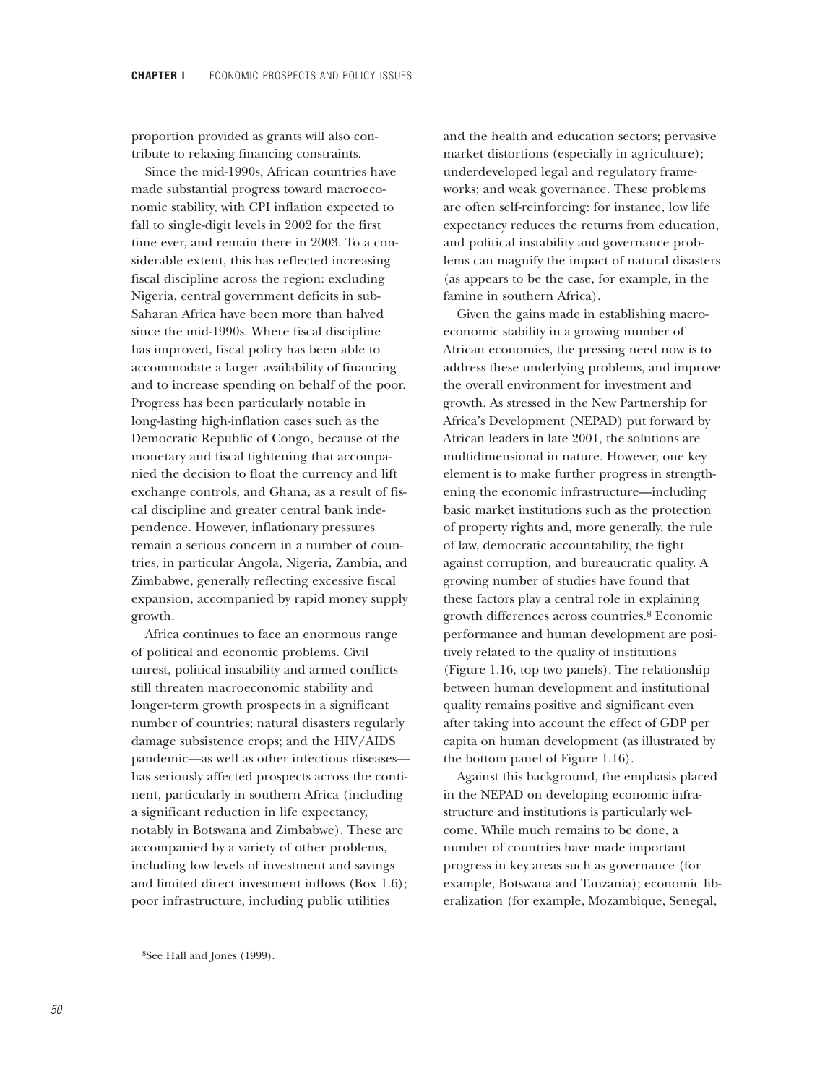proportion provided as grants will also contribute to relaxing financing constraints.

Since the mid-1990s, African countries have made substantial progress toward macroeconomic stability, with CPI inflation expected to fall to single-digit levels in 2002 for the first time ever, and remain there in 2003. To a considerable extent, this has reflected increasing fiscal discipline across the region: excluding Nigeria, central government deficits in sub-Saharan Africa have been more than halved since the mid-1990s. Where fiscal discipline has improved, fiscal policy has been able to accommodate a larger availability of financing and to increase spending on behalf of the poor. Progress has been particularly notable in long-lasting high-inflation cases such as the Democratic Republic of Congo, because of the monetary and fiscal tightening that accompanied the decision to float the currency and lift exchange controls, and Ghana, as a result of fiscal discipline and greater central bank independence. However, inflationary pressures remain a serious concern in a number of countries, in particular Angola, Nigeria, Zambia, and Zimbabwe, generally reflecting excessive fiscal expansion, accompanied by rapid money supply growth.

Africa continues to face an enormous range of political and economic problems. Civil unrest, political instability and armed conflicts still threaten macroeconomic stability and longer-term growth prospects in a significant number of countries; natural disasters regularly damage subsistence crops; and the HIV/AIDS pandemic—as well as other infectious diseases has seriously affected prospects across the continent, particularly in southern Africa (including a significant reduction in life expectancy, notably in Botswana and Zimbabwe). These are accompanied by a variety of other problems, including low levels of investment and savings and limited direct investment inflows (Box 1.6); poor infrastructure, including public utilities

and the health and education sectors; pervasive market distortions (especially in agriculture); underdeveloped legal and regulatory frameworks; and weak governance. These problems are often self-reinforcing: for instance, low life expectancy reduces the returns from education, and political instability and governance problems can magnify the impact of natural disasters (as appears to be the case, for example, in the famine in southern Africa).

Given the gains made in establishing macroeconomic stability in a growing number of African economies, the pressing need now is to address these underlying problems, and improve the overall environment for investment and growth. As stressed in the New Partnership for Africa's Development (NEPAD) put forward by African leaders in late 2001, the solutions are multidimensional in nature. However, one key element is to make further progress in strengthening the economic infrastructure—including basic market institutions such as the protection of property rights and, more generally, the rule of law, democratic accountability, the fight against corruption, and bureaucratic quality. A growing number of studies have found that these factors play a central role in explaining growth differences across countries.8 Economic performance and human development are positively related to the quality of institutions (Figure 1.16, top two panels). The relationship between human development and institutional quality remains positive and significant even after taking into account the effect of GDP per capita on human development (as illustrated by the bottom panel of Figure 1.16).

Against this background, the emphasis placed in the NEPAD on developing economic infrastructure and institutions is particularly welcome. While much remains to be done, a number of countries have made important progress in key areas such as governance (for example, Botswana and Tanzania); economic liberalization (for example, Mozambique, Senegal,

8See Hall and Jones (1999).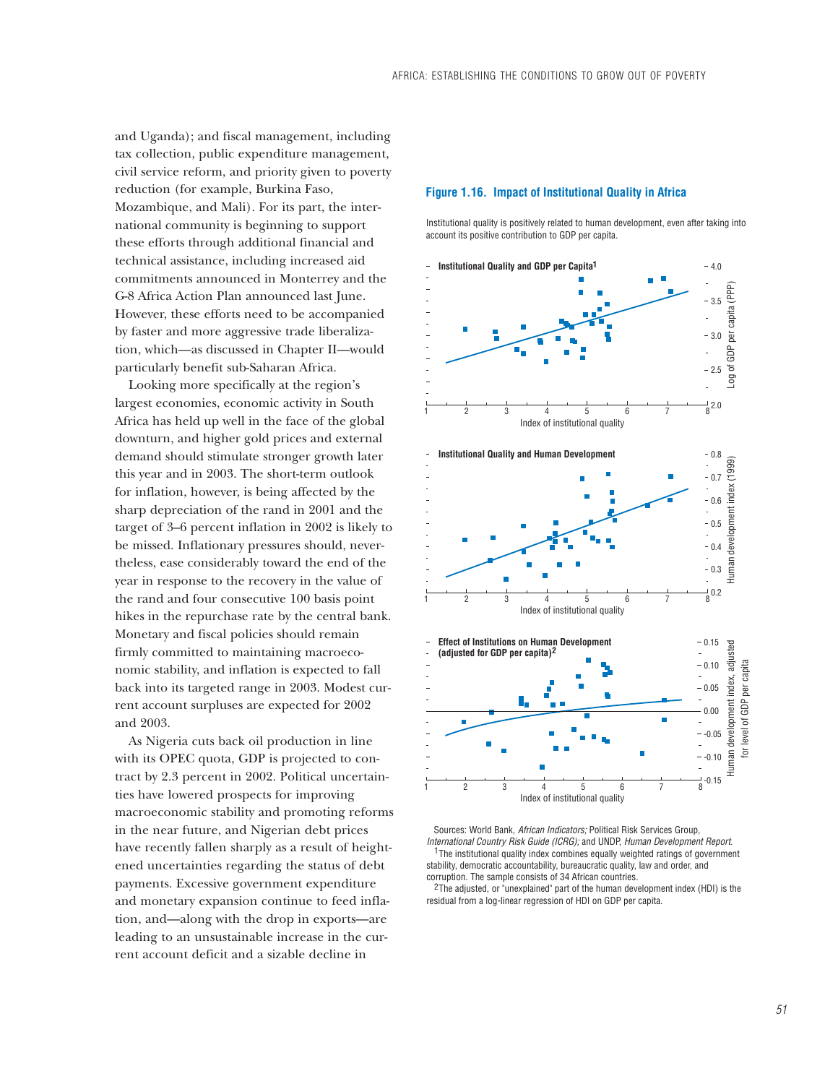and Uganda); and fiscal management, including tax collection, public expenditure management, civil service reform, and priority given to poverty reduction (for example, Burkina Faso, Mozambique, and Mali). For its part, the international community is beginning to support these efforts through additional financial and technical assistance, including increased aid commitments announced in Monterrey and the G-8 Africa Action Plan announced last June. However, these efforts need to be accompanied by faster and more aggressive trade liberalization, which—as discussed in Chapter II—would particularly benefit sub-Saharan Africa.

Looking more specifically at the region's largest economies, economic activity in South Africa has held up well in the face of the global downturn, and higher gold prices and external demand should stimulate stronger growth later this year and in 2003. The short-term outlook for inflation, however, is being affected by the sharp depreciation of the rand in 2001 and the target of 3–6 percent inflation in 2002 is likely to be missed. Inflationary pressures should, nevertheless, ease considerably toward the end of the year in response to the recovery in the value of the rand and four consecutive 100 basis point hikes in the repurchase rate by the central bank. Monetary and fiscal policies should remain firmly committed to maintaining macroeconomic stability, and inflation is expected to fall back into its targeted range in 2003. Modest current account surpluses are expected for 2002 and 2003.

As Nigeria cuts back oil production in line with its OPEC quota, GDP is projected to contract by 2.3 percent in 2002. Political uncertainties have lowered prospects for improving macroeconomic stability and promoting reforms in the near future, and Nigerian debt prices have recently fallen sharply as a result of heightened uncertainties regarding the status of debt payments. Excessive government expenditure and monetary expansion continue to feed inflation, and—along with the drop in exports—are leading to an unsustainable increase in the current account deficit and a sizable decline in

### **Figure 1.16. Impact of Institutional Quality in Africa**

Institutional quality is positively related to human development, even after taking into account its positive contribution to GDP per capita.



 Sources: World Bank, *African Indicators;* Political Risk Services Group, *International Country Risk Guide (ICRG);* and UNDP, *Human Development Report.*  <sup>1</sup>The institutional quality index combines equally weighted ratings of government stability, democratic accountability, bureaucratic quality, law and order, and corruption. The sample consists of 34 African countries.

 $2$ The adjusted, or "unexplained" part of the human development index (HDI) is the residual from a log-linear regression of HDI on GDP per capita.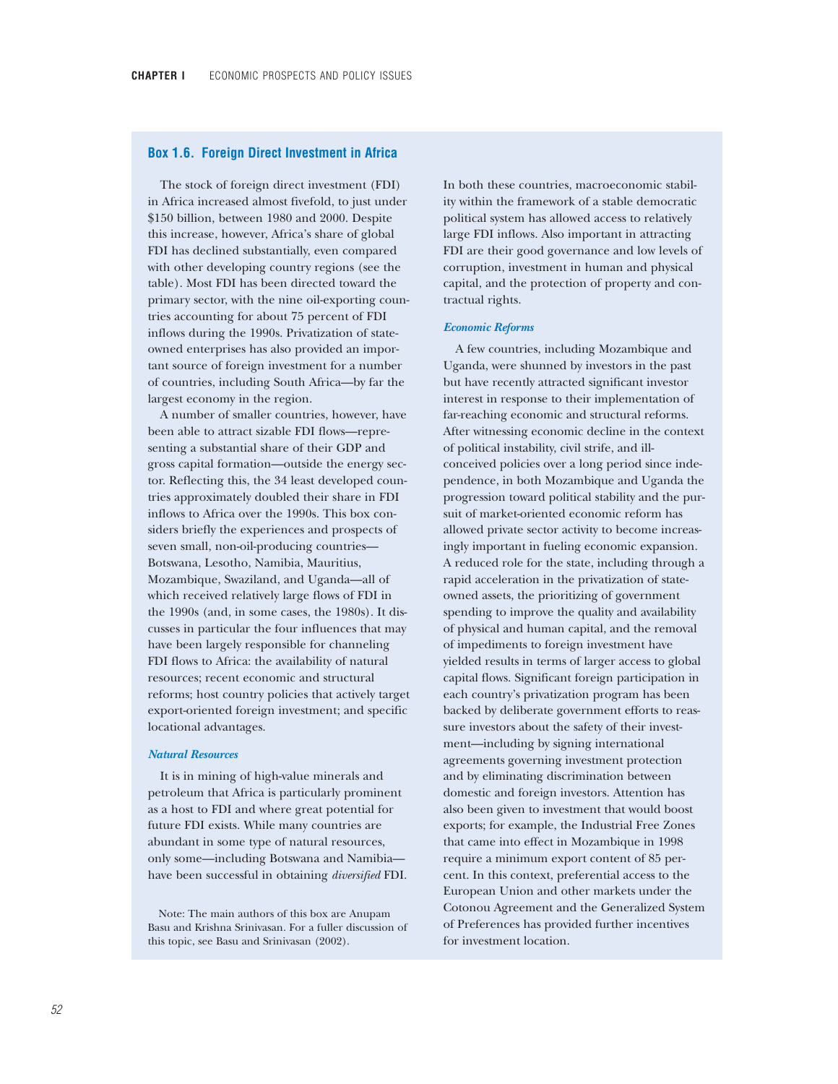## **Box 1.6. Foreign Direct Investment in Africa**

The stock of foreign direct investment (FDI) in Africa increased almost fivefold, to just under \$150 billion, between 1980 and 2000. Despite this increase, however, Africa's share of global FDI has declined substantially, even compared with other developing country regions (see the table). Most FDI has been directed toward the primary sector, with the nine oil-exporting countries accounting for about 75 percent of FDI inflows during the 1990s. Privatization of stateowned enterprises has also provided an important source of foreign investment for a number of countries, including South Africa—by far the largest economy in the region.

A number of smaller countries, however, have been able to attract sizable FDI flows—representing a substantial share of their GDP and gross capital formation—outside the energy sector. Reflecting this, the 34 least developed countries approximately doubled their share in FDI inflows to Africa over the 1990s. This box considers briefly the experiences and prospects of seven small, non-oil-producing countries— Botswana, Lesotho, Namibia, Mauritius, Mozambique, Swaziland, and Uganda—all of which received relatively large flows of FDI in the 1990s (and, in some cases, the 1980s). It discusses in particular the four influences that may have been largely responsible for channeling FDI flows to Africa: the availability of natural resources; recent economic and structural reforms; host country policies that actively target export-oriented foreign investment; and specific locational advantages.

### *Natural Resources*

It is in mining of high-value minerals and petroleum that Africa is particularly prominent as a host to FDI and where great potential for future FDI exists. While many countries are abundant in some type of natural resources, only some—including Botswana and Namibia have been successful in obtaining *diversified* FDI.

Note: The main authors of this box are Anupam Basu and Krishna Srinivasan. For a fuller discussion of this topic, see Basu and Srinivasan (2002).

In both these countries, macroeconomic stability within the framework of a stable democratic political system has allowed access to relatively large FDI inflows. Also important in attracting FDI are their good governance and low levels of corruption, investment in human and physical capital, and the protection of property and contractual rights.

#### *Economic Reforms*

A few countries, including Mozambique and Uganda, were shunned by investors in the past but have recently attracted significant investor interest in response to their implementation of far-reaching economic and structural reforms. After witnessing economic decline in the context of political instability, civil strife, and illconceived policies over a long period since independence, in both Mozambique and Uganda the progression toward political stability and the pursuit of market-oriented economic reform has allowed private sector activity to become increasingly important in fueling economic expansion. A reduced role for the state, including through a rapid acceleration in the privatization of stateowned assets, the prioritizing of government spending to improve the quality and availability of physical and human capital, and the removal of impediments to foreign investment have yielded results in terms of larger access to global capital flows. Significant foreign participation in each country's privatization program has been backed by deliberate government efforts to reassure investors about the safety of their investment—including by signing international agreements governing investment protection and by eliminating discrimination between domestic and foreign investors. Attention has also been given to investment that would boost exports; for example, the Industrial Free Zones that came into effect in Mozambique in 1998 require a minimum export content of 85 percent. In this context, preferential access to the European Union and other markets under the Cotonou Agreement and the Generalized System of Preferences has provided further incentives for investment location.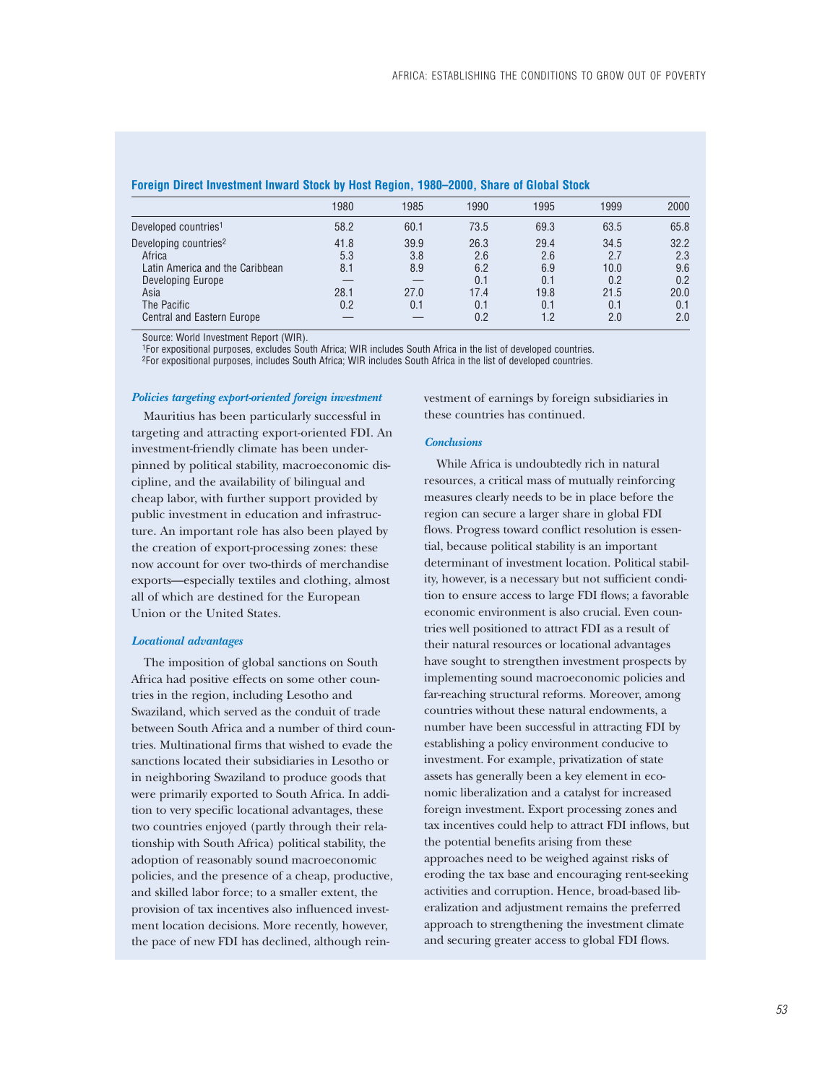| $\tilde{\phantom{a}}$             |      |      |      |      |      |      |
|-----------------------------------|------|------|------|------|------|------|
|                                   | 1980 | 1985 | 1990 | 1995 | 1999 | 2000 |
| Developed countries <sup>1</sup>  | 58.2 | 60.1 | 73.5 | 69.3 | 63.5 | 65.8 |
| Developing countries <sup>2</sup> | 41.8 | 39.9 | 26.3 | 29.4 | 34.5 | 32.2 |
| Africa                            | 5.3  | 3.8  | 2.6  | 2.6  | 2.7  | 2.3  |
| Latin America and the Caribbean   | 8.1  | 8.9  | 6.2  | 6.9  | 10.0 | 9.6  |
| Developing Europe                 |      |      | 0.1  | 0.1  | 0.2  | 0.2  |
| Asia                              | 28.1 | 27.0 | 17.4 | 19.8 | 21.5 | 20.0 |
| The Pacific                       | 0.2  | 0.1  | 0.1  | 0.1  | 0.1  | 0.1  |
| <b>Central and Eastern Europe</b> |      |      | 0.2  | 1.2  | 2.0  | 2.0  |
|                                   |      |      |      |      |      |      |

#### **Foreign Direct Investment Inward Stock by Host Region, 1980–2000, Share of Global Stock**

Source: World Investment Report (WIR).

1For expositional purposes, excludes South Africa; WIR includes South Africa in the list of developed countries.

2For expositional purposes, includes South Africa; WIR includes South Africa in the list of developed countries.

#### *Policies targeting export-oriented foreign investment*

Mauritius has been particularly successful in targeting and attracting export-oriented FDI. An investment-friendly climate has been underpinned by political stability, macroeconomic discipline, and the availability of bilingual and cheap labor, with further support provided by public investment in education and infrastructure. An important role has also been played by the creation of export-processing zones: these now account for over two-thirds of merchandise exports—especially textiles and clothing, almost all of which are destined for the European Union or the United States.

#### *Locational advantages*

The imposition of global sanctions on South Africa had positive effects on some other countries in the region, including Lesotho and Swaziland, which served as the conduit of trade between South Africa and a number of third countries. Multinational firms that wished to evade the sanctions located their subsidiaries in Lesotho or in neighboring Swaziland to produce goods that were primarily exported to South Africa. In addition to very specific locational advantages, these two countries enjoyed (partly through their relationship with South Africa) political stability, the adoption of reasonably sound macroeconomic policies, and the presence of a cheap, productive, and skilled labor force; to a smaller extent, the provision of tax incentives also influenced investment location decisions. More recently, however, the pace of new FDI has declined, although reinvestment of earnings by foreign subsidiaries in these countries has continued.

### *Conclusions*

While Africa is undoubtedly rich in natural resources, a critical mass of mutually reinforcing measures clearly needs to be in place before the region can secure a larger share in global FDI flows. Progress toward conflict resolution is essential, because political stability is an important determinant of investment location. Political stability, however, is a necessary but not sufficient condition to ensure access to large FDI flows; a favorable economic environment is also crucial. Even countries well positioned to attract FDI as a result of their natural resources or locational advantages have sought to strengthen investment prospects by implementing sound macroeconomic policies and far-reaching structural reforms. Moreover, among countries without these natural endowments, a number have been successful in attracting FDI by establishing a policy environment conducive to investment. For example, privatization of state assets has generally been a key element in economic liberalization and a catalyst for increased foreign investment. Export processing zones and tax incentives could help to attract FDI inflows, but the potential benefits arising from these approaches need to be weighed against risks of eroding the tax base and encouraging rent-seeking activities and corruption. Hence, broad-based liberalization and adjustment remains the preferred approach to strengthening the investment climate and securing greater access to global FDI flows.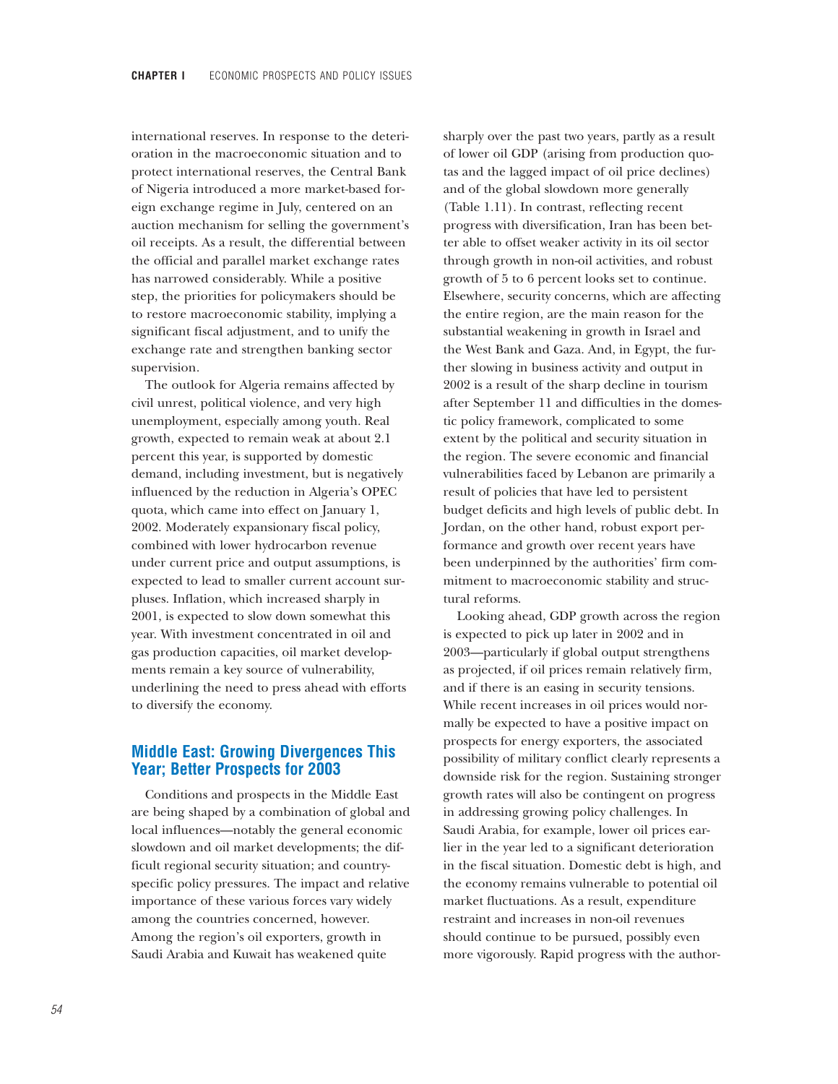international reserves. In response to the deterioration in the macroeconomic situation and to protect international reserves, the Central Bank of Nigeria introduced a more market-based foreign exchange regime in July, centered on an auction mechanism for selling the government's oil receipts. As a result, the differential between the official and parallel market exchange rates has narrowed considerably. While a positive step, the priorities for policymakers should be to restore macroeconomic stability, implying a significant fiscal adjustment, and to unify the exchange rate and strengthen banking sector supervision.

The outlook for Algeria remains affected by civil unrest, political violence, and very high unemployment, especially among youth. Real growth, expected to remain weak at about 2.1 percent this year, is supported by domestic demand, including investment, but is negatively influenced by the reduction in Algeria's OPEC quota, which came into effect on January 1, 2002. Moderately expansionary fiscal policy, combined with lower hydrocarbon revenue under current price and output assumptions, is expected to lead to smaller current account surpluses. Inflation, which increased sharply in 2001, is expected to slow down somewhat this year. With investment concentrated in oil and gas production capacities, oil market developments remain a key source of vulnerability, underlining the need to press ahead with efforts to diversify the economy.

# **Middle East: Growing Divergences This Year; Better Prospects for 2003**

Conditions and prospects in the Middle East are being shaped by a combination of global and local influences—notably the general economic slowdown and oil market developments; the difficult regional security situation; and countryspecific policy pressures. The impact and relative importance of these various forces vary widely among the countries concerned, however. Among the region's oil exporters, growth in Saudi Arabia and Kuwait has weakened quite

sharply over the past two years, partly as a result of lower oil GDP (arising from production quotas and the lagged impact of oil price declines) and of the global slowdown more generally (Table 1.11). In contrast, reflecting recent progress with diversification, Iran has been better able to offset weaker activity in its oil sector through growth in non-oil activities, and robust growth of 5 to 6 percent looks set to continue. Elsewhere, security concerns, which are affecting the entire region, are the main reason for the substantial weakening in growth in Israel and the West Bank and Gaza. And, in Egypt, the further slowing in business activity and output in 2002 is a result of the sharp decline in tourism after September 11 and difficulties in the domestic policy framework, complicated to some extent by the political and security situation in the region. The severe economic and financial vulnerabilities faced by Lebanon are primarily a result of policies that have led to persistent budget deficits and high levels of public debt. In Jordan, on the other hand, robust export performance and growth over recent years have been underpinned by the authorities' firm commitment to macroeconomic stability and structural reforms.

Looking ahead, GDP growth across the region is expected to pick up later in 2002 and in 2003—particularly if global output strengthens as projected, if oil prices remain relatively firm, and if there is an easing in security tensions. While recent increases in oil prices would normally be expected to have a positive impact on prospects for energy exporters, the associated possibility of military conflict clearly represents a downside risk for the region. Sustaining stronger growth rates will also be contingent on progress in addressing growing policy challenges. In Saudi Arabia, for example, lower oil prices earlier in the year led to a significant deterioration in the fiscal situation. Domestic debt is high, and the economy remains vulnerable to potential oil market fluctuations. As a result, expenditure restraint and increases in non-oil revenues should continue to be pursued, possibly even more vigorously. Rapid progress with the author-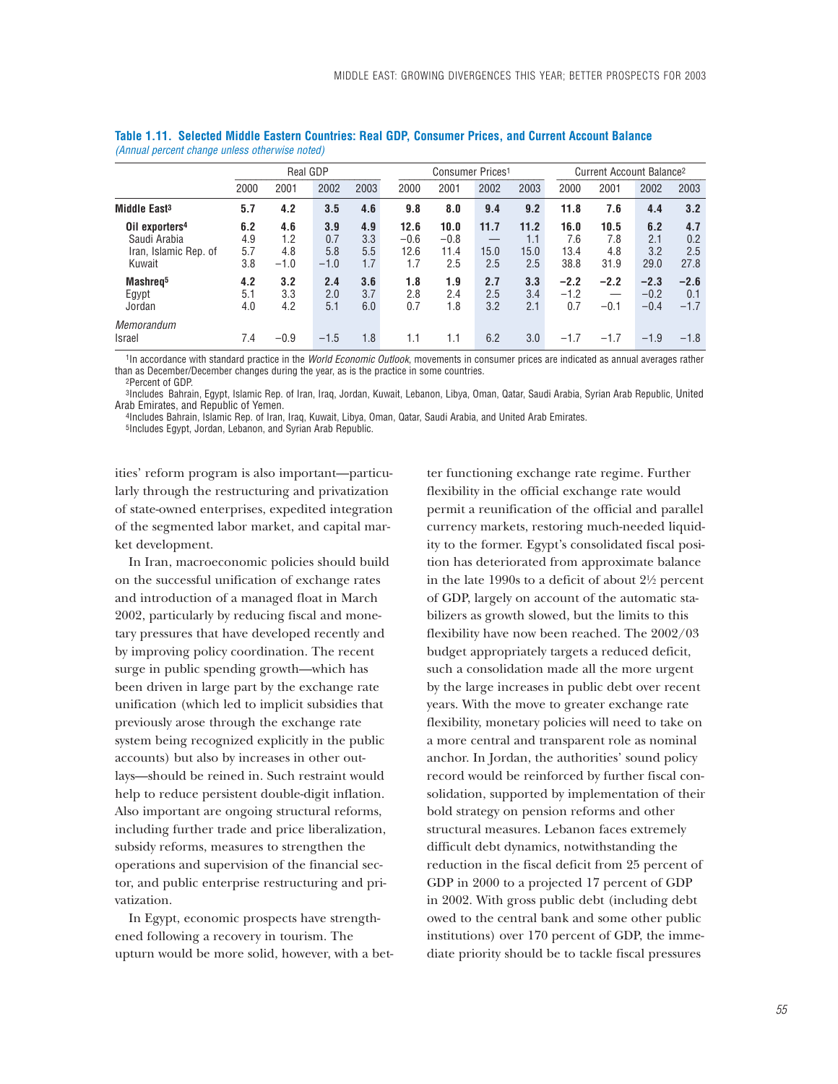|                                                                               |                          | <b>Real GDP</b>             |                             |                          |                               | Consumer Prices <sup>1</sup>  |                     |                            |                             | Current Account Balance <sup>2</sup> |                            |                           |  |
|-------------------------------------------------------------------------------|--------------------------|-----------------------------|-----------------------------|--------------------------|-------------------------------|-------------------------------|---------------------|----------------------------|-----------------------------|--------------------------------------|----------------------------|---------------------------|--|
|                                                                               | 2000                     | 2001                        | 2002                        | 2003                     | 2000                          | 2001                          | 2002                | 2003                       | 2000                        | 2001                                 | 2002                       | 2003                      |  |
| Middle East <sup>3</sup>                                                      | 5.7                      | 4.2                         | 3.5                         | 4.6                      | 9.8                           | 8.0                           | 9.4                 | 9.2                        | 11.8                        | 7.6                                  | 4.4                        | 3.2                       |  |
| Oil exporters <sup>4</sup><br>Saudi Arabia<br>Iran, Islamic Rep. of<br>Kuwait | 6.2<br>4.9<br>5.7<br>3.8 | 4.6<br>1.2<br>4.8<br>$-1.0$ | 3.9<br>0.7<br>5.8<br>$-1.0$ | 4.9<br>3.3<br>5.5<br>1.7 | 12.6<br>$-0.6$<br>12.6<br>1.7 | 10.0<br>$-0.8$<br>11.4<br>2.5 | 11.7<br>15.0<br>2.5 | 11.2<br>1.1<br>15.0<br>2.5 | 16.0<br>7.6<br>13.4<br>38.8 | 10.5<br>7.8<br>4.8<br>31.9           | 6.2<br>2.1<br>3.2<br>29.0  | 4.7<br>0.2<br>2.5<br>27.8 |  |
| Mashreg <sup>5</sup><br>Egypt<br>Jordan                                       | 4.2<br>5.1<br>4.0        | 3.2<br>3.3<br>4.2           | 2.4<br>2.0<br>5.1           | 3.6<br>3.7<br>6.0        | 1.8<br>2.8<br>0.7             | 1.9<br>2.4<br>1.8             | 2.7<br>2.5<br>3.2   | 3.3<br>3.4<br>2.1          | $-2.2$<br>$-1.2$<br>0.7     | $-2.2$<br>$-0.1$                     | $-2.3$<br>$-0.2$<br>$-0.4$ | $-2.6$<br>0.1<br>$-1.7$   |  |
| Memorandum<br><b>Israel</b>                                                   | 7.4                      | $-0.9$                      | $-1.5$                      | 1.8                      | 1.1                           | 1.1                           | 6.2                 | 3.0                        | $-1.7$                      | $-1.7$                               | $-1.9$                     | $-1.8$                    |  |

**Table 1.11. Selected Middle Eastern Countries: Real GDP, Consumer Prices, and Current Account Balance** *(Annual percent change unless otherwise noted)*

1In accordance with standard practice in the *World Economic Outlook*, movements in consumer prices are indicated as annual averages rather than as December/December changes during the year, as is the practice in some countries. 2Percent of GDP.

3Includes Bahrain, Egypt, Islamic Rep. of Iran, Iraq, Jordan, Kuwait, Lebanon, Libya, Oman, Qatar, Saudi Arabia, Syrian Arab Republic, United Arab Emirates, and Republic of Yemen.

4Includes Bahrain, Islamic Rep. of Iran, Iraq, Kuwait, Libya, Oman, Qatar, Saudi Arabia, and United Arab Emirates. 5Includes Egypt, Jordan, Lebanon, and Syrian Arab Republic.

ities' reform program is also important—particularly through the restructuring and privatization of state-owned enterprises, expedited integration of the segmented labor market, and capital market development.

In Iran, macroeconomic policies should build on the successful unification of exchange rates and introduction of a managed float in March 2002, particularly by reducing fiscal and monetary pressures that have developed recently and by improving policy coordination. The recent surge in public spending growth—which has been driven in large part by the exchange rate unification (which led to implicit subsidies that previously arose through the exchange rate system being recognized explicitly in the public accounts) but also by increases in other outlays—should be reined in. Such restraint would help to reduce persistent double-digit inflation. Also important are ongoing structural reforms, including further trade and price liberalization, subsidy reforms, measures to strengthen the operations and supervision of the financial sector, and public enterprise restructuring and privatization.

In Egypt, economic prospects have strengthened following a recovery in tourism. The upturn would be more solid, however, with a better functioning exchange rate regime. Further flexibility in the official exchange rate would permit a reunification of the official and parallel currency markets, restoring much-needed liquidity to the former. Egypt's consolidated fiscal position has deteriorated from approximate balance in the late 1990s to a deficit of about 2!/2 percent of GDP, largely on account of the automatic stabilizers as growth slowed, but the limits to this flexibility have now been reached. The 2002/03 budget appropriately targets a reduced deficit, such a consolidation made all the more urgent by the large increases in public debt over recent years. With the move to greater exchange rate flexibility, monetary policies will need to take on a more central and transparent role as nominal anchor. In Jordan, the authorities' sound policy record would be reinforced by further fiscal consolidation, supported by implementation of their bold strategy on pension reforms and other structural measures. Lebanon faces extremely difficult debt dynamics, notwithstanding the reduction in the fiscal deficit from 25 percent of GDP in 2000 to a projected 17 percent of GDP in 2002. With gross public debt (including debt owed to the central bank and some other public institutions) over 170 percent of GDP, the immediate priority should be to tackle fiscal pressures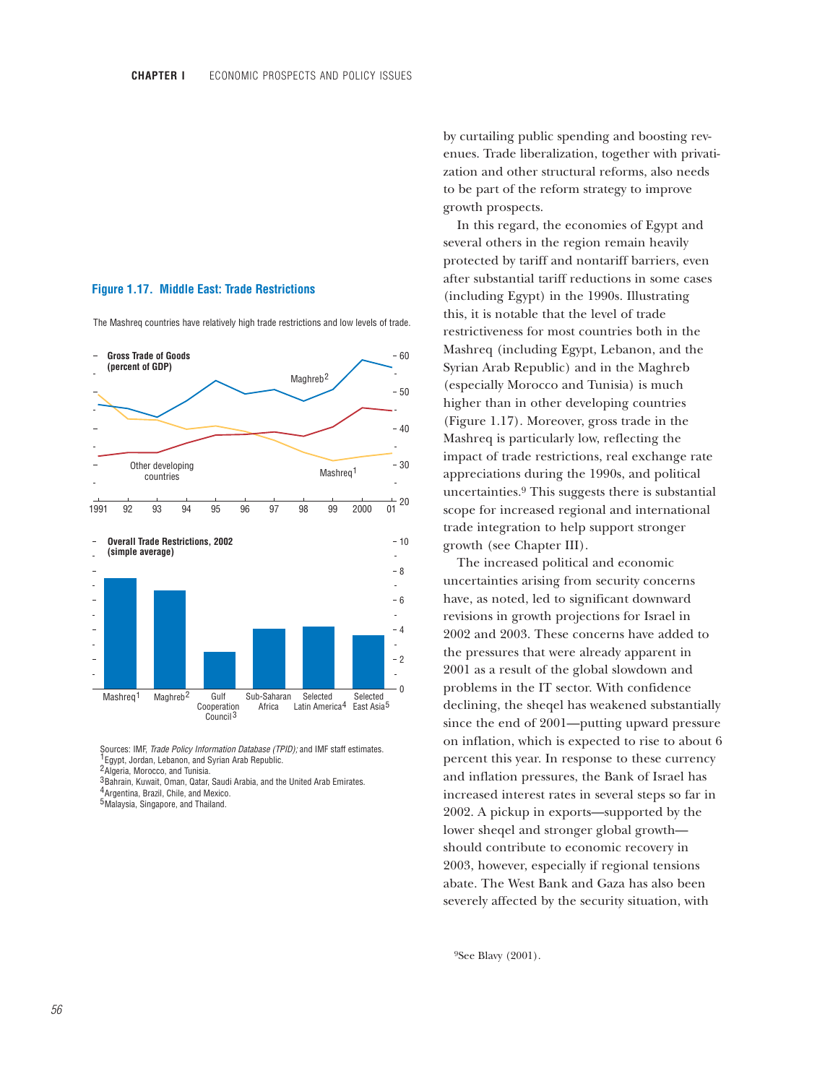## **Figure 1.17. Middle East: Trade Restrictions**

The Mashreq countries have relatively high trade restrictions and low levels of trade.



Sources: IMF, *Trade Policy Information Database (TPID);* and IMF staff estimates. <sup>1</sup> Egypt, Jordan, Lebanon, and Syrian Arab Republic.

<sup>2</sup> Algeria, Morocco, and Tunisia.

3Bahrain, Kuwait, Oman, Qatar, Saudi Arabia, and the United Arab Emirates.

<sup>4</sup> Argentina, Brazil, Chile, and Mexico. <sup>5</sup>Malaysia, Singapore, and Thailand.

by curtailing public spending and boosting revenues. Trade liberalization, together with privatization and other structural reforms, also needs to be part of the reform strategy to improve growth prospects.

In this regard, the economies of Egypt and several others in the region remain heavily protected by tariff and nontariff barriers, even after substantial tariff reductions in some cases (including Egypt) in the 1990s. Illustrating this, it is notable that the level of trade restrictiveness for most countries both in the Mashreq (including Egypt, Lebanon, and the Syrian Arab Republic) and in the Maghreb (especially Morocco and Tunisia) is much higher than in other developing countries (Figure 1.17). Moreover, gross trade in the Mashreq is particularly low, reflecting the impact of trade restrictions, real exchange rate appreciations during the 1990s, and political uncertainties.9 This suggests there is substantial scope for increased regional and international trade integration to help support stronger growth (see Chapter III).

The increased political and economic uncertainties arising from security concerns have, as noted, led to significant downward revisions in growth projections for Israel in 2002 and 2003. These concerns have added to the pressures that were already apparent in 2001 as a result of the global slowdown and problems in the IT sector. With confidence declining, the sheqel has weakened substantially since the end of 2001—putting upward pressure on inflation, which is expected to rise to about 6 percent this year. In response to these currency and inflation pressures, the Bank of Israel has increased interest rates in several steps so far in 2002. A pickup in exports—supported by the lower sheqel and stronger global growth should contribute to economic recovery in 2003, however, especially if regional tensions abate. The West Bank and Gaza has also been severely affected by the security situation, with

9See Blavy (2001).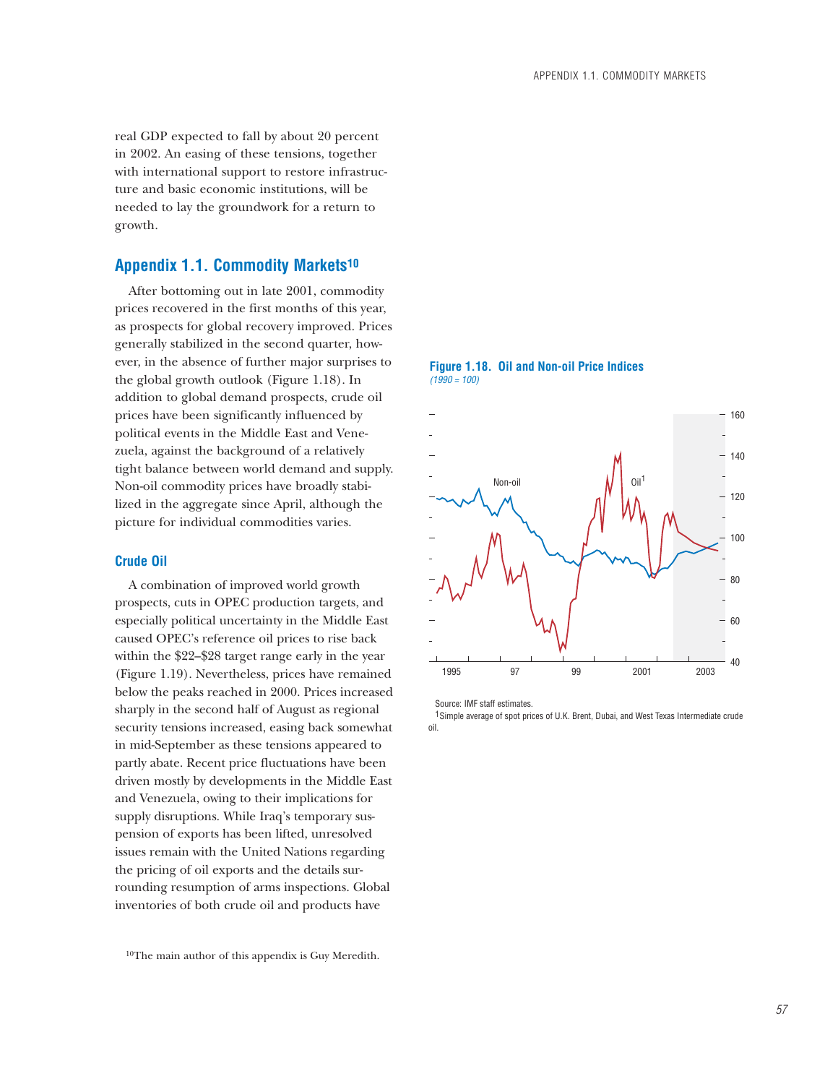real GDP expected to fall by about 20 percent in 2002. An easing of these tensions, together with international support to restore infrastructure and basic economic institutions, will be needed to lay the groundwork for a return to growth.

# **Appendix 1.1. Commodity Markets10**

After bottoming out in late 2001, commodity prices recovered in the first months of this year, as prospects for global recovery improved. Prices generally stabilized in the second quarter, however, in the absence of further major surprises to the global growth outlook (Figure 1.18). In addition to global demand prospects, crude oil prices have been significantly influenced by political events in the Middle East and Venezuela, against the background of a relatively tight balance between world demand and supply. Non-oil commodity prices have broadly stabilized in the aggregate since April, although the picture for individual commodities varies.

## **Crude Oil**

A combination of improved world growth prospects, cuts in OPEC production targets, and especially political uncertainty in the Middle East caused OPEC's reference oil prices to rise back within the \$22–\$28 target range early in the year (Figure 1.19). Nevertheless, prices have remained below the peaks reached in 2000. Prices increased sharply in the second half of August as regional security tensions increased, easing back somewhat in mid-September as these tensions appeared to partly abate. Recent price fluctuations have been driven mostly by developments in the Middle East and Venezuela, owing to their implications for supply disruptions. While Iraq's temporary suspension of exports has been lifted, unresolved issues remain with the United Nations regarding the pricing of oil exports and the details surrounding resumption of arms inspections. Global inventories of both crude oil and products have

10The main author of this appendix is Guy Meredith.

**Figure 1.18. Oil and Non-oil Price Indices** *(1990 = 100)*



Source: IMF staff estimates.

<sup>1</sup> Simple average of spot prices of U.K. Brent, Dubai, and West Texas Intermediate crude oil.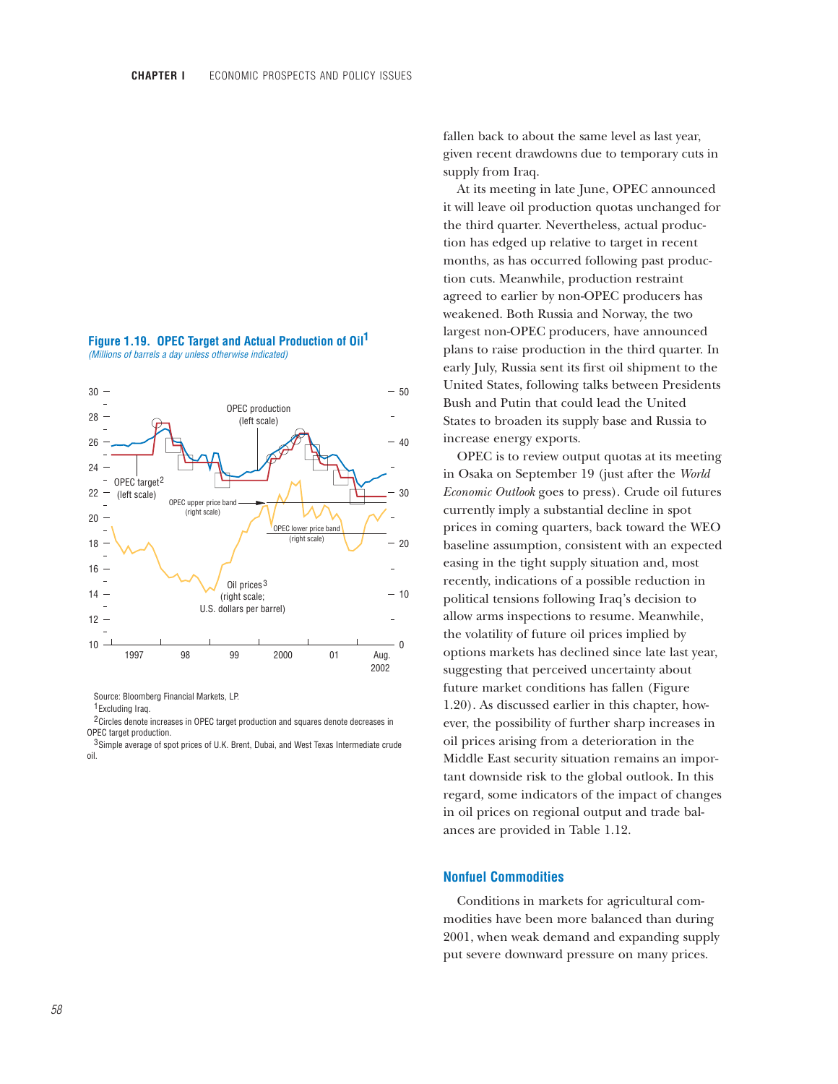



Source: Bloomberg Financial Markets, LP.

<sup>1</sup> Excluding Iraq.

<sup>2</sup> Circles denote increases in OPEC target production and squares denote decreases in OPEC target production.

<sup>3</sup>Simple average of spot prices of U.K. Brent, Dubai, and West Texas Intermediate crude oil.

fallen back to about the same level as last year, given recent drawdowns due to temporary cuts in supply from Iraq.

At its meeting in late June, OPEC announced it will leave oil production quotas unchanged for the third quarter. Nevertheless, actual production has edged up relative to target in recent months, as has occurred following past production cuts. Meanwhile, production restraint agreed to earlier by non-OPEC producers has weakened. Both Russia and Norway, the two largest non-OPEC producers, have announced plans to raise production in the third quarter. In early July, Russia sent its first oil shipment to the United States, following talks between Presidents Bush and Putin that could lead the United States to broaden its supply base and Russia to increase energy exports.

OPEC is to review output quotas at its meeting in Osaka on September 19 (just after the *World Economic Outlook* goes to press). Crude oil futures currently imply a substantial decline in spot prices in coming quarters, back toward the WEO baseline assumption, consistent with an expected easing in the tight supply situation and, most recently, indications of a possible reduction in political tensions following Iraq's decision to allow arms inspections to resume. Meanwhile, the volatility of future oil prices implied by options markets has declined since late last year, suggesting that perceived uncertainty about future market conditions has fallen (Figure 1.20). As discussed earlier in this chapter, however, the possibility of further sharp increases in oil prices arising from a deterioration in the Middle East security situation remains an important downside risk to the global outlook. In this regard, some indicators of the impact of changes in oil prices on regional output and trade balances are provided in Table 1.12.

## **Nonfuel Commodities**

Conditions in markets for agricultural commodities have been more balanced than during 2001, when weak demand and expanding supply put severe downward pressure on many prices.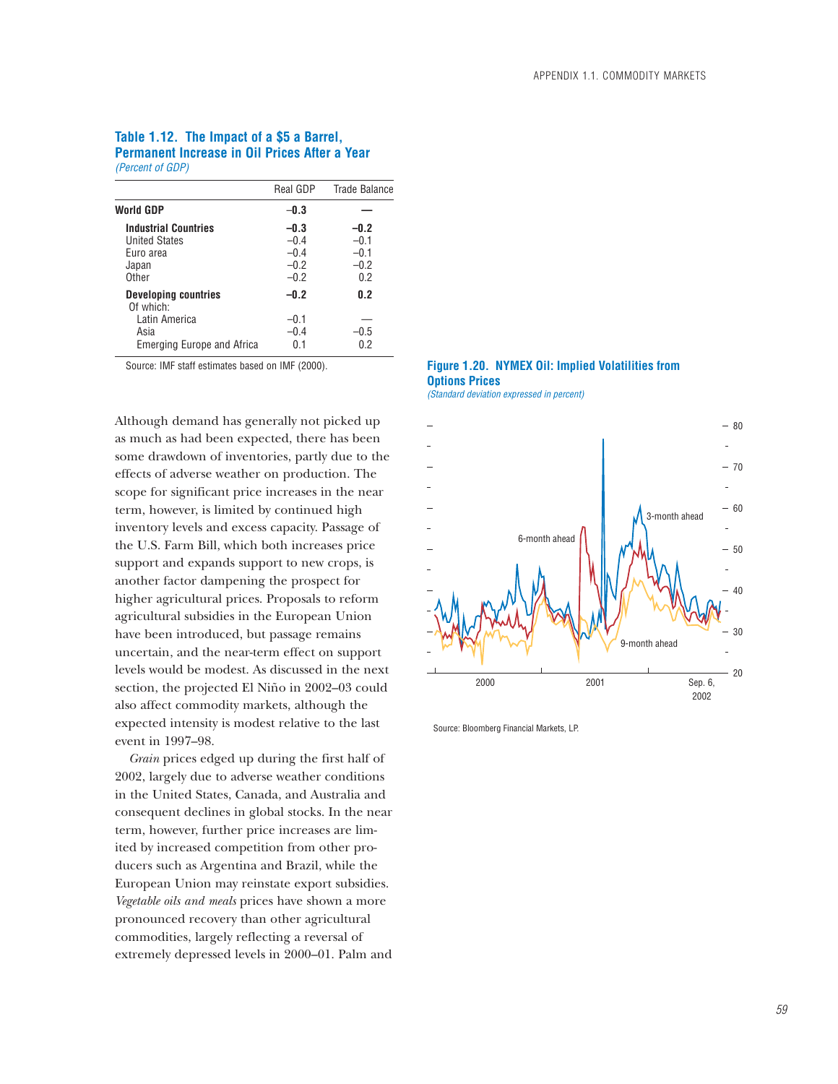## **Table 1.12. The Impact of a \$5 a Barrel, Permanent Increase in Oil Prices After a Year** *(Percent of GDP)*

| Real GDP | <b>Trade Balance</b> |
|----------|----------------------|
| $-0.3$   |                      |
| $-0.3$   | $-0.2$               |
| $-0.4$   | $-0.1$               |
| $-0.4$   | $-0.1$               |
| $-0.2$   | $-0.2$               |
| $-0.2$   | 0.2                  |
| $-0.2$   | 0.2                  |
| $-0.1$   |                      |
| $-0.4$   | $-0.5$               |
| 0.1      | 0.2                  |
|          |                      |

Source: IMF staff estimates based on IMF (2000).

Although demand has generally not picked up as much as had been expected, there has been some drawdown of inventories, partly due to the effects of adverse weather on production. The scope for significant price increases in the near term, however, is limited by continued high inventory levels and excess capacity. Passage of the U.S. Farm Bill, which both increases price support and expands support to new crops, is another factor dampening the prospect for higher agricultural prices. Proposals to reform agricultural subsidies in the European Union have been introduced, but passage remains uncertain, and the near-term effect on support levels would be modest. As discussed in the next section, the projected El Niño in 2002–03 could also affect commodity markets, although the expected intensity is modest relative to the last event in 1997–98.

*Grain* prices edged up during the first half of 2002, largely due to adverse weather conditions in the United States, Canada, and Australia and consequent declines in global stocks. In the near term, however, further price increases are limited by increased competition from other producers such as Argentina and Brazil, while the European Union may reinstate export subsidies. *Vegetable oils and meals* prices have shown a more pronounced recovery than other agricultural commodities, largely reflecting a reversal of extremely depressed levels in 2000–01. Palm and





Source: Bloomberg Financial Markets, LP.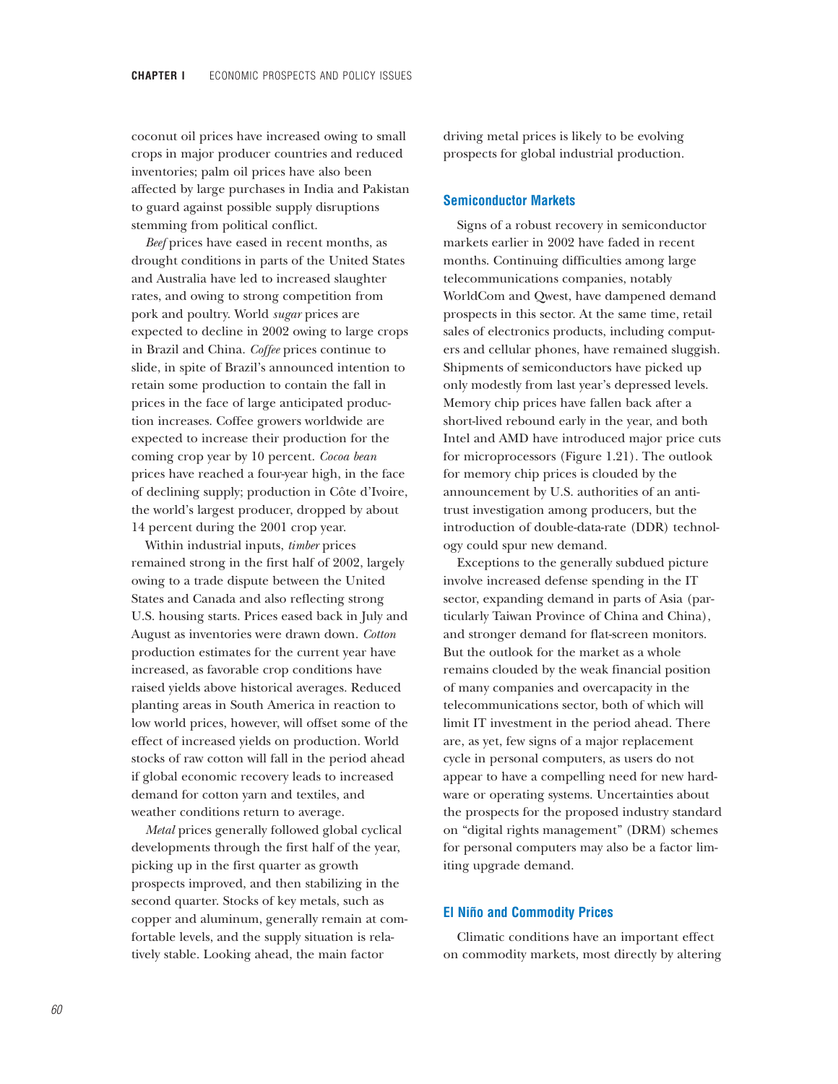coconut oil prices have increased owing to small crops in major producer countries and reduced inventories; palm oil prices have also been affected by large purchases in India and Pakistan to guard against possible supply disruptions stemming from political conflict.

*Beef* prices have eased in recent months, as drought conditions in parts of the United States and Australia have led to increased slaughter rates, and owing to strong competition from pork and poultry. World *sugar* prices are expected to decline in 2002 owing to large crops in Brazil and China. *Coffee* prices continue to slide, in spite of Brazil's announced intention to retain some production to contain the fall in prices in the face of large anticipated production increases. Coffee growers worldwide are expected to increase their production for the coming crop year by 10 percent. *Cocoa bean* prices have reached a four-year high, in the face of declining supply; production in Côte d'Ivoire, the world's largest producer, dropped by about 14 percent during the 2001 crop year.

Within industrial inputs, *timber* prices remained strong in the first half of 2002, largely owing to a trade dispute between the United States and Canada and also reflecting strong U.S. housing starts. Prices eased back in July and August as inventories were drawn down. *Cotton* production estimates for the current year have increased, as favorable crop conditions have raised yields above historical averages. Reduced planting areas in South America in reaction to low world prices, however, will offset some of the effect of increased yields on production. World stocks of raw cotton will fall in the period ahead if global economic recovery leads to increased demand for cotton yarn and textiles, and weather conditions return to average.

*Metal* prices generally followed global cyclical developments through the first half of the year, picking up in the first quarter as growth prospects improved, and then stabilizing in the second quarter. Stocks of key metals, such as copper and aluminum, generally remain at comfortable levels, and the supply situation is relatively stable. Looking ahead, the main factor

driving metal prices is likely to be evolving prospects for global industrial production.

## **Semiconductor Markets**

Signs of a robust recovery in semiconductor markets earlier in 2002 have faded in recent months. Continuing difficulties among large telecommunications companies, notably WorldCom and Qwest, have dampened demand prospects in this sector. At the same time, retail sales of electronics products, including computers and cellular phones, have remained sluggish. Shipments of semiconductors have picked up only modestly from last year's depressed levels. Memory chip prices have fallen back after a short-lived rebound early in the year, and both Intel and AMD have introduced major price cuts for microprocessors (Figure 1.21). The outlook for memory chip prices is clouded by the announcement by U.S. authorities of an antitrust investigation among producers, but the introduction of double-data-rate (DDR) technology could spur new demand.

Exceptions to the generally subdued picture involve increased defense spending in the IT sector, expanding demand in parts of Asia (particularly Taiwan Province of China and China), and stronger demand for flat-screen monitors. But the outlook for the market as a whole remains clouded by the weak financial position of many companies and overcapacity in the telecommunications sector, both of which will limit IT investment in the period ahead. There are, as yet, few signs of a major replacement cycle in personal computers, as users do not appear to have a compelling need for new hardware or operating systems. Uncertainties about the prospects for the proposed industry standard on "digital rights management" (DRM) schemes for personal computers may also be a factor limiting upgrade demand.

### **El Niño and Commodity Prices**

Climatic conditions have an important effect on commodity markets, most directly by altering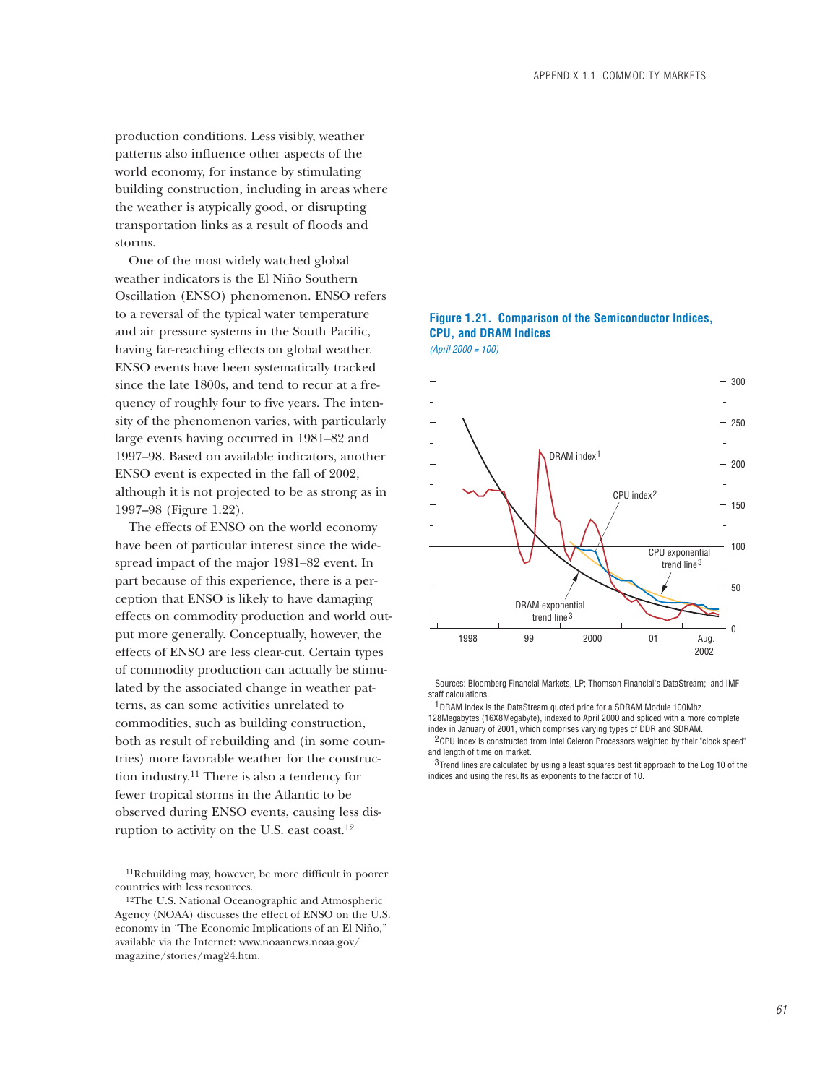production conditions. Less visibly, weather patterns also influence other aspects of the world economy, for instance by stimulating building construction, including in areas where the weather is atypically good, or disrupting transportation links as a result of floods and storms.

One of the most widely watched global weather indicators is the El Niño Southern Oscillation (ENSO) phenomenon. ENSO refers to a reversal of the typical water temperature and air pressure systems in the South Pacific, having far-reaching effects on global weather. ENSO events have been systematically tracked since the late 1800s, and tend to recur at a frequency of roughly four to five years. The intensity of the phenomenon varies, with particularly large events having occurred in 1981–82 and 1997–98. Based on available indicators, another ENSO event is expected in the fall of 2002, although it is not projected to be as strong as in 1997–98 (Figure 1.22).

The effects of ENSO on the world economy have been of particular interest since the widespread impact of the major 1981–82 event. In part because of this experience, there is a perception that ENSO is likely to have damaging effects on commodity production and world output more generally. Conceptually, however, the effects of ENSO are less clear-cut. Certain types of commodity production can actually be stimulated by the associated change in weather patterns, as can some activities unrelated to commodities, such as building construction, both as result of rebuilding and (in some countries) more favorable weather for the construction industry.11 There is also a tendency for fewer tropical storms in the Atlantic to be observed during ENSO events, causing less disruption to activity on the U.S. east coast.12

11Rebuilding may, however, be more difficult in poorer countries with less resources.



## **Figure 1.21. Comparison of the Semiconductor Indices, CPU, and DRAM Indices** *(April 2000 = 100)*

 Sources: Bloomberg Financial Markets, LP; Thomson Financial's DataStream; and IMF staff calculations.

<sup>1</sup> DRAM index is the DataStream quoted price for a SDRAM Module 100Mhz 128Megabytes (16X8Megabyte), indexed to April 2000 and spliced with a more complete index in January of 2001, which comprises varying types of DDR and SDRAM.

<sup>2</sup> CPU index is constructed from Intel Celeron Processors weighted by their "clock speed" and length of time on market.

 $3$  Trend lines are calculated by using a least squares best fit approach to the Log 10 of the indices and using the results as exponents to the factor of 10.

<sup>12</sup>The U.S. National Oceanographic and Atmospheric Agency (NOAA) discusses the effect of ENSO on the U.S. economy in "The Economic Implications of an El Niño," available via the Internet: www.noaanews.noaa.gov/ magazine/stories/mag24.htm.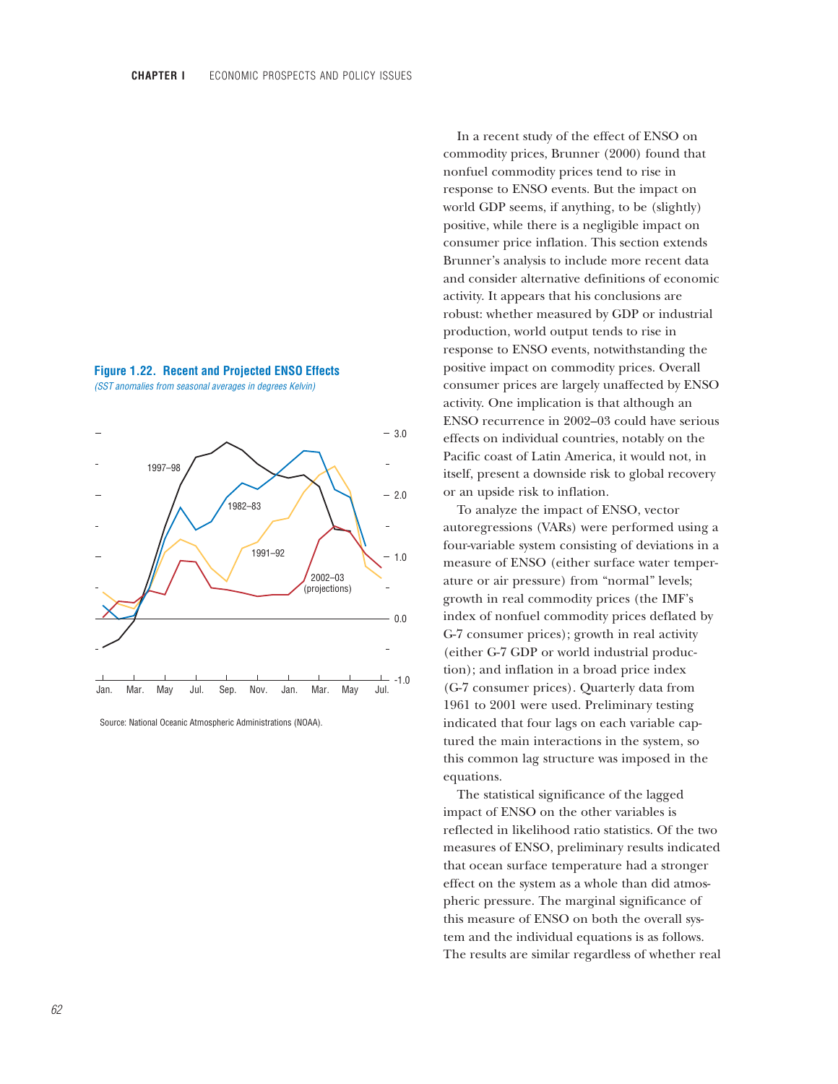



Source: National Oceanic Atmospheric Administrations (NOAA).

In a recent study of the effect of ENSO on commodity prices, Brunner (2000) found that nonfuel commodity prices tend to rise in response to ENSO events. But the impact on world GDP seems, if anything, to be (slightly) positive, while there is a negligible impact on consumer price inflation. This section extends Brunner's analysis to include more recent data and consider alternative definitions of economic activity. It appears that his conclusions are robust: whether measured by GDP or industrial production, world output tends to rise in response to ENSO events, notwithstanding the positive impact on commodity prices. Overall consumer prices are largely unaffected by ENSO activity. One implication is that although an ENSO recurrence in 2002–03 could have serious effects on individual countries, notably on the Pacific coast of Latin America, it would not, in itself, present a downside risk to global recovery or an upside risk to inflation.

To analyze the impact of ENSO, vector autoregressions (VARs) were performed using a four-variable system consisting of deviations in a measure of ENSO (either surface water temperature or air pressure) from "normal" levels; growth in real commodity prices (the IMF's index of nonfuel commodity prices deflated by G-7 consumer prices); growth in real activity (either G-7 GDP or world industrial production); and inflation in a broad price index (G-7 consumer prices). Quarterly data from 1961 to 2001 were used. Preliminary testing indicated that four lags on each variable captured the main interactions in the system, so this common lag structure was imposed in the equations.

The statistical significance of the lagged impact of ENSO on the other variables is reflected in likelihood ratio statistics. Of the two measures of ENSO, preliminary results indicated that ocean surface temperature had a stronger effect on the system as a whole than did atmospheric pressure. The marginal significance of this measure of ENSO on both the overall system and the individual equations is as follows. The results are similar regardless of whether real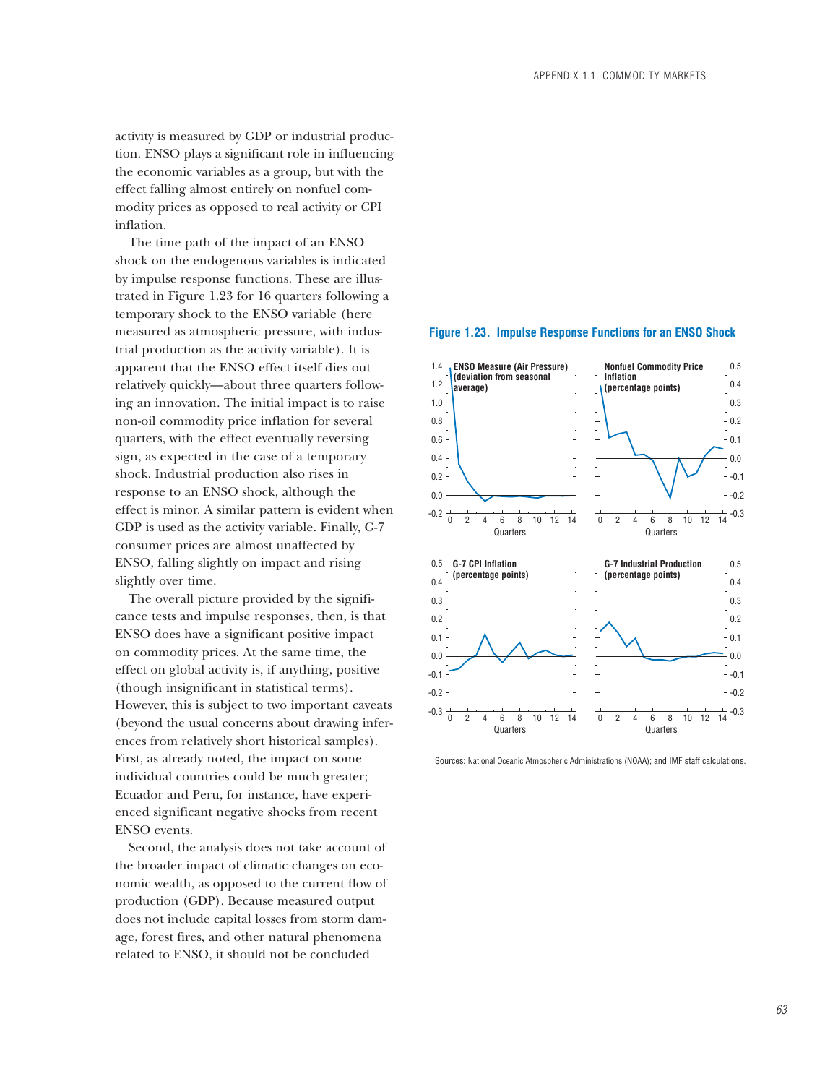activity is measured by GDP or industrial production. ENSO plays a significant role in influencing the economic variables as a group, but with the effect falling almost entirely on nonfuel commodity prices as opposed to real activity or CPI inflation.

The time path of the impact of an ENSO shock on the endogenous variables is indicated by impulse response functions. These are illustrated in Figure 1.23 for 16 quarters following a temporary shock to the ENSO variable (here measured as atmospheric pressure, with industrial production as the activity variable). It is apparent that the ENSO effect itself dies out relatively quickly—about three quarters following an innovation. The initial impact is to raise non-oil commodity price inflation for several quarters, with the effect eventually reversing sign, as expected in the case of a temporary shock. Industrial production also rises in response to an ENSO shock, although the effect is minor. A similar pattern is evident when GDP is used as the activity variable. Finally, G-7 consumer prices are almost unaffected by ENSO, falling slightly on impact and rising slightly over time.

The overall picture provided by the significance tests and impulse responses, then, is that ENSO does have a significant positive impact on commodity prices. At the same time, the effect on global activity is, if anything, positive (though insignificant in statistical terms). However, this is subject to two important caveats (beyond the usual concerns about drawing inferences from relatively short historical samples). First, as already noted, the impact on some individual countries could be much greater; Ecuador and Peru, for instance, have experienced significant negative shocks from recent ENSO events.

Second, the analysis does not take account of the broader impact of climatic changes on economic wealth, as opposed to the current flow of production (GDP). Because measured output does not include capital losses from storm damage, forest fires, and other natural phenomena related to ENSO, it should not be concluded





Sources: National Oceanic Atmospheric Administrations (NOAA); and IMF staff calculations.